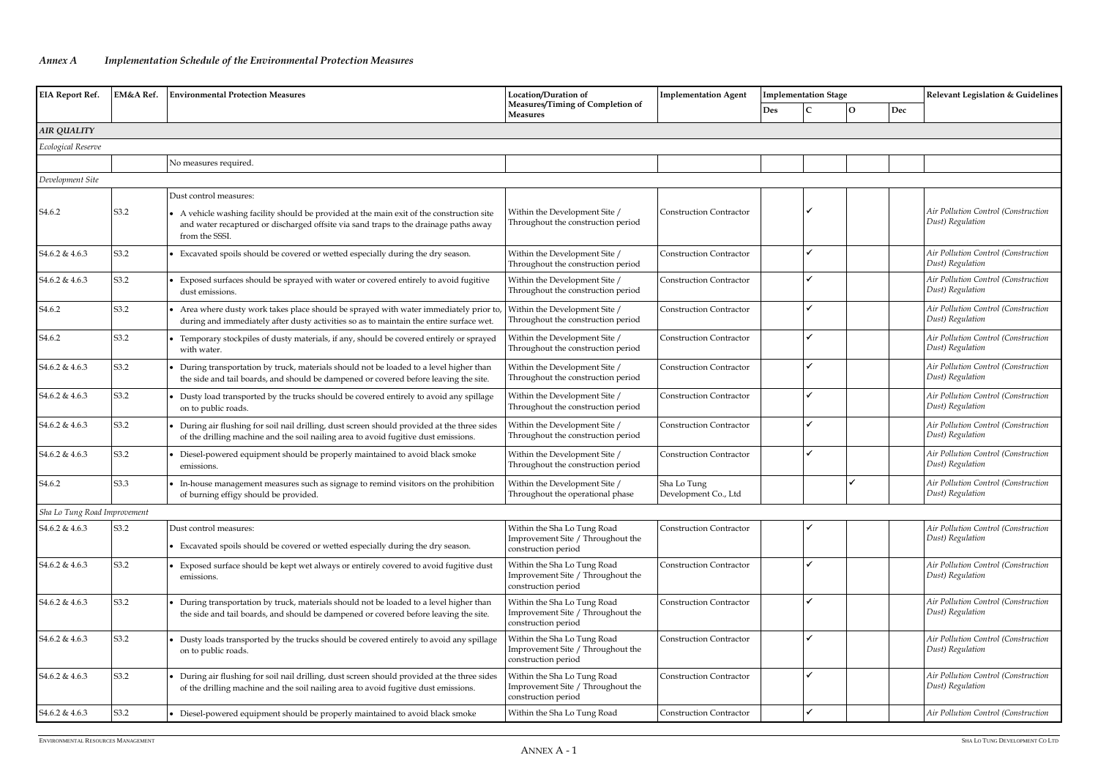## *Annex A Implementation Schedule of the Environmental Protection Measures*

| Des<br>O<br>Dec<br><b>Measures</b><br>AIR QUALITY<br>Ecological Reserve<br>No measures required.<br>Development Site<br>Dust control measures:<br>Air Pollution Control (Construction<br>S3.2<br>Within the Development Site /<br>S <sub>4.6.2</sub><br><b>Construction Contractor</b><br>• A vehicle washing facility should be provided at the main exit of the construction site<br>Dust) Regulation<br>Throughout the construction period<br>and water recaptured or discharged offsite via sand traps to the drainage paths away<br>from the SSSI.<br>Air Pollution Control (Construction<br>S3.2<br>S4.6.2 & 4.6.3<br>Excavated spoils should be covered or wetted especially during the dry season.<br>Within the Development Site /<br><b>Construction Contractor</b><br>Dust) Regulation<br>Throughout the construction period<br>Air Pollution Control (Construction<br>S3.2<br>Within the Development Site /<br><b>Construction Contractor</b><br>S4.6.2 & 4.6.3<br>Exposed surfaces should be sprayed with water or covered entirely to avoid fugitive<br>Dust) Regulation<br>Throughout the construction period<br>dust emissions.<br>Air Pollution Control (Construction<br>S3.2<br>S <sub>4.6.2</sub><br>Area where dusty work takes place should be sprayed with water immediately prior to<br>Within the Development Site /<br><b>Construction Contractor</b><br>Dust) Regulation<br>Throughout the construction period<br>during and immediately after dusty activities so as to maintain the entire surface wet.<br>Air Pollution Control (Construction<br>S <sub>4.6.2</sub><br>S3.2<br>Within the Development Site /<br>Temporary stockpiles of dusty materials, if any, should be covered entirely or sprayed<br><b>Construction Contractor</b><br>Dust) Regulation<br>Throughout the construction period<br>with water.<br>Air Pollution Control (Construction<br>S3.2<br>Within the Development Site /<br>S4.6.2 & 4.6.3<br>During transportation by truck, materials should not be loaded to a level higher than<br><b>Construction Contractor</b><br>Dust) Regulation<br>Throughout the construction period<br>the side and tail boards, and should be dampened or covered before leaving the site.<br>Air Pollution Control (Construction<br>S3.2<br>Within the Development Site /<br><b>Construction Contractor</b><br>S4.6.2 & 4.6.3<br>Dusty load transported by the trucks should be covered entirely to avoid any spillage<br>Dust) Regulation<br>Throughout the construction period<br>on to public roads.<br>Air Pollution Control (Construction<br>S3.2<br>S4.6.2 & 4.6.3<br>During air flushing for soil nail drilling, dust screen should provided at the three sides<br>Within the Development Site /<br><b>Construction Contractor</b><br>Dust) Regulation<br>Throughout the construction period<br>of the drilling machine and the soil nailing area to avoid fugitive dust emissions.<br>Air Pollution Control (Construction<br>S3.2<br>S4.6.2 & 4.6.3<br>Within the Development Site /<br><b>Construction Contractor</b><br>Diesel-powered equipment should be properly maintained to avoid black smoke<br>Dust) Regulation<br>Throughout the construction period<br>emissions.<br>Within the Development Site /<br>Air Pollution Control (Construction<br>S <sub>4.6.2</sub><br>S3.3<br>Sha Lo Tung<br>In-house management measures such as signage to remind visitors on the prohibition<br>Dust) Regulation<br>Throughout the operational phase<br>Development Co., Ltd<br>of burning effigy should be provided.<br>Sha Lo Tung Road Improvement<br><b>Construction Contractor</b><br>Air Pollution Control (Construction<br>S3.2<br>Dust control measures:<br>Within the Sha Lo Tung Road<br>S4.6.2 & 4.6.3<br>Dust) Regulation<br>Improvement Site / Throughout the<br>Excavated spoils should be covered or wetted especially during the dry season.<br>construction period<br>$\checkmark$<br>Air Pollution Control (Construction<br>S3.2<br>Within the Sha Lo Tung Road<br><b>Construction Contractor</b><br>S4.6.2 & 4.6.3<br>Exposed surface should be kept wet always or entirely covered to avoid fugitive dust<br>Dust) Regulation<br>Improvement Site / Throughout the<br>emissions.<br>construction period<br>Air Pollution Control (Construction<br>S3.2<br>During transportation by truck, materials should not be loaded to a level higher than<br>Within the Sha Lo Tung Road<br><b>Construction Contractor</b><br>S4.6.2 & 4.6.3<br>Dust) Regulation<br>Improvement Site / Throughout the<br>the side and tail boards, and should be dampened or covered before leaving the site.<br>construction period<br>$\boldsymbol{\mathcal{L}}$<br>S3.2<br>Air Pollution Control (Construction<br>Within the Sha Lo Tung Road<br><b>Construction Contractor</b><br>S4.6.2 & 4.6.3<br>Dusty loads transported by the trucks should be covered entirely to avoid any spillage<br>Dust) Regulation<br>Improvement Site / Throughout the<br>on to public roads.<br>construction period<br>Air Pollution Control (Construction<br>S3.2<br>During air flushing for soil nail drilling, dust screen should provided at the three sides<br>Within the Sha Lo Tung Road<br><b>Construction Contractor</b><br>S4.6.2 & 4.6.3<br>Dust) Regulation<br>Improvement Site / Throughout the<br>of the drilling machine and the soil nailing area to avoid fugitive dust emissions. | <b>EIA Report Ref.</b><br>EM&A Ref. |  | <b>Environmental Protection Measures</b> | Location/Duration of             | <b>Implementation Agent</b> | <b>Implementation Stage</b> | Relevant Legislation & Guidelines   |
|-------------------------------------------------------------------------------------------------------------------------------------------------------------------------------------------------------------------------------------------------------------------------------------------------------------------------------------------------------------------------------------------------------------------------------------------------------------------------------------------------------------------------------------------------------------------------------------------------------------------------------------------------------------------------------------------------------------------------------------------------------------------------------------------------------------------------------------------------------------------------------------------------------------------------------------------------------------------------------------------------------------------------------------------------------------------------------------------------------------------------------------------------------------------------------------------------------------------------------------------------------------------------------------------------------------------------------------------------------------------------------------------------------------------------------------------------------------------------------------------------------------------------------------------------------------------------------------------------------------------------------------------------------------------------------------------------------------------------------------------------------------------------------------------------------------------------------------------------------------------------------------------------------------------------------------------------------------------------------------------------------------------------------------------------------------------------------------------------------------------------------------------------------------------------------------------------------------------------------------------------------------------------------------------------------------------------------------------------------------------------------------------------------------------------------------------------------------------------------------------------------------------------------------------------------------------------------------------------------------------------------------------------------------------------------------------------------------------------------------------------------------------------------------------------------------------------------------------------------------------------------------------------------------------------------------------------------------------------------------------------------------------------------------------------------------------------------------------------------------------------------------------------------------------------------------------------------------------------------------------------------------------------------------------------------------------------------------------------------------------------------------------------------------------------------------------------------------------------------------------------------------------------------------------------------------------------------------------------------------------------------------------------------------------------------------------------------------------------------------------------------------------------------------------------------------------------------------------------------------------------------------------------------------------------------------------------------------------------------------------------------------------------------------------------------------------------------------------------------------------------------------------------------------------------------------------------------------------------------------------------------------------------------------------------------------------------------------------------------------------------------------------------------------------------------------------------------------------------------------------------------------------------------------------------------------------------------------------------------------------------------------------------------------------------------------------------------------------------------------------------------------------------------------------------------------------------------------------------------------------------------------------------------------------------------------------------------------------------------------------------------------------------------------------------------------------------------------------------------------------------------------------------------------------------------------------------------------------------------------------------------------------------------------------------------------------------------------------------------------------------------------------------------------------------|-------------------------------------|--|------------------------------------------|----------------------------------|-----------------------------|-----------------------------|-------------------------------------|
|                                                                                                                                                                                                                                                                                                                                                                                                                                                                                                                                                                                                                                                                                                                                                                                                                                                                                                                                                                                                                                                                                                                                                                                                                                                                                                                                                                                                                                                                                                                                                                                                                                                                                                                                                                                                                                                                                                                                                                                                                                                                                                                                                                                                                                                                                                                                                                                                                                                                                                                                                                                                                                                                                                                                                                                                                                                                                                                                                                                                                                                                                                                                                                                                                                                                                                                                                                                                                                                                                                                                                                                                                                                                                                                                                                                                                                                                                                                                                                                                                                                                                                                                                                                                                                                                                                                                                                                                                                                                                                                                                                                                                                                                                                                                                                                                                                                                                                                                                                                                                                                                                                                                                                                                                                                                                                                                                                                                                         |                                     |  |                                          | Measures/Timing of Completion of |                             |                             |                                     |
|                                                                                                                                                                                                                                                                                                                                                                                                                                                                                                                                                                                                                                                                                                                                                                                                                                                                                                                                                                                                                                                                                                                                                                                                                                                                                                                                                                                                                                                                                                                                                                                                                                                                                                                                                                                                                                                                                                                                                                                                                                                                                                                                                                                                                                                                                                                                                                                                                                                                                                                                                                                                                                                                                                                                                                                                                                                                                                                                                                                                                                                                                                                                                                                                                                                                                                                                                                                                                                                                                                                                                                                                                                                                                                                                                                                                                                                                                                                                                                                                                                                                                                                                                                                                                                                                                                                                                                                                                                                                                                                                                                                                                                                                                                                                                                                                                                                                                                                                                                                                                                                                                                                                                                                                                                                                                                                                                                                                                         |                                     |  |                                          |                                  |                             |                             |                                     |
|                                                                                                                                                                                                                                                                                                                                                                                                                                                                                                                                                                                                                                                                                                                                                                                                                                                                                                                                                                                                                                                                                                                                                                                                                                                                                                                                                                                                                                                                                                                                                                                                                                                                                                                                                                                                                                                                                                                                                                                                                                                                                                                                                                                                                                                                                                                                                                                                                                                                                                                                                                                                                                                                                                                                                                                                                                                                                                                                                                                                                                                                                                                                                                                                                                                                                                                                                                                                                                                                                                                                                                                                                                                                                                                                                                                                                                                                                                                                                                                                                                                                                                                                                                                                                                                                                                                                                                                                                                                                                                                                                                                                                                                                                                                                                                                                                                                                                                                                                                                                                                                                                                                                                                                                                                                                                                                                                                                                                         |                                     |  |                                          |                                  |                             |                             |                                     |
|                                                                                                                                                                                                                                                                                                                                                                                                                                                                                                                                                                                                                                                                                                                                                                                                                                                                                                                                                                                                                                                                                                                                                                                                                                                                                                                                                                                                                                                                                                                                                                                                                                                                                                                                                                                                                                                                                                                                                                                                                                                                                                                                                                                                                                                                                                                                                                                                                                                                                                                                                                                                                                                                                                                                                                                                                                                                                                                                                                                                                                                                                                                                                                                                                                                                                                                                                                                                                                                                                                                                                                                                                                                                                                                                                                                                                                                                                                                                                                                                                                                                                                                                                                                                                                                                                                                                                                                                                                                                                                                                                                                                                                                                                                                                                                                                                                                                                                                                                                                                                                                                                                                                                                                                                                                                                                                                                                                                                         |                                     |  |                                          |                                  |                             |                             |                                     |
|                                                                                                                                                                                                                                                                                                                                                                                                                                                                                                                                                                                                                                                                                                                                                                                                                                                                                                                                                                                                                                                                                                                                                                                                                                                                                                                                                                                                                                                                                                                                                                                                                                                                                                                                                                                                                                                                                                                                                                                                                                                                                                                                                                                                                                                                                                                                                                                                                                                                                                                                                                                                                                                                                                                                                                                                                                                                                                                                                                                                                                                                                                                                                                                                                                                                                                                                                                                                                                                                                                                                                                                                                                                                                                                                                                                                                                                                                                                                                                                                                                                                                                                                                                                                                                                                                                                                                                                                                                                                                                                                                                                                                                                                                                                                                                                                                                                                                                                                                                                                                                                                                                                                                                                                                                                                                                                                                                                                                         |                                     |  |                                          |                                  |                             |                             |                                     |
|                                                                                                                                                                                                                                                                                                                                                                                                                                                                                                                                                                                                                                                                                                                                                                                                                                                                                                                                                                                                                                                                                                                                                                                                                                                                                                                                                                                                                                                                                                                                                                                                                                                                                                                                                                                                                                                                                                                                                                                                                                                                                                                                                                                                                                                                                                                                                                                                                                                                                                                                                                                                                                                                                                                                                                                                                                                                                                                                                                                                                                                                                                                                                                                                                                                                                                                                                                                                                                                                                                                                                                                                                                                                                                                                                                                                                                                                                                                                                                                                                                                                                                                                                                                                                                                                                                                                                                                                                                                                                                                                                                                                                                                                                                                                                                                                                                                                                                                                                                                                                                                                                                                                                                                                                                                                                                                                                                                                                         |                                     |  |                                          |                                  |                             |                             |                                     |
|                                                                                                                                                                                                                                                                                                                                                                                                                                                                                                                                                                                                                                                                                                                                                                                                                                                                                                                                                                                                                                                                                                                                                                                                                                                                                                                                                                                                                                                                                                                                                                                                                                                                                                                                                                                                                                                                                                                                                                                                                                                                                                                                                                                                                                                                                                                                                                                                                                                                                                                                                                                                                                                                                                                                                                                                                                                                                                                                                                                                                                                                                                                                                                                                                                                                                                                                                                                                                                                                                                                                                                                                                                                                                                                                                                                                                                                                                                                                                                                                                                                                                                                                                                                                                                                                                                                                                                                                                                                                                                                                                                                                                                                                                                                                                                                                                                                                                                                                                                                                                                                                                                                                                                                                                                                                                                                                                                                                                         |                                     |  |                                          |                                  |                             |                             |                                     |
|                                                                                                                                                                                                                                                                                                                                                                                                                                                                                                                                                                                                                                                                                                                                                                                                                                                                                                                                                                                                                                                                                                                                                                                                                                                                                                                                                                                                                                                                                                                                                                                                                                                                                                                                                                                                                                                                                                                                                                                                                                                                                                                                                                                                                                                                                                                                                                                                                                                                                                                                                                                                                                                                                                                                                                                                                                                                                                                                                                                                                                                                                                                                                                                                                                                                                                                                                                                                                                                                                                                                                                                                                                                                                                                                                                                                                                                                                                                                                                                                                                                                                                                                                                                                                                                                                                                                                                                                                                                                                                                                                                                                                                                                                                                                                                                                                                                                                                                                                                                                                                                                                                                                                                                                                                                                                                                                                                                                                         |                                     |  |                                          |                                  |                             |                             |                                     |
|                                                                                                                                                                                                                                                                                                                                                                                                                                                                                                                                                                                                                                                                                                                                                                                                                                                                                                                                                                                                                                                                                                                                                                                                                                                                                                                                                                                                                                                                                                                                                                                                                                                                                                                                                                                                                                                                                                                                                                                                                                                                                                                                                                                                                                                                                                                                                                                                                                                                                                                                                                                                                                                                                                                                                                                                                                                                                                                                                                                                                                                                                                                                                                                                                                                                                                                                                                                                                                                                                                                                                                                                                                                                                                                                                                                                                                                                                                                                                                                                                                                                                                                                                                                                                                                                                                                                                                                                                                                                                                                                                                                                                                                                                                                                                                                                                                                                                                                                                                                                                                                                                                                                                                                                                                                                                                                                                                                                                         |                                     |  |                                          |                                  |                             |                             |                                     |
|                                                                                                                                                                                                                                                                                                                                                                                                                                                                                                                                                                                                                                                                                                                                                                                                                                                                                                                                                                                                                                                                                                                                                                                                                                                                                                                                                                                                                                                                                                                                                                                                                                                                                                                                                                                                                                                                                                                                                                                                                                                                                                                                                                                                                                                                                                                                                                                                                                                                                                                                                                                                                                                                                                                                                                                                                                                                                                                                                                                                                                                                                                                                                                                                                                                                                                                                                                                                                                                                                                                                                                                                                                                                                                                                                                                                                                                                                                                                                                                                                                                                                                                                                                                                                                                                                                                                                                                                                                                                                                                                                                                                                                                                                                                                                                                                                                                                                                                                                                                                                                                                                                                                                                                                                                                                                                                                                                                                                         |                                     |  |                                          |                                  |                             |                             |                                     |
|                                                                                                                                                                                                                                                                                                                                                                                                                                                                                                                                                                                                                                                                                                                                                                                                                                                                                                                                                                                                                                                                                                                                                                                                                                                                                                                                                                                                                                                                                                                                                                                                                                                                                                                                                                                                                                                                                                                                                                                                                                                                                                                                                                                                                                                                                                                                                                                                                                                                                                                                                                                                                                                                                                                                                                                                                                                                                                                                                                                                                                                                                                                                                                                                                                                                                                                                                                                                                                                                                                                                                                                                                                                                                                                                                                                                                                                                                                                                                                                                                                                                                                                                                                                                                                                                                                                                                                                                                                                                                                                                                                                                                                                                                                                                                                                                                                                                                                                                                                                                                                                                                                                                                                                                                                                                                                                                                                                                                         |                                     |  |                                          |                                  |                             |                             |                                     |
|                                                                                                                                                                                                                                                                                                                                                                                                                                                                                                                                                                                                                                                                                                                                                                                                                                                                                                                                                                                                                                                                                                                                                                                                                                                                                                                                                                                                                                                                                                                                                                                                                                                                                                                                                                                                                                                                                                                                                                                                                                                                                                                                                                                                                                                                                                                                                                                                                                                                                                                                                                                                                                                                                                                                                                                                                                                                                                                                                                                                                                                                                                                                                                                                                                                                                                                                                                                                                                                                                                                                                                                                                                                                                                                                                                                                                                                                                                                                                                                                                                                                                                                                                                                                                                                                                                                                                                                                                                                                                                                                                                                                                                                                                                                                                                                                                                                                                                                                                                                                                                                                                                                                                                                                                                                                                                                                                                                                                         |                                     |  |                                          |                                  |                             |                             |                                     |
|                                                                                                                                                                                                                                                                                                                                                                                                                                                                                                                                                                                                                                                                                                                                                                                                                                                                                                                                                                                                                                                                                                                                                                                                                                                                                                                                                                                                                                                                                                                                                                                                                                                                                                                                                                                                                                                                                                                                                                                                                                                                                                                                                                                                                                                                                                                                                                                                                                                                                                                                                                                                                                                                                                                                                                                                                                                                                                                                                                                                                                                                                                                                                                                                                                                                                                                                                                                                                                                                                                                                                                                                                                                                                                                                                                                                                                                                                                                                                                                                                                                                                                                                                                                                                                                                                                                                                                                                                                                                                                                                                                                                                                                                                                                                                                                                                                                                                                                                                                                                                                                                                                                                                                                                                                                                                                                                                                                                                         |                                     |  |                                          |                                  |                             |                             |                                     |
|                                                                                                                                                                                                                                                                                                                                                                                                                                                                                                                                                                                                                                                                                                                                                                                                                                                                                                                                                                                                                                                                                                                                                                                                                                                                                                                                                                                                                                                                                                                                                                                                                                                                                                                                                                                                                                                                                                                                                                                                                                                                                                                                                                                                                                                                                                                                                                                                                                                                                                                                                                                                                                                                                                                                                                                                                                                                                                                                                                                                                                                                                                                                                                                                                                                                                                                                                                                                                                                                                                                                                                                                                                                                                                                                                                                                                                                                                                                                                                                                                                                                                                                                                                                                                                                                                                                                                                                                                                                                                                                                                                                                                                                                                                                                                                                                                                                                                                                                                                                                                                                                                                                                                                                                                                                                                                                                                                                                                         |                                     |  |                                          |                                  |                             |                             |                                     |
|                                                                                                                                                                                                                                                                                                                                                                                                                                                                                                                                                                                                                                                                                                                                                                                                                                                                                                                                                                                                                                                                                                                                                                                                                                                                                                                                                                                                                                                                                                                                                                                                                                                                                                                                                                                                                                                                                                                                                                                                                                                                                                                                                                                                                                                                                                                                                                                                                                                                                                                                                                                                                                                                                                                                                                                                                                                                                                                                                                                                                                                                                                                                                                                                                                                                                                                                                                                                                                                                                                                                                                                                                                                                                                                                                                                                                                                                                                                                                                                                                                                                                                                                                                                                                                                                                                                                                                                                                                                                                                                                                                                                                                                                                                                                                                                                                                                                                                                                                                                                                                                                                                                                                                                                                                                                                                                                                                                                                         |                                     |  |                                          |                                  |                             |                             |                                     |
|                                                                                                                                                                                                                                                                                                                                                                                                                                                                                                                                                                                                                                                                                                                                                                                                                                                                                                                                                                                                                                                                                                                                                                                                                                                                                                                                                                                                                                                                                                                                                                                                                                                                                                                                                                                                                                                                                                                                                                                                                                                                                                                                                                                                                                                                                                                                                                                                                                                                                                                                                                                                                                                                                                                                                                                                                                                                                                                                                                                                                                                                                                                                                                                                                                                                                                                                                                                                                                                                                                                                                                                                                                                                                                                                                                                                                                                                                                                                                                                                                                                                                                                                                                                                                                                                                                                                                                                                                                                                                                                                                                                                                                                                                                                                                                                                                                                                                                                                                                                                                                                                                                                                                                                                                                                                                                                                                                                                                         |                                     |  |                                          |                                  |                             |                             |                                     |
|                                                                                                                                                                                                                                                                                                                                                                                                                                                                                                                                                                                                                                                                                                                                                                                                                                                                                                                                                                                                                                                                                                                                                                                                                                                                                                                                                                                                                                                                                                                                                                                                                                                                                                                                                                                                                                                                                                                                                                                                                                                                                                                                                                                                                                                                                                                                                                                                                                                                                                                                                                                                                                                                                                                                                                                                                                                                                                                                                                                                                                                                                                                                                                                                                                                                                                                                                                                                                                                                                                                                                                                                                                                                                                                                                                                                                                                                                                                                                                                                                                                                                                                                                                                                                                                                                                                                                                                                                                                                                                                                                                                                                                                                                                                                                                                                                                                                                                                                                                                                                                                                                                                                                                                                                                                                                                                                                                                                                         |                                     |  |                                          |                                  |                             |                             |                                     |
|                                                                                                                                                                                                                                                                                                                                                                                                                                                                                                                                                                                                                                                                                                                                                                                                                                                                                                                                                                                                                                                                                                                                                                                                                                                                                                                                                                                                                                                                                                                                                                                                                                                                                                                                                                                                                                                                                                                                                                                                                                                                                                                                                                                                                                                                                                                                                                                                                                                                                                                                                                                                                                                                                                                                                                                                                                                                                                                                                                                                                                                                                                                                                                                                                                                                                                                                                                                                                                                                                                                                                                                                                                                                                                                                                                                                                                                                                                                                                                                                                                                                                                                                                                                                                                                                                                                                                                                                                                                                                                                                                                                                                                                                                                                                                                                                                                                                                                                                                                                                                                                                                                                                                                                                                                                                                                                                                                                                                         |                                     |  |                                          |                                  |                             |                             |                                     |
|                                                                                                                                                                                                                                                                                                                                                                                                                                                                                                                                                                                                                                                                                                                                                                                                                                                                                                                                                                                                                                                                                                                                                                                                                                                                                                                                                                                                                                                                                                                                                                                                                                                                                                                                                                                                                                                                                                                                                                                                                                                                                                                                                                                                                                                                                                                                                                                                                                                                                                                                                                                                                                                                                                                                                                                                                                                                                                                                                                                                                                                                                                                                                                                                                                                                                                                                                                                                                                                                                                                                                                                                                                                                                                                                                                                                                                                                                                                                                                                                                                                                                                                                                                                                                                                                                                                                                                                                                                                                                                                                                                                                                                                                                                                                                                                                                                                                                                                                                                                                                                                                                                                                                                                                                                                                                                                                                                                                                         |                                     |  |                                          |                                  |                             |                             |                                     |
|                                                                                                                                                                                                                                                                                                                                                                                                                                                                                                                                                                                                                                                                                                                                                                                                                                                                                                                                                                                                                                                                                                                                                                                                                                                                                                                                                                                                                                                                                                                                                                                                                                                                                                                                                                                                                                                                                                                                                                                                                                                                                                                                                                                                                                                                                                                                                                                                                                                                                                                                                                                                                                                                                                                                                                                                                                                                                                                                                                                                                                                                                                                                                                                                                                                                                                                                                                                                                                                                                                                                                                                                                                                                                                                                                                                                                                                                                                                                                                                                                                                                                                                                                                                                                                                                                                                                                                                                                                                                                                                                                                                                                                                                                                                                                                                                                                                                                                                                                                                                                                                                                                                                                                                                                                                                                                                                                                                                                         |                                     |  |                                          |                                  |                             |                             |                                     |
|                                                                                                                                                                                                                                                                                                                                                                                                                                                                                                                                                                                                                                                                                                                                                                                                                                                                                                                                                                                                                                                                                                                                                                                                                                                                                                                                                                                                                                                                                                                                                                                                                                                                                                                                                                                                                                                                                                                                                                                                                                                                                                                                                                                                                                                                                                                                                                                                                                                                                                                                                                                                                                                                                                                                                                                                                                                                                                                                                                                                                                                                                                                                                                                                                                                                                                                                                                                                                                                                                                                                                                                                                                                                                                                                                                                                                                                                                                                                                                                                                                                                                                                                                                                                                                                                                                                                                                                                                                                                                                                                                                                                                                                                                                                                                                                                                                                                                                                                                                                                                                                                                                                                                                                                                                                                                                                                                                                                                         |                                     |  |                                          |                                  |                             |                             |                                     |
|                                                                                                                                                                                                                                                                                                                                                                                                                                                                                                                                                                                                                                                                                                                                                                                                                                                                                                                                                                                                                                                                                                                                                                                                                                                                                                                                                                                                                                                                                                                                                                                                                                                                                                                                                                                                                                                                                                                                                                                                                                                                                                                                                                                                                                                                                                                                                                                                                                                                                                                                                                                                                                                                                                                                                                                                                                                                                                                                                                                                                                                                                                                                                                                                                                                                                                                                                                                                                                                                                                                                                                                                                                                                                                                                                                                                                                                                                                                                                                                                                                                                                                                                                                                                                                                                                                                                                                                                                                                                                                                                                                                                                                                                                                                                                                                                                                                                                                                                                                                                                                                                                                                                                                                                                                                                                                                                                                                                                         |                                     |  |                                          |                                  |                             |                             |                                     |
|                                                                                                                                                                                                                                                                                                                                                                                                                                                                                                                                                                                                                                                                                                                                                                                                                                                                                                                                                                                                                                                                                                                                                                                                                                                                                                                                                                                                                                                                                                                                                                                                                                                                                                                                                                                                                                                                                                                                                                                                                                                                                                                                                                                                                                                                                                                                                                                                                                                                                                                                                                                                                                                                                                                                                                                                                                                                                                                                                                                                                                                                                                                                                                                                                                                                                                                                                                                                                                                                                                                                                                                                                                                                                                                                                                                                                                                                                                                                                                                                                                                                                                                                                                                                                                                                                                                                                                                                                                                                                                                                                                                                                                                                                                                                                                                                                                                                                                                                                                                                                                                                                                                                                                                                                                                                                                                                                                                                                         |                                     |  |                                          | construction period              |                             |                             |                                     |
| S3.2<br>Within the Sha Lo Tung Road<br>S4.6.2 & 4.6.3<br>Diesel-powered equipment should be properly maintained to avoid black smoke<br><b>Construction Contractor</b>                                                                                                                                                                                                                                                                                                                                                                                                                                                                                                                                                                                                                                                                                                                                                                                                                                                                                                                                                                                                                                                                                                                                                                                                                                                                                                                                                                                                                                                                                                                                                                                                                                                                                                                                                                                                                                                                                                                                                                                                                                                                                                                                                                                                                                                                                                                                                                                                                                                                                                                                                                                                                                                                                                                                                                                                                                                                                                                                                                                                                                                                                                                                                                                                                                                                                                                                                                                                                                                                                                                                                                                                                                                                                                                                                                                                                                                                                                                                                                                                                                                                                                                                                                                                                                                                                                                                                                                                                                                                                                                                                                                                                                                                                                                                                                                                                                                                                                                                                                                                                                                                                                                                                                                                                                                  |                                     |  |                                          |                                  |                             |                             | Air Pollution Control (Construction |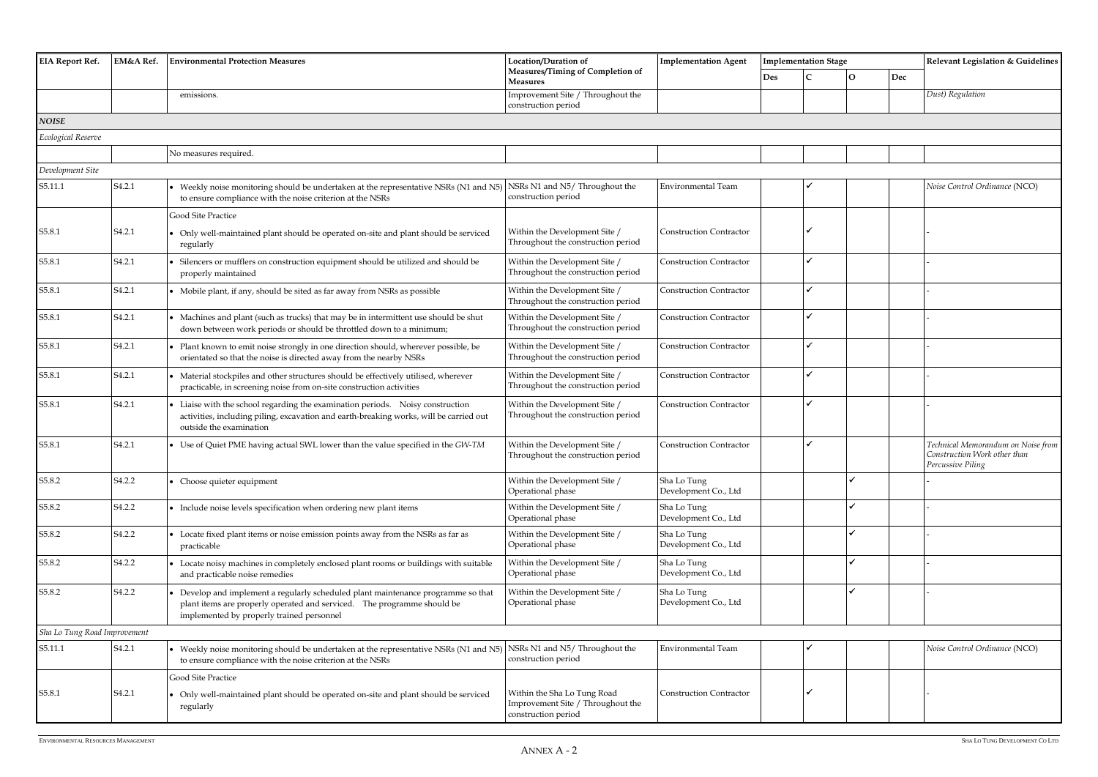| <b>EIA Report Ref.</b><br>EM&A Ref. |                    | <b>Environmental Protection Measures</b>                                                                                                                                                                  | <b>Location/Duration of</b>                                                             | <b>Implementation Agent</b>         | <b>Implementation Stage</b> |     | Relevant Legislation & Guidelines                                                       |
|-------------------------------------|--------------------|-----------------------------------------------------------------------------------------------------------------------------------------------------------------------------------------------------------|-----------------------------------------------------------------------------------------|-------------------------------------|-----------------------------|-----|-----------------------------------------------------------------------------------------|
|                                     |                    |                                                                                                                                                                                                           | Measures/Timing of Completion of<br>Measures                                            |                                     | <b>Des</b><br>О             | Dec |                                                                                         |
|                                     |                    | emissions.                                                                                                                                                                                                | Improvement Site / Throughout the<br>construction period                                |                                     |                             |     | Dust) Regulation                                                                        |
| <b>NOISE</b>                        |                    |                                                                                                                                                                                                           |                                                                                         |                                     |                             |     |                                                                                         |
| Ecological Reserve                  |                    |                                                                                                                                                                                                           |                                                                                         |                                     |                             |     |                                                                                         |
|                                     |                    | No measures required.                                                                                                                                                                                     |                                                                                         |                                     |                             |     |                                                                                         |
| Development Site                    |                    |                                                                                                                                                                                                           |                                                                                         |                                     |                             |     |                                                                                         |
| S5.11.1                             | S <sub>4.2.1</sub> | • Weekly noise monitoring should be undertaken at the representative NSRs (N1 and N5)<br>to ensure compliance with the noise criterion at the NSRs                                                        | NSRs N1 and N5/Throughout the<br>construction period                                    | <b>Environmental Team</b>           |                             |     | Noise Control Ordinance (NCO)                                                           |
|                                     |                    | Good Site Practice                                                                                                                                                                                        |                                                                                         |                                     |                             |     |                                                                                         |
| S5.8.1                              | S <sub>4.2.1</sub> | • Only well-maintained plant should be operated on-site and plant should be serviced<br>regularly                                                                                                         | Within the Development Site /<br>Throughout the construction period                     | <b>Construction Contractor</b>      |                             |     |                                                                                         |
| S5.8.1                              | S <sub>4.2.1</sub> | Silencers or mufflers on construction equipment should be utilized and should be<br>properly maintained                                                                                                   | Within the Development Site /<br>Throughout the construction period                     | <b>Construction Contractor</b>      |                             |     |                                                                                         |
| S5.8.1                              | S <sub>4.2.1</sub> | • Mobile plant, if any, should be sited as far away from NSRs as possible                                                                                                                                 | Within the Development Site /<br>Throughout the construction period                     | <b>Construction Contractor</b>      |                             |     |                                                                                         |
| S5.8.1                              | S <sub>4.2.1</sub> | • Machines and plant (such as trucks) that may be in intermittent use should be shut<br>down between work periods or should be throttled down to a minimum;                                               | Within the Development Site /<br>Throughout the construction period                     | <b>Construction Contractor</b>      |                             |     |                                                                                         |
| S5.8.1                              | S <sub>4.2.1</sub> | Plant known to emit noise strongly in one direction should, wherever possible, be<br>orientated so that the noise is directed away from the nearby NSRs                                                   | Within the Development Site /<br>Throughout the construction period                     | <b>Construction Contractor</b>      |                             |     |                                                                                         |
| S5.8.1                              | S <sub>4.2.1</sub> | • Material stockpiles and other structures should be effectively utilised, wherever<br>practicable, in screening noise from on-site construction activities                                               | Within the Development Site /<br>Throughout the construction period                     | <b>Construction Contractor</b>      |                             |     |                                                                                         |
| S5.8.1                              | S <sub>4.2.1</sub> | Liaise with the school regarding the examination periods. Noisy construction<br>activities, including piling, excavation and earth-breaking works, will be carried out<br>outside the examination         | Within the Development Site /<br>Throughout the construction period                     | <b>Construction Contractor</b>      |                             |     |                                                                                         |
| S5.8.1                              | S <sub>4.2.1</sub> | • Use of Quiet PME having actual SWL lower than the value specified in the GW-TM                                                                                                                          | Within the Development Site /<br>Throughout the construction period                     | <b>Construction Contractor</b>      |                             |     | Technical Memorandum on Noise from<br>Construction Work other than<br>Percussive Piling |
| S5.8.2                              | S <sub>4.2.2</sub> | • Choose quieter equipment                                                                                                                                                                                | Within the Development Site /<br>Operational phase                                      | Sha Lo Tung<br>Development Co., Ltd |                             |     |                                                                                         |
| S5.8.2                              | S <sub>4.2.2</sub> | • Include noise levels specification when ordering new plant items                                                                                                                                        | Within the Development Site /<br>Operational phase                                      | Sha Lo Tung<br>Development Co., Ltd |                             |     |                                                                                         |
| S5.8.2                              | S <sub>4.2.2</sub> | • Locate fixed plant items or noise emission points away from the NSRs as far as<br>practicable                                                                                                           | Within the Development Site /<br>Operational phase                                      | Sha Lo Tung<br>Development Co., Ltd |                             |     |                                                                                         |
| S5.8.2                              | S <sub>4.2.2</sub> | • Locate noisy machines in completely enclosed plant rooms or buildings with suitable<br>and practicable noise remedies                                                                                   | Within the Development Site /<br>Operational phase                                      | Sha Lo Tung<br>Development Co., Ltd |                             |     |                                                                                         |
| S5.8.2                              | S <sub>4.2.2</sub> | • Develop and implement a regularly scheduled plant maintenance programme so that<br>plant items are properly operated and serviced. The programme should be<br>implemented by properly trained personnel | Within the Development Site /<br>Operational phase                                      | Sha Lo Tung<br>Development Co., Ltd |                             |     |                                                                                         |
| Sha Lo Tung Road Improvement        |                    |                                                                                                                                                                                                           |                                                                                         |                                     |                             |     |                                                                                         |
| S5.11.1                             | S <sub>4.2.1</sub> | • Weekly noise monitoring should be undertaken at the representative NSRs (N1 and N5) NSRs N1 and N5/ Throughout the<br>to ensure compliance with the noise criterion at the NSRs                         | construction period                                                                     | <b>Environmental Team</b>           |                             |     | Noise Control Ordinance (NCO)                                                           |
|                                     |                    | Good Site Practice                                                                                                                                                                                        |                                                                                         |                                     |                             |     |                                                                                         |
| S5.8.1                              | S <sub>4.2.1</sub> | • Only well-maintained plant should be operated on-site and plant should be serviced<br>regularly                                                                                                         | Within the Sha Lo Tung Road<br>Improvement Site / Throughout the<br>construction period | <b>Construction Contractor</b>      |                             |     |                                                                                         |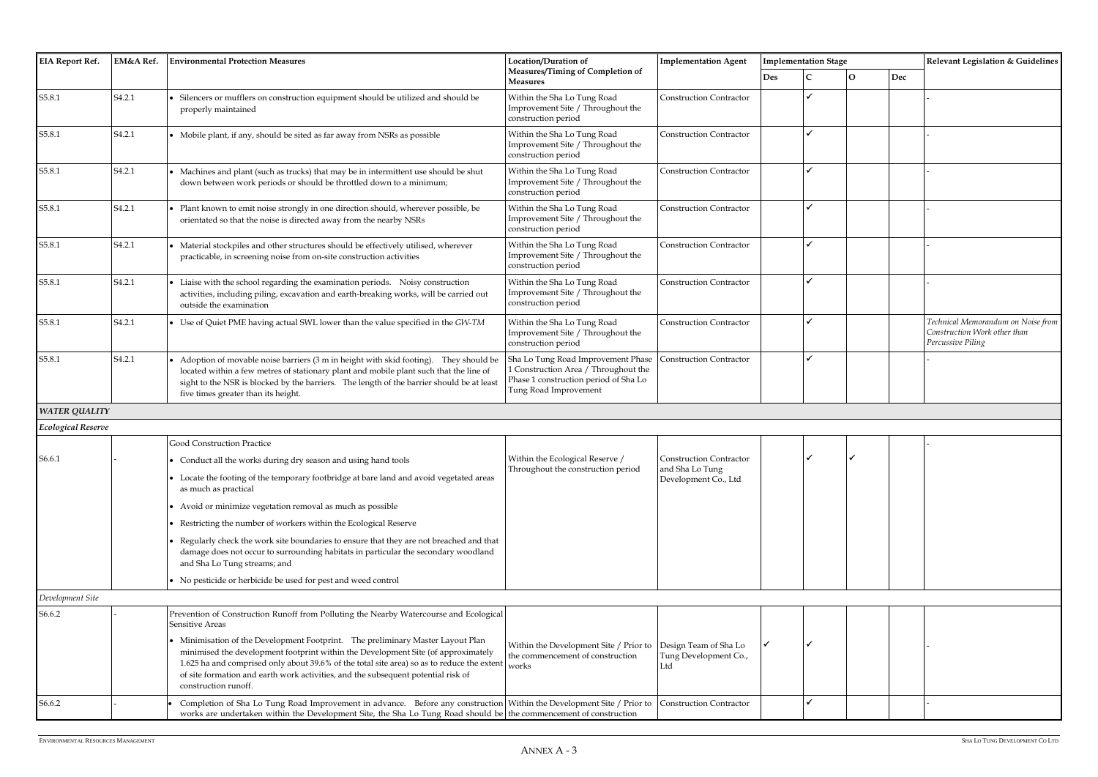| itage |                |     | Relevant Legislation & Guidelines                                                       |  |  |  |  |  |
|-------|----------------|-----|-----------------------------------------------------------------------------------------|--|--|--|--|--|
|       | $\overline{O}$ | Dec |                                                                                         |  |  |  |  |  |
|       |                |     |                                                                                         |  |  |  |  |  |
|       |                |     |                                                                                         |  |  |  |  |  |
|       |                |     | ٠                                                                                       |  |  |  |  |  |
|       |                |     |                                                                                         |  |  |  |  |  |
|       |                |     |                                                                                         |  |  |  |  |  |
|       |                |     |                                                                                         |  |  |  |  |  |
|       |                |     | -                                                                                       |  |  |  |  |  |
|       |                |     |                                                                                         |  |  |  |  |  |
|       |                |     | -                                                                                       |  |  |  |  |  |
|       |                |     |                                                                                         |  |  |  |  |  |
|       |                |     | -                                                                                       |  |  |  |  |  |
|       |                |     |                                                                                         |  |  |  |  |  |
|       |                |     | Technical Memorandum on Noise from<br>Construction Work other than<br>Percussive Piling |  |  |  |  |  |
|       |                |     |                                                                                         |  |  |  |  |  |
|       |                |     |                                                                                         |  |  |  |  |  |
|       |                |     |                                                                                         |  |  |  |  |  |
|       |                |     |                                                                                         |  |  |  |  |  |
|       |                |     |                                                                                         |  |  |  |  |  |
|       |                |     |                                                                                         |  |  |  |  |  |
|       |                |     |                                                                                         |  |  |  |  |  |
|       |                |     |                                                                                         |  |  |  |  |  |
|       |                |     |                                                                                         |  |  |  |  |  |
|       |                |     |                                                                                         |  |  |  |  |  |

| <b>EIA Report Ref.</b>    | EM&A Ref.          | <b>Environmental Protection Measures</b>                                                                                                                                                                                                                                                                                                                                        | Location/Duration of                                                                                                                         | <b>Implementation Agent</b>             |            | <b>Implementation Stage</b> |                |     | <b>Relevant Legislation &amp; Guidelines</b>                                            |  |
|---------------------------|--------------------|---------------------------------------------------------------------------------------------------------------------------------------------------------------------------------------------------------------------------------------------------------------------------------------------------------------------------------------------------------------------------------|----------------------------------------------------------------------------------------------------------------------------------------------|-----------------------------------------|------------|-----------------------------|----------------|-----|-----------------------------------------------------------------------------------------|--|
|                           |                    |                                                                                                                                                                                                                                                                                                                                                                                 | Measures/Timing of Completion of<br><b>Measures</b>                                                                                          |                                         | <b>Des</b> |                             | l <sub>O</sub> | Dec |                                                                                         |  |
| S5.8.1                    | S <sub>4.2.1</sub> | Silencers or mufflers on construction equipment should be utilized and should be<br>properly maintained                                                                                                                                                                                                                                                                         | Within the Sha Lo Tung Road<br>Improvement Site / Throughout the<br>construction period                                                      | <b>Construction Contractor</b>          |            | $\checkmark$                |                |     |                                                                                         |  |
| S5.8.1                    | S <sub>4.2.1</sub> | • Mobile plant, if any, should be sited as far away from NSRs as possible                                                                                                                                                                                                                                                                                                       | Within the Sha Lo Tung Road<br>Improvement Site / Throughout the<br>construction period                                                      | <b>Construction Contractor</b>          |            | $\overline{\mathcal{L}}$    |                |     |                                                                                         |  |
| S5.8.1                    | S <sub>4.2.1</sub> | Machines and plant (such as trucks) that may be in intermittent use should be shut<br>down between work periods or should be throttled down to a minimum;                                                                                                                                                                                                                       | Within the Sha Lo Tung Road<br>Improvement Site / Throughout the<br>construction period                                                      | <b>Construction Contractor</b>          |            | $\checkmark$                |                |     |                                                                                         |  |
| S5.8.1                    | S <sub>4.2.1</sub> | Plant known to emit noise strongly in one direction should, wherever possible, be<br>orientated so that the noise is directed away from the nearby NSRs                                                                                                                                                                                                                         | Within the Sha Lo Tung Road<br>Improvement Site / Throughout the<br>construction period                                                      | <b>Construction Contractor</b>          |            | $\checkmark$                |                |     |                                                                                         |  |
| S5.8.1                    | S <sub>4.2.1</sub> | Material stockpiles and other structures should be effectively utilised, wherever<br>practicable, in screening noise from on-site construction activities                                                                                                                                                                                                                       | Within the Sha Lo Tung Road<br>Improvement Site / Throughout the<br>construction period                                                      | <b>Construction Contractor</b>          |            | $\checkmark$                |                |     |                                                                                         |  |
| S5.8.1                    | S <sub>4.2.1</sub> | Liaise with the school regarding the examination periods. Noisy construction<br>activities, including piling, excavation and earth-breaking works, will be carried out<br>outside the examination                                                                                                                                                                               | Within the Sha Lo Tung Road<br>Improvement Site / Throughout the<br>construction period                                                      | <b>Construction Contractor</b>          |            | $\checkmark$                |                |     |                                                                                         |  |
| S5.8.1                    | S <sub>4.2.1</sub> | • Use of Quiet PME having actual SWL lower than the value specified in the GW-TM                                                                                                                                                                                                                                                                                                | Within the Sha Lo Tung Road<br>Improvement Site / Throughout the<br>construction period                                                      | <b>Construction Contractor</b>          |            |                             |                |     | Technical Memorandum on Noise from<br>Construction Work other than<br>Percussive Piling |  |
| S5.8.1                    | S <sub>4.2.1</sub> | Adoption of movable noise barriers (3 m in height with skid footing). They should be<br>located within a few metres of stationary plant and mobile plant such that the line of<br>sight to the NSR is blocked by the barriers. The length of the barrier should be at least<br>five times greater than its height.                                                              | Sha Lo Tung Road Improvement Phase<br>I Construction Area / Throughout the<br>Phase 1 construction period of Sha Lo<br>Tung Road Improvement | <b>Construction Contractor</b>          |            |                             |                |     |                                                                                         |  |
| <b>WATER QUALITY</b>      |                    |                                                                                                                                                                                                                                                                                                                                                                                 |                                                                                                                                              |                                         |            |                             |                |     |                                                                                         |  |
| <b>Ecological Reserve</b> |                    |                                                                                                                                                                                                                                                                                                                                                                                 |                                                                                                                                              |                                         |            |                             |                |     |                                                                                         |  |
|                           |                    | <b>Good Construction Practice</b>                                                                                                                                                                                                                                                                                                                                               |                                                                                                                                              |                                         |            |                             |                |     |                                                                                         |  |
| S6.6.1                    |                    | • Conduct all the works during dry season and using hand tools                                                                                                                                                                                                                                                                                                                  | Within the Ecological Reserve /<br>Throughout the construction period                                                                        | <b>Construction Contractor</b>          |            |                             |                |     |                                                                                         |  |
|                           |                    | • Locate the footing of the temporary footbridge at bare land and avoid vegetated areas<br>as much as practical                                                                                                                                                                                                                                                                 |                                                                                                                                              | and Sha Lo Tung<br>Development Co., Ltd |            |                             |                |     |                                                                                         |  |
|                           |                    | Avoid or minimize vegetation removal as much as possible                                                                                                                                                                                                                                                                                                                        |                                                                                                                                              |                                         |            |                             |                |     |                                                                                         |  |
|                           |                    | Restricting the number of workers within the Ecological Reserve                                                                                                                                                                                                                                                                                                                 |                                                                                                                                              |                                         |            |                             |                |     |                                                                                         |  |
|                           |                    | Regularly check the work site boundaries to ensure that they are not breached and that<br>damage does not occur to surrounding habitats in particular the secondary woodland<br>and Sha Lo Tung streams; and                                                                                                                                                                    |                                                                                                                                              |                                         |            |                             |                |     |                                                                                         |  |
|                           |                    | • No pesticide or herbicide be used for pest and weed control                                                                                                                                                                                                                                                                                                                   |                                                                                                                                              |                                         |            |                             |                |     |                                                                                         |  |
| Development Site          |                    |                                                                                                                                                                                                                                                                                                                                                                                 |                                                                                                                                              |                                         |            |                             |                |     |                                                                                         |  |
| S6.6.2                    |                    | Prevention of Construction Runoff from Polluting the Nearby Watercourse and Ecological<br>Sensitive Areas                                                                                                                                                                                                                                                                       |                                                                                                                                              |                                         |            |                             |                |     |                                                                                         |  |
|                           |                    | • Minimisation of the Development Footprint. The preliminary Master Layout Plan<br>minimised the development footprint within the Development Site (of approximately<br>1.625 ha and comprised only about 39.6% of the total site area) so as to reduce the extent<br>of site formation and earth work activities, and the subsequent potential risk of<br>construction runoff. | Within the Development Site / Prior to Design Team of Sha Lo<br>the commencement of construction<br>works                                    | Tung Development Co.,<br>Ltd            |            |                             |                |     |                                                                                         |  |
| S6.6.2                    |                    | Completion of Sha Lo Tung Road Improvement in advance. Before any construction Within the Development Site / Prior to<br>works are undertaken within the Development Site, the Sha Lo Tung Road should be the commencement of construction                                                                                                                                      |                                                                                                                                              | <b>Construction Contractor</b>          |            | $\checkmark$                |                |     |                                                                                         |  |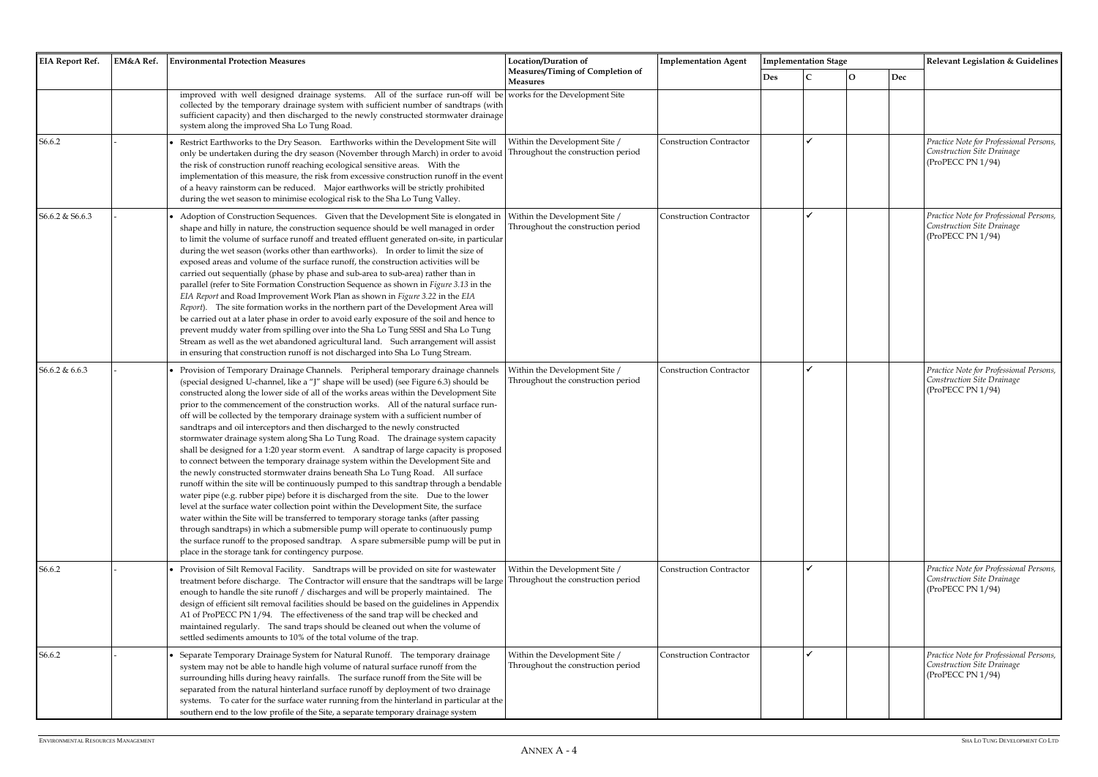| <b>EIA Report Ref.</b> | EM&A Ref. | <b>Environmental Protection Measures</b>                                                                                                                                                                                                                                                                                                                                                                                                                                                                                                                                                                                                                                                                                                                                                                                                                                                                                                                                                                                                                                                                                                                                                                                                                                                                                                                                                                                                                                                   | Location/Duration of                                                | <b>Implementation Agent</b>    |     | <b>Implementation Stage</b> |              |     | Relevant Legislation & Guidelines                                                          |
|------------------------|-----------|--------------------------------------------------------------------------------------------------------------------------------------------------------------------------------------------------------------------------------------------------------------------------------------------------------------------------------------------------------------------------------------------------------------------------------------------------------------------------------------------------------------------------------------------------------------------------------------------------------------------------------------------------------------------------------------------------------------------------------------------------------------------------------------------------------------------------------------------------------------------------------------------------------------------------------------------------------------------------------------------------------------------------------------------------------------------------------------------------------------------------------------------------------------------------------------------------------------------------------------------------------------------------------------------------------------------------------------------------------------------------------------------------------------------------------------------------------------------------------------------|---------------------------------------------------------------------|--------------------------------|-----|-----------------------------|--------------|-----|--------------------------------------------------------------------------------------------|
|                        |           |                                                                                                                                                                                                                                                                                                                                                                                                                                                                                                                                                                                                                                                                                                                                                                                                                                                                                                                                                                                                                                                                                                                                                                                                                                                                                                                                                                                                                                                                                            | Measures/Timing of Completion of<br><b>Measures</b>                 |                                | Des |                             | $\mathbf{O}$ | Dec |                                                                                            |
|                        |           | improved with well designed drainage systems. All of the surface run-off will be works for the Development Site<br>collected by the temporary drainage system with sufficient number of sandtraps (with<br>sufficient capacity) and then discharged to the newly constructed stormwater drainage<br>system along the improved Sha Lo Tung Road.                                                                                                                                                                                                                                                                                                                                                                                                                                                                                                                                                                                                                                                                                                                                                                                                                                                                                                                                                                                                                                                                                                                                            |                                                                     |                                |     |                             |              |     |                                                                                            |
| S6.6.2                 |           | Restrict Earthworks to the Dry Season. Earthworks within the Development Site will<br>only be undertaken during the dry season (November through March) in order to avoid<br>the risk of construction runoff reaching ecological sensitive areas.  With the<br>implementation of this measure, the risk from excessive construction runoff in the event<br>of a heavy rainstorm can be reduced. Major earthworks will be strictly prohibited<br>during the wet season to minimise ecological risk to the Sha Lo Tung Valley.                                                                                                                                                                                                                                                                                                                                                                                                                                                                                                                                                                                                                                                                                                                                                                                                                                                                                                                                                               | Within the Development Site /<br>Throughout the construction period | <b>Construction Contractor</b> |     |                             |              |     | Practice Note for Professional Persons,<br>Construction Site Drainage<br>(ProPECC PN 1/94) |
| S6.6.2 & S6.6.3        |           | Adoption of Construction Sequences. Given that the Development Site is elongated in<br>shape and hilly in nature, the construction sequence should be well managed in order<br>to limit the volume of surface runoff and treated effluent generated on-site, in particular<br>during the wet season (works other than earthworks). In order to limit the size of<br>exposed areas and volume of the surface runoff, the construction activities will be<br>carried out sequentially (phase by phase and sub-area to sub-area) rather than in<br>parallel (refer to Site Formation Construction Sequence as shown in Figure 3.13 in the<br>EIA Report and Road Improvement Work Plan as shown in Figure 3.22 in the EIA<br>Report). The site formation works in the northern part of the Development Area will<br>be carried out at a later phase in order to avoid early exposure of the soil and hence to<br>prevent muddy water from spilling over into the Sha Lo Tung SSSI and Sha Lo Tung<br>Stream as well as the wet abandoned agricultural land. Such arrangement will assist<br>in ensuring that construction runoff is not discharged into Sha Lo Tung Stream.                                                                                                                                                                                                                                                                                                                   | Within the Development Site /<br>Throughout the construction period | <b>Construction Contractor</b> |     |                             |              |     | Practice Note for Professional Persons,<br>Construction Site Drainage<br>(ProPECC PN 1/94) |
| S6.6.2 & 6.6.3         |           | Provision of Temporary Drainage Channels. Peripheral temporary drainage channels<br>(special designed U-channel, like a "J" shape will be used) (see Figure 6.3) should be<br>constructed along the lower side of all of the works areas within the Development Site<br>prior to the commencement of the construction works. All of the natural surface run-<br>off will be collected by the temporary drainage system with a sufficient number of<br>sandtraps and oil interceptors and then discharged to the newly constructed<br>stormwater drainage system along Sha Lo Tung Road.  The drainage system capacity<br>shall be designed for a 1:20 year storm event. A sandtrap of large capacity is proposed<br>to connect between the temporary drainage system within the Development Site and<br>the newly constructed stormwater drains beneath Sha Lo Tung Road. All surface<br>runoff within the site will be continuously pumped to this sandtrap through a bendable<br>water pipe (e.g. rubber pipe) before it is discharged from the site.  Due to the lower<br>level at the surface water collection point within the Development Site, the surface<br>water within the Site will be transferred to temporary storage tanks (after passing<br>through sandtraps) in which a submersible pump will operate to continuously pump<br>the surface runoff to the proposed sandtrap. A spare submersible pump will be put in<br>place in the storage tank for contingency purpose. | Within the Development Site /<br>Throughout the construction period | <b>Construction Contractor</b> |     |                             |              |     | Practice Note for Professional Persons,<br>Construction Site Drainage<br>(ProPECC PN 1/94) |
| S6.6.2                 |           | Provision of Silt Removal Facility. Sandtraps will be provided on site for wastewater<br>treatment before discharge. The Contractor will ensure that the sandtraps will be large<br>enough to handle the site runoff / discharges and will be properly maintained. The<br>design of efficient silt removal facilities should be based on the guidelines in Appendix<br>A1 of ProPECC PN 1/94. The effectiveness of the sand trap will be checked and<br>maintained regularly. The sand traps should be cleaned out when the volume of<br>settled sediments amounts to 10% of the total volume of the trap.                                                                                                                                                                                                                                                                                                                                                                                                                                                                                                                                                                                                                                                                                                                                                                                                                                                                                 | Within the Development Site /<br>Throughout the construction period | <b>Construction Contractor</b> |     |                             |              |     | Practice Note for Professional Persons,<br>Construction Site Drainage<br>(ProPECC PN 1/94) |
| S6.6.2                 |           | Separate Temporary Drainage System for Natural Runoff. The temporary drainage<br>system may not be able to handle high volume of natural surface runoff from the<br>surrounding hills during heavy rainfalls. The surface runoff from the Site will be<br>separated from the natural hinterland surface runoff by deployment of two drainage<br>systems. To cater for the surface water running from the hinterland in particular at the<br>southern end to the low profile of the Site, a separate temporary drainage system                                                                                                                                                                                                                                                                                                                                                                                                                                                                                                                                                                                                                                                                                                                                                                                                                                                                                                                                                              | Within the Development Site /<br>Throughout the construction period | <b>Construction Contractor</b> |     |                             |              |     | Practice Note for Professional Persons,<br>Construction Site Drainage<br>(ProPECC PN 1/94) |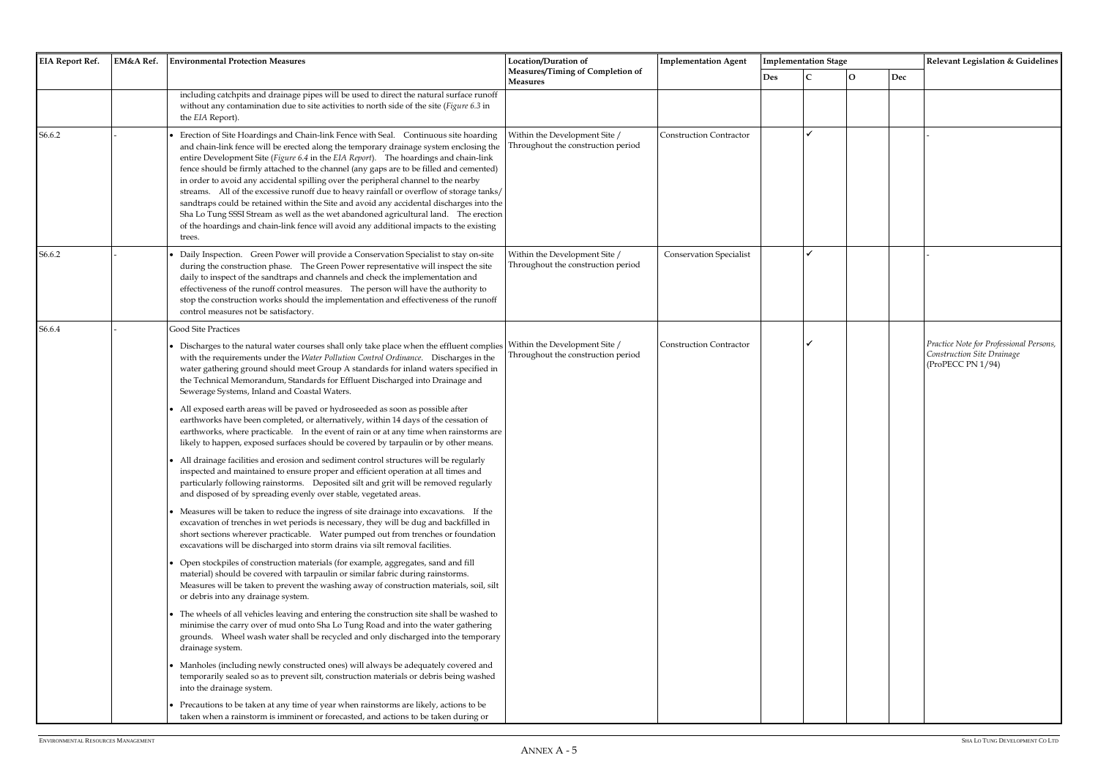|        |  | EM&A Ref.<br><b>Environmental Protection Measures</b>                                                                                                                                                                                                                                                                                                                                                                                                                                                                                                                                                                                                                                                                                                                                                                                                                                                                                                                                                                                                                                                                                                                                                                                                                                                                                                                                                                                                                                                                                                                                                                                                                                                                                                                                                                                                                                                                                                                                                                                                                                                                                                                                                                                                                                                                                                                                                                                                                                                       | Location/Duration of                                                | <b>Implementation Agent</b>    |            | <b>Implementation Stage</b> |              |     | Relevant Legislation & Guidelines                                                          |
|--------|--|-------------------------------------------------------------------------------------------------------------------------------------------------------------------------------------------------------------------------------------------------------------------------------------------------------------------------------------------------------------------------------------------------------------------------------------------------------------------------------------------------------------------------------------------------------------------------------------------------------------------------------------------------------------------------------------------------------------------------------------------------------------------------------------------------------------------------------------------------------------------------------------------------------------------------------------------------------------------------------------------------------------------------------------------------------------------------------------------------------------------------------------------------------------------------------------------------------------------------------------------------------------------------------------------------------------------------------------------------------------------------------------------------------------------------------------------------------------------------------------------------------------------------------------------------------------------------------------------------------------------------------------------------------------------------------------------------------------------------------------------------------------------------------------------------------------------------------------------------------------------------------------------------------------------------------------------------------------------------------------------------------------------------------------------------------------------------------------------------------------------------------------------------------------------------------------------------------------------------------------------------------------------------------------------------------------------------------------------------------------------------------------------------------------------------------------------------------------------------------------------------------------|---------------------------------------------------------------------|--------------------------------|------------|-----------------------------|--------------|-----|--------------------------------------------------------------------------------------------|
|        |  |                                                                                                                                                                                                                                                                                                                                                                                                                                                                                                                                                                                                                                                                                                                                                                                                                                                                                                                                                                                                                                                                                                                                                                                                                                                                                                                                                                                                                                                                                                                                                                                                                                                                                                                                                                                                                                                                                                                                                                                                                                                                                                                                                                                                                                                                                                                                                                                                                                                                                                             | Measures/Timing of Completion of<br><b>Measures</b>                 |                                | <b>Des</b> |                             | $\mathbf{O}$ | Dec |                                                                                            |
|        |  | including catchpits and drainage pipes will be used to direct the natural surface runoff<br>without any contamination due to site activities to north side of the site (Figure 6.3 in<br>the EIA Report).                                                                                                                                                                                                                                                                                                                                                                                                                                                                                                                                                                                                                                                                                                                                                                                                                                                                                                                                                                                                                                                                                                                                                                                                                                                                                                                                                                                                                                                                                                                                                                                                                                                                                                                                                                                                                                                                                                                                                                                                                                                                                                                                                                                                                                                                                                   |                                                                     |                                |            |                             |              |     |                                                                                            |
| S6.6.2 |  | Erection of Site Hoardings and Chain-link Fence with Seal. Continuous site hoarding<br>and chain-link fence will be erected along the temporary drainage system enclosing the<br>entire Development Site (Figure 6.4 in the EIA Report). The hoardings and chain-link<br>fence should be firmly attached to the channel (any gaps are to be filled and cemented)<br>in order to avoid any accidental spilling over the peripheral channel to the nearby<br>streams. All of the excessive runoff due to heavy rainfall or overflow of storage tanks/<br>sandtraps could be retained within the Site and avoid any accidental discharges into the<br>Sha Lo Tung SSSI Stream as well as the wet abandoned agricultural land. The erection<br>of the hoardings and chain-link fence will avoid any additional impacts to the existing<br>trees.                                                                                                                                                                                                                                                                                                                                                                                                                                                                                                                                                                                                                                                                                                                                                                                                                                                                                                                                                                                                                                                                                                                                                                                                                                                                                                                                                                                                                                                                                                                                                                                                                                                                | Within the Development Site /<br>Throughout the construction period | <b>Construction Contractor</b> |            |                             |              |     |                                                                                            |
| S6.6.2 |  | Daily Inspection. Green Power will provide a Conservation Specialist to stay on-site<br>during the construction phase. The Green Power representative will inspect the site<br>daily to inspect of the sandtraps and channels and check the implementation and<br>effectiveness of the runoff control measures. The person will have the authority to<br>stop the construction works should the implementation and effectiveness of the runoff<br>control measures not be satisfactory.                                                                                                                                                                                                                                                                                                                                                                                                                                                                                                                                                                                                                                                                                                                                                                                                                                                                                                                                                                                                                                                                                                                                                                                                                                                                                                                                                                                                                                                                                                                                                                                                                                                                                                                                                                                                                                                                                                                                                                                                                     | Within the Development Site /<br>Throughout the construction period | <b>Conservation Specialist</b> |            |                             |              |     |                                                                                            |
| S6.6.4 |  | Good Site Practices<br>Discharges to the natural water courses shall only take place when the effluent complies<br>with the requirements under the Water Pollution Control Ordinance. Discharges in the<br>water gathering ground should meet Group A standards for inland waters specified in<br>the Technical Memorandum, Standards for Effluent Discharged into Drainage and<br>Sewerage Systems, Inland and Coastal Waters.<br>All exposed earth areas will be paved or hydroseeded as soon as possible after<br>earthworks have been completed, or alternatively, within 14 days of the cessation of<br>earthworks, where practicable. In the event of rain or at any time when rainstorms are<br>likely to happen, exposed surfaces should be covered by tarpaulin or by other means.<br>• All drainage facilities and erosion and sediment control structures will be regularly<br>inspected and maintained to ensure proper and efficient operation at all times and<br>particularly following rainstorms. Deposited silt and grit will be removed regularly<br>and disposed of by spreading evenly over stable, vegetated areas.<br>Measures will be taken to reduce the ingress of site drainage into excavations. If the<br>excavation of trenches in wet periods is necessary, they will be dug and backfilled in<br>short sections wherever practicable.  Water pumped out from trenches or foundation<br>excavations will be discharged into storm drains via silt removal facilities.<br>Open stockpiles of construction materials (for example, aggregates, sand and fill<br>material) should be covered with tarpaulin or similar fabric during rainstorms.<br>Measures will be taken to prevent the washing away of construction materials, soil, silt<br>or debris into any drainage system.<br>• The wheels of all vehicles leaving and entering the construction site shall be washed to<br>minimise the carry over of mud onto Sha Lo Tung Road and into the water gathering<br>grounds. Wheel wash water shall be recycled and only discharged into the temporary<br>drainage system.<br>• Manholes (including newly constructed ones) will always be adequately covered and<br>temporarily sealed so as to prevent silt, construction materials or debris being washed<br>into the drainage system.<br>Precautions to be taken at any time of year when rainstorms are likely, actions to be<br>taken when a rainstorm is imminent or forecasted, and actions to be taken during or | Within the Development Site /<br>Throughout the construction period | Construction Contractor        |            |                             |              |     | Practice Note for Professional Persons,<br>Construction Site Drainage<br>(ProPECC PN 1/94) |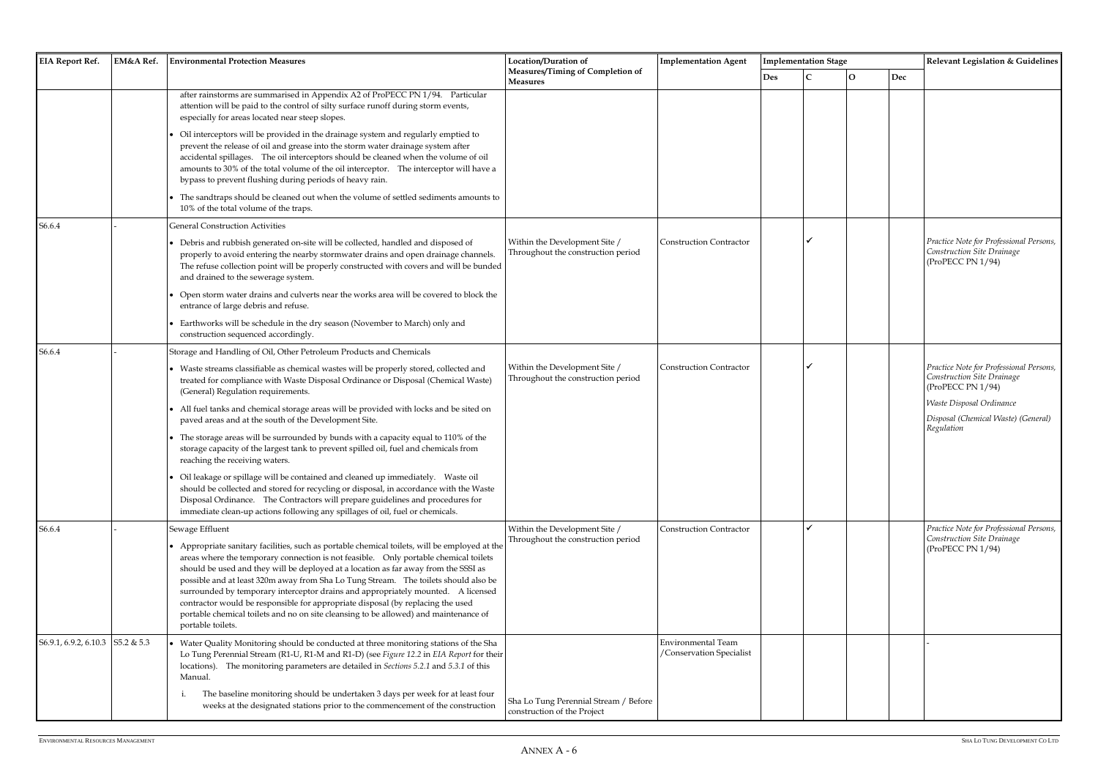| <b>EIA Report Ref.</b> | EM&A Ref.  | <b>Environmental Protection Measures</b>                                                                                                                                                                                                                                                                                                                                                                                                                                                                                                                                                                                                                 | Location/Duration of                                                 | <b>Implementation Agent</b>                           |            | <b>Implementation Stage</b> |
|------------------------|------------|----------------------------------------------------------------------------------------------------------------------------------------------------------------------------------------------------------------------------------------------------------------------------------------------------------------------------------------------------------------------------------------------------------------------------------------------------------------------------------------------------------------------------------------------------------------------------------------------------------------------------------------------------------|----------------------------------------------------------------------|-------------------------------------------------------|------------|-----------------------------|
|                        |            |                                                                                                                                                                                                                                                                                                                                                                                                                                                                                                                                                                                                                                                          | Measures/Timing of Completion of<br><b>Measures</b>                  |                                                       | <b>Des</b> | $\mathsf{C}$                |
|                        |            | after rainstorms are summarised in Appendix A2 of ProPECC PN 1/94. Particular<br>attention will be paid to the control of silty surface runoff during storm events,<br>especially for areas located near steep slopes.                                                                                                                                                                                                                                                                                                                                                                                                                                   |                                                                      |                                                       |            |                             |
|                        |            | Oil interceptors will be provided in the drainage system and regularly emptied to<br>prevent the release of oil and grease into the storm water drainage system after<br>accidental spillages. The oil interceptors should be cleaned when the volume of oil<br>amounts to 30% of the total volume of the oil interceptor. The interceptor will have a<br>bypass to prevent flushing during periods of heavy rain.                                                                                                                                                                                                                                       |                                                                      |                                                       |            |                             |
|                        |            | The sandtraps should be cleaned out when the volume of settled sediments amounts to<br>10% of the total volume of the traps.                                                                                                                                                                                                                                                                                                                                                                                                                                                                                                                             |                                                                      |                                                       |            |                             |
| S6.6.4                 |            | <b>General Construction Activities</b>                                                                                                                                                                                                                                                                                                                                                                                                                                                                                                                                                                                                                   |                                                                      |                                                       |            |                             |
|                        |            | Debris and rubbish generated on-site will be collected, handled and disposed of<br>properly to avoid entering the nearby stormwater drains and open drainage channels.<br>The refuse collection point will be properly constructed with covers and will be bunded<br>and drained to the sewerage system.                                                                                                                                                                                                                                                                                                                                                 | Within the Development Site /<br>Throughout the construction period  | <b>Construction Contractor</b>                        |            |                             |
|                        |            | Open storm water drains and culverts near the works area will be covered to block the<br>entrance of large debris and refuse.                                                                                                                                                                                                                                                                                                                                                                                                                                                                                                                            |                                                                      |                                                       |            |                             |
|                        |            | Earthworks will be schedule in the dry season (November to March) only and<br>construction sequenced accordingly.                                                                                                                                                                                                                                                                                                                                                                                                                                                                                                                                        |                                                                      |                                                       |            |                             |
| S6.6.4                 |            | Storage and Handling of Oil, Other Petroleum Products and Chemicals                                                                                                                                                                                                                                                                                                                                                                                                                                                                                                                                                                                      |                                                                      |                                                       |            |                             |
|                        |            | • Waste streams classifiable as chemical wastes will be properly stored, collected and<br>treated for compliance with Waste Disposal Ordinance or Disposal (Chemical Waste)<br>(General) Regulation requirements.                                                                                                                                                                                                                                                                                                                                                                                                                                        | Within the Development Site /<br>Throughout the construction period  | <b>Construction Contractor</b>                        |            |                             |
|                        |            | All fuel tanks and chemical storage areas will be provided with locks and be sited on<br>paved areas and at the south of the Development Site.                                                                                                                                                                                                                                                                                                                                                                                                                                                                                                           |                                                                      |                                                       |            |                             |
|                        |            | • The storage areas will be surrounded by bunds with a capacity equal to 110% of the<br>storage capacity of the largest tank to prevent spilled oil, fuel and chemicals from<br>reaching the receiving waters.                                                                                                                                                                                                                                                                                                                                                                                                                                           |                                                                      |                                                       |            |                             |
|                        |            | • Oil leakage or spillage will be contained and cleaned up immediately.  Waste oil<br>should be collected and stored for recycling or disposal, in accordance with the Waste<br>Disposal Ordinance. The Contractors will prepare guidelines and procedures for<br>immediate clean-up actions following any spillages of oil, fuel or chemicals.                                                                                                                                                                                                                                                                                                          |                                                                      |                                                       |            |                             |
| S6.6.4                 |            | Sewage Effluent                                                                                                                                                                                                                                                                                                                                                                                                                                                                                                                                                                                                                                          | Within the Development Site /                                        | <b>Construction Contractor</b>                        |            |                             |
|                        |            | • Appropriate sanitary facilities, such as portable chemical toilets, will be employed at the<br>areas where the temporary connection is not feasible.  Only portable chemical toilets<br>should be used and they will be deployed at a location as far away from the SSSI as<br>possible and at least 320m away from Sha Lo Tung Stream. The toilets should also be<br>surrounded by temporary interceptor drains and appropriately mounted. A licensed<br>contractor would be responsible for appropriate disposal (by replacing the used<br>portable chemical toilets and no on site cleansing to be allowed) and maintenance of<br>portable toilets. | Throughout the construction period                                   |                                                       |            |                             |
| S6.9.1, 6.9.2, 6.10.3  | S5.2 & 5.3 | • Water Quality Monitoring should be conducted at three monitoring stations of the Sha<br>Lo Tung Perennial Stream (R1-U, R1-M and R1-D) (see Figure 12.2 in EIA Report for their<br>locations). The monitoring parameters are detailed in Sections 5.2.1 and 5.3.1 of this<br>Manual.                                                                                                                                                                                                                                                                                                                                                                   |                                                                      | <b>Environmental Team</b><br>/Conservation Specialist |            |                             |
|                        |            | The baseline monitoring should be undertaken 3 days per week for at least four<br>1<br>weeks at the designated stations prior to the commencement of the construction                                                                                                                                                                                                                                                                                                                                                                                                                                                                                    | Sha Lo Tung Perennial Stream / Before<br>construction of the Project |                                                       |            |                             |

| <b>Implementation Agent</b>                    |            | <b>Implementation Stage</b> |              | Relevant Legislation & Guidelines |                                                                                                                                                                                    |  |  |  |
|------------------------------------------------|------------|-----------------------------|--------------|-----------------------------------|------------------------------------------------------------------------------------------------------------------------------------------------------------------------------------|--|--|--|
|                                                | <b>Des</b> | $\mathsf C$                 | $\mathbf{O}$ | Dec                               |                                                                                                                                                                                    |  |  |  |
|                                                |            |                             |              |                                   |                                                                                                                                                                                    |  |  |  |
| <b>Construction Contractor</b>                 |            | $\checkmark$                |              |                                   | Practice Note for Professional Persons,<br>Construction Site Drainage<br>(ProPECC PN 1/94)                                                                                         |  |  |  |
| Construction Contractor                        |            | $\checkmark$                |              |                                   | Practice Note for Professional Persons,<br>Construction Site Drainage<br>(ProPECC PN 1/94)<br><b>Waste Disposal Ordinance</b><br>Disposal (Chemical Waste) (General)<br>Regulation |  |  |  |
| <b>Construction Contractor</b>                 |            | ✓                           |              |                                   | Practice Note for Professional Persons,<br>Construction Site Drainage<br>(ProPECC PN 1/94)                                                                                         |  |  |  |
| Environmental Team<br>/Conservation Specialist |            |                             |              |                                   |                                                                                                                                                                                    |  |  |  |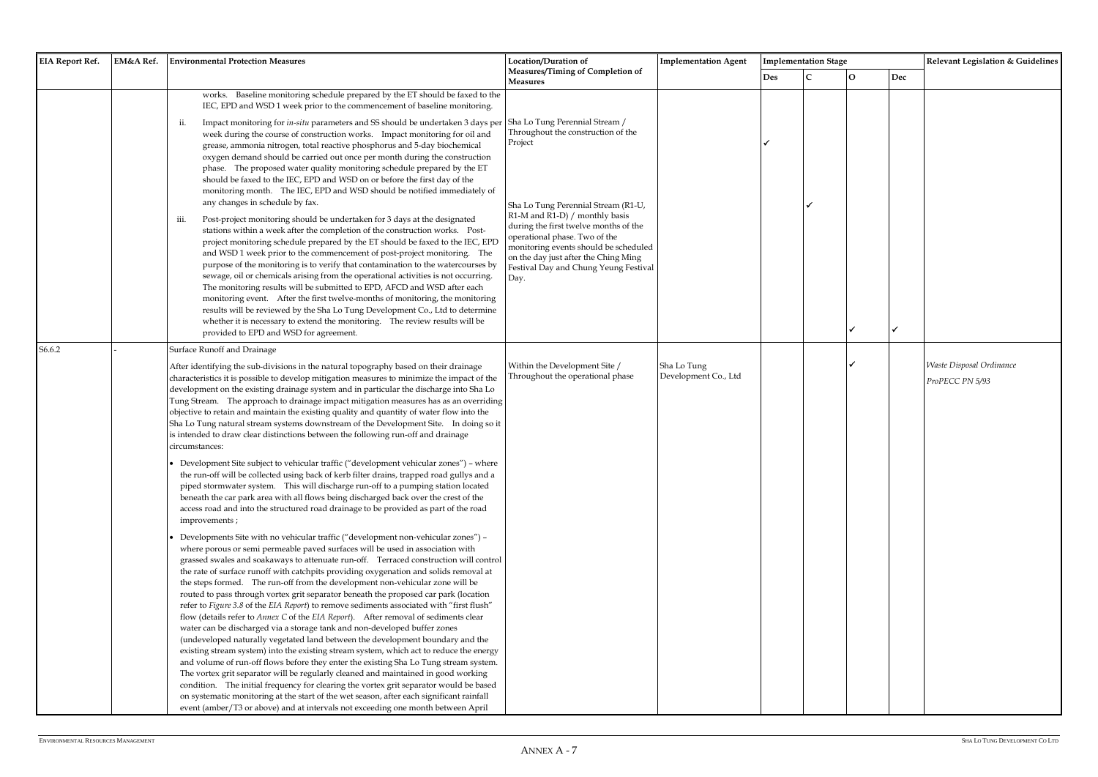| <b>EIA Report Ref.</b> | EM&A Ref. | <b>Environmental Protection Measures</b>                                                                                                                                                                                                                                                                                                                                                                                                                                                                                                                                                                                                                                                                                                                                                                                                                                                                                                                                                                                                                                                                                                                                                                                                                                                                                                                                                                                                                                                                                                                                                                                                                                                                                                                                                                                                                                                                                                                                                                                                                                                                                                                                                                                                                                                                                                                                                                                                                                                                                                                                                                                          | Location/Duration of<br><b>Implementation Agent</b><br>Measures/Timing of Completion of                                                                                                                                                                                                                                                                              |                                     |     | <b>Implementation Stage</b> |
|------------------------|-----------|-----------------------------------------------------------------------------------------------------------------------------------------------------------------------------------------------------------------------------------------------------------------------------------------------------------------------------------------------------------------------------------------------------------------------------------------------------------------------------------------------------------------------------------------------------------------------------------------------------------------------------------------------------------------------------------------------------------------------------------------------------------------------------------------------------------------------------------------------------------------------------------------------------------------------------------------------------------------------------------------------------------------------------------------------------------------------------------------------------------------------------------------------------------------------------------------------------------------------------------------------------------------------------------------------------------------------------------------------------------------------------------------------------------------------------------------------------------------------------------------------------------------------------------------------------------------------------------------------------------------------------------------------------------------------------------------------------------------------------------------------------------------------------------------------------------------------------------------------------------------------------------------------------------------------------------------------------------------------------------------------------------------------------------------------------------------------------------------------------------------------------------------------------------------------------------------------------------------------------------------------------------------------------------------------------------------------------------------------------------------------------------------------------------------------------------------------------------------------------------------------------------------------------------------------------------------------------------------------------------------------------------|----------------------------------------------------------------------------------------------------------------------------------------------------------------------------------------------------------------------------------------------------------------------------------------------------------------------------------------------------------------------|-------------------------------------|-----|-----------------------------|
|                        |           |                                                                                                                                                                                                                                                                                                                                                                                                                                                                                                                                                                                                                                                                                                                                                                                                                                                                                                                                                                                                                                                                                                                                                                                                                                                                                                                                                                                                                                                                                                                                                                                                                                                                                                                                                                                                                                                                                                                                                                                                                                                                                                                                                                                                                                                                                                                                                                                                                                                                                                                                                                                                                                   | <b>Measures</b>                                                                                                                                                                                                                                                                                                                                                      |                                     | Des | C                           |
|                        |           | works. Baseline monitoring schedule prepared by the ET should be faxed to the<br>IEC, EPD and WSD 1 week prior to the commencement of baseline monitoring.<br>Impact monitoring for in-situ parameters and SS should be undertaken 3 days per<br>ii.<br>week during the course of construction works. Impact monitoring for oil and<br>grease, ammonia nitrogen, total reactive phosphorus and 5-day biochemical<br>oxygen demand should be carried out once per month during the construction<br>phase. The proposed water quality monitoring schedule prepared by the ET<br>should be faxed to the IEC, EPD and WSD on or before the first day of the<br>monitoring month. The IEC, EPD and WSD should be notified immediately of<br>any changes in schedule by fax.<br>Post-project monitoring should be undertaken for 3 days at the designated<br>iii.<br>stations within a week after the completion of the construction works. Post-<br>project monitoring schedule prepared by the ET should be faxed to the IEC, EPD<br>and WSD 1 week prior to the commencement of post-project monitoring. The<br>purpose of the monitoring is to verify that contamination to the watercourses by<br>sewage, oil or chemicals arising from the operational activities is not occurring.<br>The monitoring results will be submitted to EPD, AFCD and WSD after each<br>monitoring event. After the first twelve-months of monitoring, the monitoring<br>results will be reviewed by the Sha Lo Tung Development Co., Ltd to determine<br>whether it is necessary to extend the monitoring. The review results will be<br>provided to EPD and WSD for agreement.                                                                                                                                                                                                                                                                                                                                                                                                                                                                                                                                                                                                                                                                                                                                                                                                                                                                                                                                                                       | Sha Lo Tung Perennial Stream /<br>Throughout the construction of the<br>Project<br>Sha Lo Tung Perennial Stream (R1-U,<br>R1-M and R1-D) / monthly basis<br>during the first twelve months of the<br>operational phase. Two of the<br>monitoring events should be scheduled<br>on the day just after the Ching Ming<br>Festival Day and Chung Yeung Festival<br>Day. |                                     | ✔   |                             |
| S6.6.2                 |           | <b>Surface Runoff and Drainage</b><br>After identifying the sub-divisions in the natural topography based on their drainage<br>characteristics it is possible to develop mitigation measures to minimize the impact of the<br>development on the existing drainage system and in particular the discharge into Sha Lo<br>Tung Stream. The approach to drainage impact mitigation measures has as an overriding<br>objective to retain and maintain the existing quality and quantity of water flow into the<br>Sha Lo Tung natural stream systems downstream of the Development Site. In doing so it<br>is intended to draw clear distinctions between the following run-off and drainage<br>circumstances:<br>• Development Site subject to vehicular traffic ("development vehicular zones") - where<br>the run-off will be collected using back of kerb filter drains, trapped road gullys and a<br>piped stormwater system. This will discharge run-off to a pumping station located<br>beneath the car park area with all flows being discharged back over the crest of the<br>access road and into the structured road drainage to be provided as part of the road<br>improvements;<br>Developments Site with no vehicular traffic ("development non-vehicular zones") -<br>where porous or semi permeable paved surfaces will be used in association with<br>grassed swales and soakaways to attenuate run-off. Terraced construction will control<br>the rate of surface runoff with catchpits providing oxygenation and solids removal at<br>the steps formed. The run-off from the development non-vehicular zone will be<br>routed to pass through vortex grit separator beneath the proposed car park (location<br>refer to Figure 3.8 of the EIA Report) to remove sediments associated with "first flush"<br>flow (details refer to Annex C of the EIA Report). After removal of sediments clear<br>water can be discharged via a storage tank and non-developed buffer zones<br>(undeveloped naturally vegetated land between the development boundary and the<br>existing stream system) into the existing stream system, which act to reduce the energy<br>and volume of run-off flows before they enter the existing Sha Lo Tung stream system.<br>The vortex grit separator will be regularly cleaned and maintained in good working<br>condition. The initial frequency for clearing the vortex grit separator would be based<br>on systematic monitoring at the start of the wet season, after each significant rainfall<br>event (amber/T3 or above) and at intervals not exceeding one month between April | Within the Development Site /<br>Throughout the operational phase                                                                                                                                                                                                                                                                                                    | Sha Lo Tung<br>Development Co., Ltd |     |                             |

|     | <b>Implementation Stage</b> |              |                             | Relevant Legislation & Guidelines |
|-----|-----------------------------|--------------|-----------------------------|-----------------------------------|
| Des | $\mathsf{C}$                | $\mathbf 0$  | $\mathop{\rm Dec}\nolimits$ |                                   |
|     |                             |              |                             |                                   |
|     |                             |              |                             |                                   |
|     |                             |              |                             |                                   |
| ✓   |                             |              |                             |                                   |
|     |                             |              |                             |                                   |
|     |                             |              |                             |                                   |
|     |                             |              |                             |                                   |
|     | $\checkmark$                |              |                             |                                   |
|     |                             |              |                             |                                   |
|     |                             |              |                             |                                   |
|     |                             |              |                             |                                   |
|     |                             |              |                             |                                   |
|     |                             |              |                             |                                   |
|     |                             |              |                             |                                   |
|     |                             |              |                             |                                   |
|     |                             | $\checkmark$ | $\checkmark$                |                                   |
|     |                             |              |                             |                                   |
|     |                             | ✓            |                             | Waste Disposal Ordinance          |
|     |                             |              |                             | ProPECC PN 5/93                   |
|     |                             |              |                             |                                   |
|     |                             |              |                             |                                   |
|     |                             |              |                             |                                   |
|     |                             |              |                             |                                   |
|     |                             |              |                             |                                   |
|     |                             |              |                             |                                   |
|     |                             |              |                             |                                   |
|     |                             |              |                             |                                   |
|     |                             |              |                             |                                   |
|     |                             |              |                             |                                   |
|     |                             |              |                             |                                   |
|     |                             |              |                             |                                   |
|     |                             |              |                             |                                   |
|     |                             |              |                             |                                   |
|     |                             |              |                             |                                   |
|     |                             |              |                             |                                   |
|     |                             |              |                             |                                   |
|     |                             |              |                             |                                   |
|     |                             |              |                             |                                   |
|     |                             |              |                             |                                   |
|     |                             |              |                             |                                   |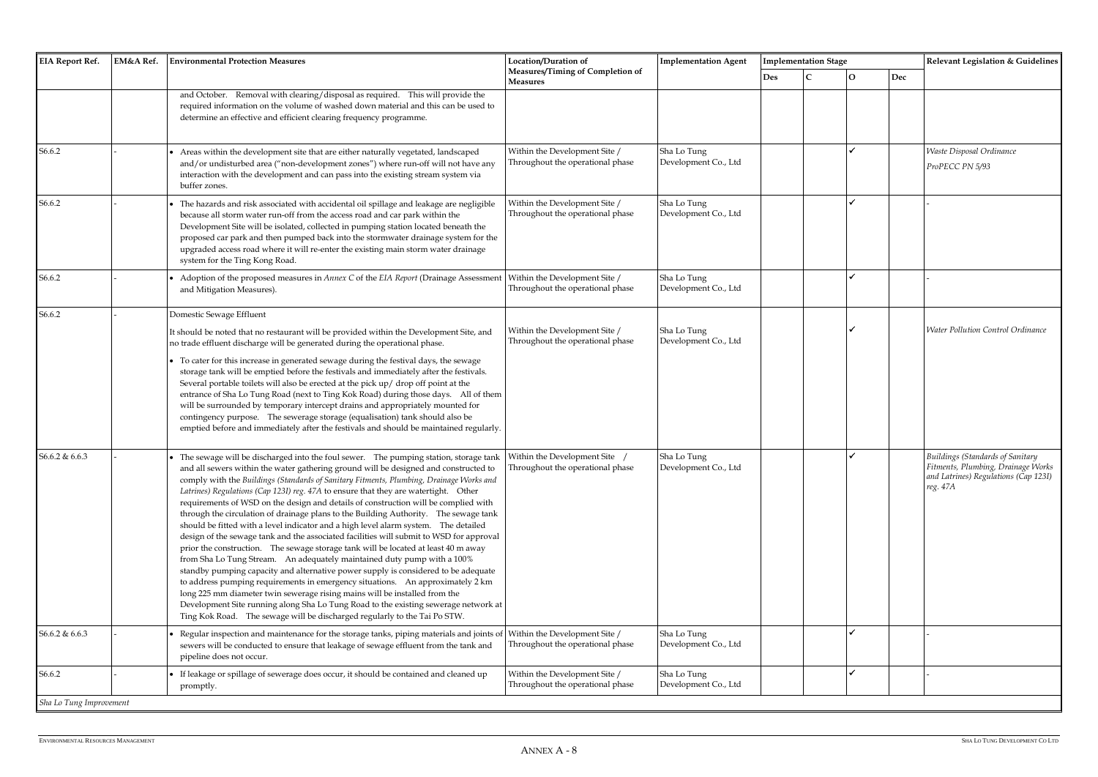| <b>EIA Report Ref.</b>  | EM&A Ref.<br><b>Environmental Protection Measures</b>                                                                                                                                                                                                                                                                                                                                                                                                                                                                                                                                                                                                                                                                                                                                                                                                                                                                                                                                                                                                                                                                                                                                                                                                                                                                                                      | Location/Duration of                                              | <b>Implementation Agent</b>         | <b>Implementation Stage</b> |  |              | Relevant Legislation & Guidelines |                                                                                                                                   |
|-------------------------|------------------------------------------------------------------------------------------------------------------------------------------------------------------------------------------------------------------------------------------------------------------------------------------------------------------------------------------------------------------------------------------------------------------------------------------------------------------------------------------------------------------------------------------------------------------------------------------------------------------------------------------------------------------------------------------------------------------------------------------------------------------------------------------------------------------------------------------------------------------------------------------------------------------------------------------------------------------------------------------------------------------------------------------------------------------------------------------------------------------------------------------------------------------------------------------------------------------------------------------------------------------------------------------------------------------------------------------------------------|-------------------------------------------------------------------|-------------------------------------|-----------------------------|--|--------------|-----------------------------------|-----------------------------------------------------------------------------------------------------------------------------------|
|                         |                                                                                                                                                                                                                                                                                                                                                                                                                                                                                                                                                                                                                                                                                                                                                                                                                                                                                                                                                                                                                                                                                                                                                                                                                                                                                                                                                            | Measures/Timing of Completion of<br><b>Measures</b>               |                                     | Des                         |  | $\mathbf{O}$ | Dec                               |                                                                                                                                   |
|                         | and October. Removal with clearing/disposal as required. This will provide the<br>required information on the volume of washed down material and this can be used to<br>determine an effective and efficient clearing frequency programme.                                                                                                                                                                                                                                                                                                                                                                                                                                                                                                                                                                                                                                                                                                                                                                                                                                                                                                                                                                                                                                                                                                                 |                                                                   |                                     |                             |  |              |                                   |                                                                                                                                   |
| S6.6.2                  | Areas within the development site that are either naturally vegetated, landscaped<br>and/or undisturbed area ("non-development zones") where run-off will not have any<br>interaction with the development and can pass into the existing stream system via<br>buffer zones.                                                                                                                                                                                                                                                                                                                                                                                                                                                                                                                                                                                                                                                                                                                                                                                                                                                                                                                                                                                                                                                                               | Within the Development Site /<br>Throughout the operational phase | Sha Lo Tung<br>Development Co., Ltd |                             |  |              |                                   | Waste Disposal Ordinance<br>ProPECC PN 5/93                                                                                       |
| S6.6.2                  | The hazards and risk associated with accidental oil spillage and leakage are negligible<br>because all storm water run-off from the access road and car park within the<br>Development Site will be isolated, collected in pumping station located beneath the<br>proposed car park and then pumped back into the stormwater drainage system for the<br>upgraded access road where it will re-enter the existing main storm water drainage<br>system for the Ting Kong Road.                                                                                                                                                                                                                                                                                                                                                                                                                                                                                                                                                                                                                                                                                                                                                                                                                                                                               | Within the Development Site /<br>Throughout the operational phase | Sha Lo Tung<br>Development Co., Ltd |                             |  |              |                                   |                                                                                                                                   |
| S6.6.2                  | Adoption of the proposed measures in Annex C of the EIA Report (Drainage Assessment<br>and Mitigation Measures).                                                                                                                                                                                                                                                                                                                                                                                                                                                                                                                                                                                                                                                                                                                                                                                                                                                                                                                                                                                                                                                                                                                                                                                                                                           | Within the Development Site /<br>Throughout the operational phase | Sha Lo Tung<br>Development Co., Ltd |                             |  |              |                                   |                                                                                                                                   |
| S6.6.2                  | Domestic Sewage Effluent<br>It should be noted that no restaurant will be provided within the Development Site, and<br>no trade effluent discharge will be generated during the operational phase.                                                                                                                                                                                                                                                                                                                                                                                                                                                                                                                                                                                                                                                                                                                                                                                                                                                                                                                                                                                                                                                                                                                                                         | Within the Development Site /<br>Throughout the operational phase | Sha Lo Tung<br>Development Co., Ltd |                             |  |              |                                   | <b>Water Pollution Control Ordinance</b>                                                                                          |
|                         | To cater for this increase in generated sewage during the festival days, the sewage<br>storage tank will be emptied before the festivals and immediately after the festivals.<br>Several portable toilets will also be erected at the pick up/ drop off point at the<br>entrance of Sha Lo Tung Road (next to Ting Kok Road) during those days. All of them<br>will be surrounded by temporary intercept drains and appropriately mounted for<br>contingency purpose. The sewerage storage (equalisation) tank should also be<br>emptied before and immediately after the festivals and should be maintained regularly.                                                                                                                                                                                                                                                                                                                                                                                                                                                                                                                                                                                                                                                                                                                                    |                                                                   |                                     |                             |  |              |                                   |                                                                                                                                   |
| S6.6.2 & 6.6.3          | • The sewage will be discharged into the foul sewer. The pumping station, storage tank   Within the Development Site<br>and all sewers within the water gathering ground will be designed and constructed to<br>comply with the Buildings (Standards of Sanitary Fitments, Plumbing, Drainage Works and<br>Latrines) Regulations (Cap 123I) reg. 47A to ensure that they are watertight. Other<br>requirements of WSD on the design and details of construction will be complied with<br>through the circulation of drainage plans to the Building Authority. The sewage tank<br>should be fitted with a level indicator and a high level alarm system. The detailed<br>design of the sewage tank and the associated facilities will submit to WSD for approval<br>prior the construction. The sewage storage tank will be located at least 40 m away<br>from Sha Lo Tung Stream. An adequately maintained duty pump with a 100%<br>standby pumping capacity and alternative power supply is considered to be adequate<br>to address pumping requirements in emergency situations. An approximately 2 km<br>long 225 mm diameter twin sewerage rising mains will be installed from the<br>Development Site running along Sha Lo Tung Road to the existing sewerage network at<br>Ting Kok Road. The sewage will be discharged regularly to the Tai Po STW. | Throughout the operational phase                                  | Sha Lo Tung<br>Development Co., Ltd |                             |  |              |                                   | <b>Buildings (Standards of Sanitary</b><br>Fitments, Plumbing, Drainage Works<br>and Latrines) Regulations (Cap 123I)<br>reg. 47A |
| S6.6.2 & 6.6.3          | Regular inspection and maintenance for the storage tanks, piping materials and joints of<br>sewers will be conducted to ensure that leakage of sewage effluent from the tank and<br>pipeline does not occur.                                                                                                                                                                                                                                                                                                                                                                                                                                                                                                                                                                                                                                                                                                                                                                                                                                                                                                                                                                                                                                                                                                                                               | Within the Development Site /<br>Throughout the operational phase | Sha Lo Tung<br>Development Co., Ltd |                             |  |              |                                   |                                                                                                                                   |
| S6.6.2                  | If leakage or spillage of sewerage does occur, it should be contained and cleaned up<br>promptly.                                                                                                                                                                                                                                                                                                                                                                                                                                                                                                                                                                                                                                                                                                                                                                                                                                                                                                                                                                                                                                                                                                                                                                                                                                                          | Within the Development Site /<br>Throughout the operational phase | Sha Lo Tung<br>Development Co., Ltd |                             |  |              |                                   |                                                                                                                                   |
| Sha Lo Tung Improvement |                                                                                                                                                                                                                                                                                                                                                                                                                                                                                                                                                                                                                                                                                                                                                                                                                                                                                                                                                                                                                                                                                                                                                                                                                                                                                                                                                            |                                                                   |                                     |                             |  |              |                                   |                                                                                                                                   |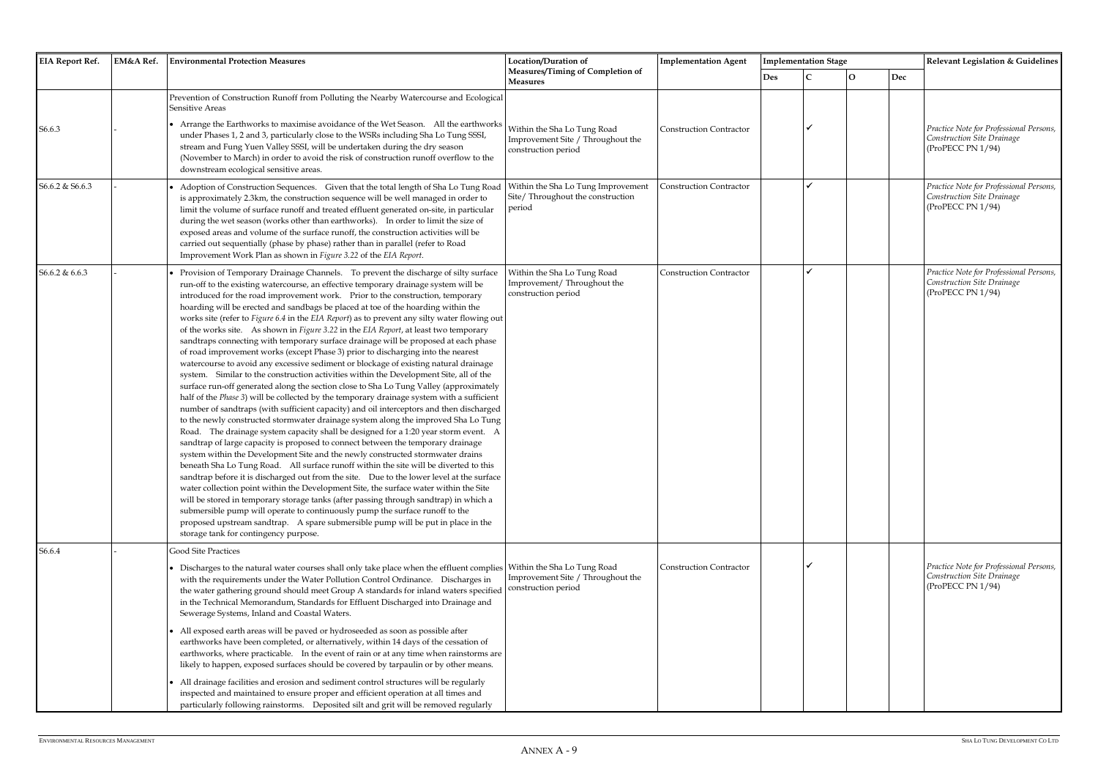| <b>EIA Report Ref.</b><br>EM&A Ref. |  | <b>Environmental Protection Measures</b>                                                                                                                                                                                                                                                                                                                                                                                                                                                                                                                                                                                                                                                                                                                                                                                                                                                                                                                                                                                                                                                                                                                                                                                                                                                                                                                                                                                                                                                                                                                                                                                                                                                                                                                                                                                                                                                                                                                                                                                                                                                                                         | Location/Duration of                                                                    | <b>Implementation Agent</b>    |     | <b>Implementation Stage</b> |              |     | Relevant Legislation & Guidelines                                                          |
|-------------------------------------|--|----------------------------------------------------------------------------------------------------------------------------------------------------------------------------------------------------------------------------------------------------------------------------------------------------------------------------------------------------------------------------------------------------------------------------------------------------------------------------------------------------------------------------------------------------------------------------------------------------------------------------------------------------------------------------------------------------------------------------------------------------------------------------------------------------------------------------------------------------------------------------------------------------------------------------------------------------------------------------------------------------------------------------------------------------------------------------------------------------------------------------------------------------------------------------------------------------------------------------------------------------------------------------------------------------------------------------------------------------------------------------------------------------------------------------------------------------------------------------------------------------------------------------------------------------------------------------------------------------------------------------------------------------------------------------------------------------------------------------------------------------------------------------------------------------------------------------------------------------------------------------------------------------------------------------------------------------------------------------------------------------------------------------------------------------------------------------------------------------------------------------------|-----------------------------------------------------------------------------------------|--------------------------------|-----|-----------------------------|--------------|-----|--------------------------------------------------------------------------------------------|
|                                     |  |                                                                                                                                                                                                                                                                                                                                                                                                                                                                                                                                                                                                                                                                                                                                                                                                                                                                                                                                                                                                                                                                                                                                                                                                                                                                                                                                                                                                                                                                                                                                                                                                                                                                                                                                                                                                                                                                                                                                                                                                                                                                                                                                  | Measures/Timing of Completion of<br>Measures                                            |                                | Des | $\mathbf C$                 | $\mathbf{O}$ | Dec |                                                                                            |
| S6.6.3                              |  | Prevention of Construction Runoff from Polluting the Nearby Watercourse and Ecological<br><b>Sensitive Areas</b><br>• Arrange the Earthworks to maximise avoidance of the Wet Season. All the earthworks<br>under Phases 1, 2 and 3, particularly close to the WSRs including Sha Lo Tung SSSI,<br>stream and Fung Yuen Valley SSSI, will be undertaken during the dry season<br>(November to March) in order to avoid the risk of construction runoff overflow to the<br>downstream ecological sensitive areas.                                                                                                                                                                                                                                                                                                                                                                                                                                                                                                                                                                                                                                                                                                                                                                                                                                                                                                                                                                                                                                                                                                                                                                                                                                                                                                                                                                                                                                                                                                                                                                                                                 | Within the Sha Lo Tung Road<br>Improvement Site / Throughout the<br>construction period | Construction Contractor        |     |                             |              |     | Practice Note for Professional Persons,<br>Construction Site Drainage<br>(ProPECC PN 1/94) |
| S6.6.2 & S6.6.3                     |  | Adoption of Construction Sequences. Given that the total length of Sha Lo Tung Road<br>is approximately 2.3km, the construction sequence will be well managed in order to<br>limit the volume of surface runoff and treated effluent generated on-site, in particular<br>during the wet season (works other than earthworks). In order to limit the size of<br>exposed areas and volume of the surface runoff, the construction activities will be<br>carried out sequentially (phase by phase) rather than in parallel (refer to Road<br>Improvement Work Plan as shown in Figure 3.22 of the EIA Report.                                                                                                                                                                                                                                                                                                                                                                                                                                                                                                                                                                                                                                                                                                                                                                                                                                                                                                                                                                                                                                                                                                                                                                                                                                                                                                                                                                                                                                                                                                                       | Within the Sha Lo Tung Improvement<br>Site/ Throughout the construction<br>period       | <b>Construction Contractor</b> |     |                             |              |     | Practice Note for Professional Persons,<br>Construction Site Drainage<br>(ProPECC PN 1/94) |
| S6.6.2 & 6.6.3                      |  | Provision of Temporary Drainage Channels. To prevent the discharge of silty surface<br>run-off to the existing watercourse, an effective temporary drainage system will be<br>introduced for the road improvement work. Prior to the construction, temporary<br>hoarding will be erected and sandbags be placed at toe of the hoarding within the<br>works site (refer to Figure 6.4 in the EIA Report) as to prevent any silty water flowing out<br>of the works site. As shown in Figure 3.22 in the EIA Report, at least two temporary<br>sandtraps connecting with temporary surface drainage will be proposed at each phase<br>of road improvement works (except Phase 3) prior to discharging into the nearest<br>watercourse to avoid any excessive sediment or blockage of existing natural drainage<br>system. Similar to the construction activities within the Development Site, all of the<br>surface run-off generated along the section close to Sha Lo Tung Valley (approximately<br>half of the Phase 3) will be collected by the temporary drainage system with a sufficient<br>number of sandtraps (with sufficient capacity) and oil interceptors and then discharged<br>to the newly constructed stormwater drainage system along the improved Sha Lo Tung<br>Road. The drainage system capacity shall be designed for a 1:20 year storm event. A<br>sandtrap of large capacity is proposed to connect between the temporary drainage<br>system within the Development Site and the newly constructed stormwater drains<br>beneath Sha Lo Tung Road. All surface runoff within the site will be diverted to this<br>sandtrap before it is discharged out from the site. Due to the lower level at the surface<br>water collection point within the Development Site, the surface water within the Site<br>will be stored in temporary storage tanks (after passing through sandtrap) in which a<br>submersible pump will operate to continuously pump the surface runoff to the<br>proposed upstream sandtrap. A spare submersible pump will be put in place in the<br>storage tank for contingency purpose. | Within the Sha Lo Tung Road<br>Improvement/Throughout the<br>construction period        | <b>Construction Contractor</b> |     |                             |              |     | Practice Note for Professional Persons,<br>Construction Site Drainage<br>(ProPECC PN 1/94) |
| S6.6.4                              |  | Good Site Practices<br>• Discharges to the natural water courses shall only take place when the effluent complies<br>with the requirements under the Water Pollution Control Ordinance. Discharges in<br>the water gathering ground should meet Group A standards for inland waters specified<br>in the Technical Memorandum, Standards for Effluent Discharged into Drainage and<br>Sewerage Systems, Inland and Coastal Waters.<br>• All exposed earth areas will be paved or hydroseeded as soon as possible after<br>earthworks have been completed, or alternatively, within 14 days of the cessation of<br>earthworks, where practicable. In the event of rain or at any time when rainstorms are<br>likely to happen, exposed surfaces should be covered by tarpaulin or by other means.                                                                                                                                                                                                                                                                                                                                                                                                                                                                                                                                                                                                                                                                                                                                                                                                                                                                                                                                                                                                                                                                                                                                                                                                                                                                                                                                  | Within the Sha Lo Tung Road<br>Improvement Site / Throughout the<br>construction period | Construction Contractor        |     |                             |              |     | Practice Note for Professional Persons,<br>Construction Site Drainage<br>(ProPECC PN 1/94) |
|                                     |  | • All drainage facilities and erosion and sediment control structures will be regularly<br>inspected and maintained to ensure proper and efficient operation at all times and<br>particularly following rainstorms. Deposited silt and grit will be removed regularly                                                                                                                                                                                                                                                                                                                                                                                                                                                                                                                                                                                                                                                                                                                                                                                                                                                                                                                                                                                                                                                                                                                                                                                                                                                                                                                                                                                                                                                                                                                                                                                                                                                                                                                                                                                                                                                            |                                                                                         |                                |     |                             |              |     |                                                                                            |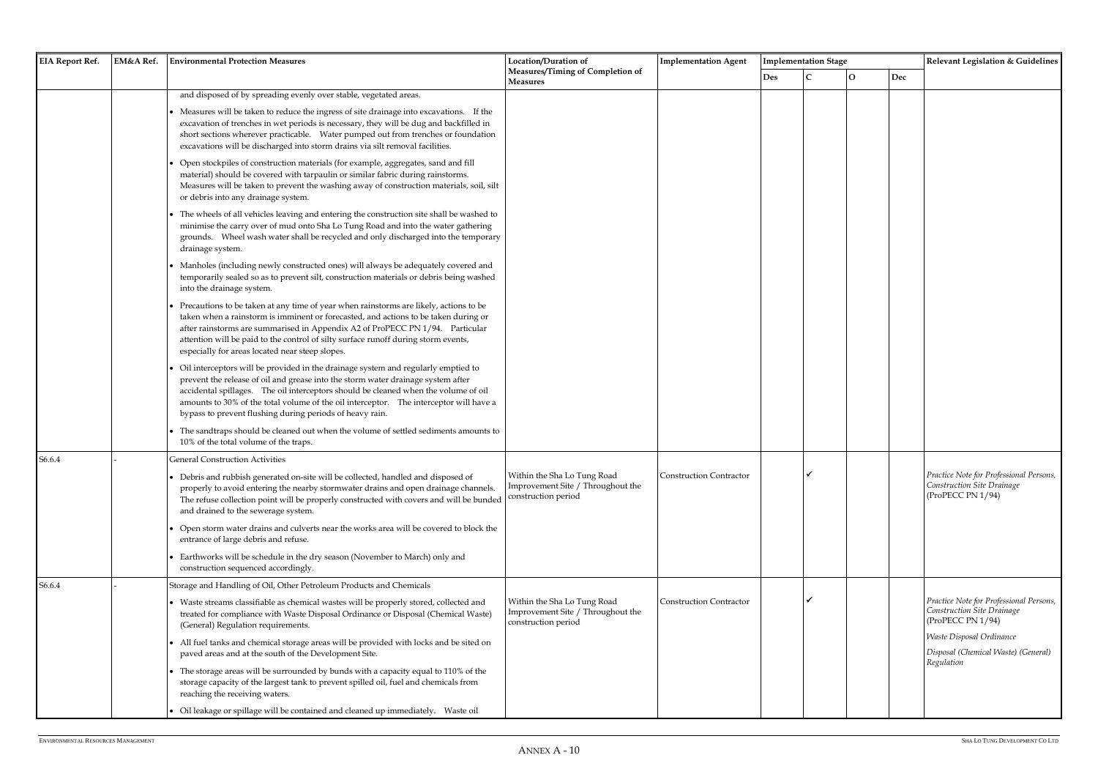| <b>EIA Report Ref.</b> | <b>EM&amp;A Ref.</b> | <b>Environmental Protection Measures</b>                                                                                                                                                                                                                                                                                                                                                                                                                                                                                                                                                                                                                                                                                                                                                                                                                                                                                                                                                                                                                                                                                                                                                                                                                                                                                                                                                                                                                                                                                                                                                                                                                                                                                                                                                                                                                                                                                                                                                                                                                                        | <b>Location/Duration of</b><br>Measures/Timing of Completion of                         | <b>Implementation Agent</b> |            | <b>Implementation Stage</b> |              |     | Relevant Legislation & Guidelines                                                                                                                                                  |  |
|------------------------|----------------------|---------------------------------------------------------------------------------------------------------------------------------------------------------------------------------------------------------------------------------------------------------------------------------------------------------------------------------------------------------------------------------------------------------------------------------------------------------------------------------------------------------------------------------------------------------------------------------------------------------------------------------------------------------------------------------------------------------------------------------------------------------------------------------------------------------------------------------------------------------------------------------------------------------------------------------------------------------------------------------------------------------------------------------------------------------------------------------------------------------------------------------------------------------------------------------------------------------------------------------------------------------------------------------------------------------------------------------------------------------------------------------------------------------------------------------------------------------------------------------------------------------------------------------------------------------------------------------------------------------------------------------------------------------------------------------------------------------------------------------------------------------------------------------------------------------------------------------------------------------------------------------------------------------------------------------------------------------------------------------------------------------------------------------------------------------------------------------|-----------------------------------------------------------------------------------------|-----------------------------|------------|-----------------------------|--------------|-----|------------------------------------------------------------------------------------------------------------------------------------------------------------------------------------|--|
|                        |                      |                                                                                                                                                                                                                                                                                                                                                                                                                                                                                                                                                                                                                                                                                                                                                                                                                                                                                                                                                                                                                                                                                                                                                                                                                                                                                                                                                                                                                                                                                                                                                                                                                                                                                                                                                                                                                                                                                                                                                                                                                                                                                 | <b>Measures</b>                                                                         |                             | <b>Des</b> |                             | $\mathbf{O}$ | Dec |                                                                                                                                                                                    |  |
|                        |                      | and disposed of by spreading evenly over stable, vegetated areas.<br>Measures will be taken to reduce the ingress of site drainage into excavations. If the<br>excavation of trenches in wet periods is necessary, they will be dug and backfilled in<br>short sections wherever practicable.  Water pumped out from trenches or foundation<br>excavations will be discharged into storm drains via silt removal facilities.<br>Open stockpiles of construction materials (for example, aggregates, sand and fill<br>material) should be covered with tarpaulin or similar fabric during rainstorms.<br>Measures will be taken to prevent the washing away of construction materials, soil, silt<br>or debris into any drainage system.<br>The wheels of all vehicles leaving and entering the construction site shall be washed to<br>minimise the carry over of mud onto Sha Lo Tung Road and into the water gathering<br>grounds. Wheel wash water shall be recycled and only discharged into the temporary<br>drainage system.<br>Manholes (including newly constructed ones) will always be adequately covered and<br>temporarily sealed so as to prevent silt, construction materials or debris being washed<br>into the drainage system.<br>Precautions to be taken at any time of year when rainstorms are likely, actions to be<br>taken when a rainstorm is imminent or forecasted, and actions to be taken during or<br>after rainstorms are summarised in Appendix A2 of ProPECC PN 1/94. Particular<br>attention will be paid to the control of silty surface runoff during storm events,<br>especially for areas located near steep slopes.<br>Oil interceptors will be provided in the drainage system and regularly emptied to<br>prevent the release of oil and grease into the storm water drainage system after<br>accidental spillages. The oil interceptors should be cleaned when the volume of oil<br>amounts to 30% of the total volume of the oil interceptor. The interceptor will have a<br>bypass to prevent flushing during periods of heavy rain. |                                                                                         |                             |            |                             |              |     |                                                                                                                                                                                    |  |
|                        |                      | The sandtraps should be cleaned out when the volume of settled sediments amounts to<br>10% of the total volume of the traps.                                                                                                                                                                                                                                                                                                                                                                                                                                                                                                                                                                                                                                                                                                                                                                                                                                                                                                                                                                                                                                                                                                                                                                                                                                                                                                                                                                                                                                                                                                                                                                                                                                                                                                                                                                                                                                                                                                                                                    |                                                                                         |                             |            |                             |              |     |                                                                                                                                                                                    |  |
| S6.6.4                 |                      | <b>General Construction Activities</b><br>• Debris and rubbish generated on-site will be collected, handled and disposed of<br>properly to avoid entering the nearby stormwater drains and open drainage channels.<br>The refuse collection point will be properly constructed with covers and will be bunded<br>and drained to the sewerage system.<br>Open storm water drains and culverts near the works area will be covered to block the<br>entrance of large debris and refuse.<br>Earthworks will be schedule in the dry season (November to March) only and                                                                                                                                                                                                                                                                                                                                                                                                                                                                                                                                                                                                                                                                                                                                                                                                                                                                                                                                                                                                                                                                                                                                                                                                                                                                                                                                                                                                                                                                                                             | Within the Sha Lo Tung Road<br>Improvement Site / Throughout the<br>construction period | Construction Contractor     |            |                             |              |     | Practice Note for Professional Persons,<br>Construction Site Drainage<br>(ProPECC PN 1/94)                                                                                         |  |
|                        |                      | construction sequenced accordingly.                                                                                                                                                                                                                                                                                                                                                                                                                                                                                                                                                                                                                                                                                                                                                                                                                                                                                                                                                                                                                                                                                                                                                                                                                                                                                                                                                                                                                                                                                                                                                                                                                                                                                                                                                                                                                                                                                                                                                                                                                                             |                                                                                         |                             |            |                             |              |     |                                                                                                                                                                                    |  |
| S6.6.4                 |                      | Storage and Handling of Oil, Other Petroleum Products and Chemicals<br>Waste streams classifiable as chemical wastes will be properly stored, collected and<br>treated for compliance with Waste Disposal Ordinance or Disposal (Chemical Waste)<br>(General) Regulation requirements.<br>All fuel tanks and chemical storage areas will be provided with locks and be sited on<br>paved areas and at the south of the Development Site.<br>The storage areas will be surrounded by bunds with a capacity equal to 110% of the<br>storage capacity of the largest tank to prevent spilled oil, fuel and chemicals from<br>reaching the receiving waters.                                                                                                                                                                                                                                                                                                                                                                                                                                                                                                                                                                                                                                                                                                                                                                                                                                                                                                                                                                                                                                                                                                                                                                                                                                                                                                                                                                                                                        | Within the Sha Lo Tung Road<br>Improvement Site / Throughout the<br>construction period | Construction Contractor     |            |                             |              |     | Practice Note for Professional Persons,<br>Construction Site Drainage<br>(ProPECC PN 1/94)<br><b>Waste Disposal Ordinance</b><br>Disposal (Chemical Waste) (General)<br>Regulation |  |
|                        |                      | Oil leakage or spillage will be contained and cleaned up immediately.  Waste oil                                                                                                                                                                                                                                                                                                                                                                                                                                                                                                                                                                                                                                                                                                                                                                                                                                                                                                                                                                                                                                                                                                                                                                                                                                                                                                                                                                                                                                                                                                                                                                                                                                                                                                                                                                                                                                                                                                                                                                                                |                                                                                         |                             |            |                             |              |     |                                                                                                                                                                                    |  |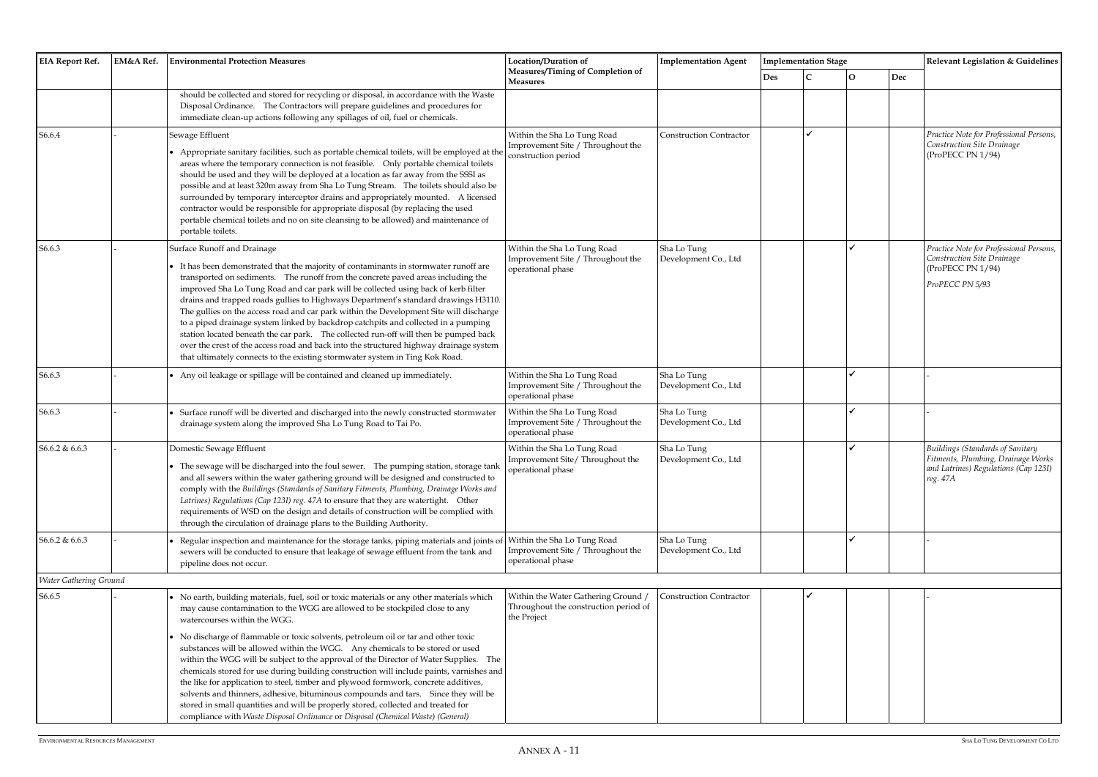|     | <b>Implementation Stage</b> |             |     | Relevant Legislation & Guidelines                                                                                          |  |  |  |  |  |
|-----|-----------------------------|-------------|-----|----------------------------------------------------------------------------------------------------------------------------|--|--|--|--|--|
| Des | $\mathsf{C}$                | $\mathbf O$ | Dec |                                                                                                                            |  |  |  |  |  |
|     |                             |             |     |                                                                                                                            |  |  |  |  |  |
|     |                             |             |     |                                                                                                                            |  |  |  |  |  |
|     | ✓                           |             |     | Practice Note for Professional Persons,<br>Construction Site Drainage<br>(ProPECC PN 1/94)                                 |  |  |  |  |  |
|     |                             |             |     |                                                                                                                            |  |  |  |  |  |
|     |                             | ✓           |     | Practice Note for Professional Persons,<br>Construction Site Drainage<br>(ProPECC PN 1/94)<br>ProPECC PN 5/93              |  |  |  |  |  |
|     |                             |             |     |                                                                                                                            |  |  |  |  |  |
|     |                             |             |     |                                                                                                                            |  |  |  |  |  |
|     |                             | ✔           |     |                                                                                                                            |  |  |  |  |  |
|     |                             | ✔           |     | -                                                                                                                          |  |  |  |  |  |
|     |                             | ✓           |     | Buildings (Standards of Sanitary<br>Fitments, Plumbing, Drainage Works<br>and Latrines) Regulations (Cap 123I)<br>reg. 47A |  |  |  |  |  |
|     |                             | ✓           |     | -                                                                                                                          |  |  |  |  |  |
|     |                             |             |     |                                                                                                                            |  |  |  |  |  |
|     | ✔                           |             |     |                                                                                                                            |  |  |  |  |  |
|     |                             |             |     |                                                                                                                            |  |  |  |  |  |
|     |                             |             |     |                                                                                                                            |  |  |  |  |  |
|     |                             |             |     |                                                                                                                            |  |  |  |  |  |
|     |                             |             |     |                                                                                                                            |  |  |  |  |  |
|     |                             |             |     |                                                                                                                            |  |  |  |  |  |
|     |                             |             |     |                                                                                                                            |  |  |  |  |  |
|     |                             |             |     |                                                                                                                            |  |  |  |  |  |

| <b>EIA Report Ref.</b>        | EM&A Ref. | <b>Environmental Protection Measures</b>                                                                                                                                                                                                                                                                                                                                                                                                                                                                                                                                                                                                                                                                                                                                                                                                                                                                                     | Location/Duration of                                                                        | <b>Implementation Agent</b>         |            | <b>Implementation Stage</b> |              |     |  |
|-------------------------------|-----------|------------------------------------------------------------------------------------------------------------------------------------------------------------------------------------------------------------------------------------------------------------------------------------------------------------------------------------------------------------------------------------------------------------------------------------------------------------------------------------------------------------------------------------------------------------------------------------------------------------------------------------------------------------------------------------------------------------------------------------------------------------------------------------------------------------------------------------------------------------------------------------------------------------------------------|---------------------------------------------------------------------------------------------|-------------------------------------|------------|-----------------------------|--------------|-----|--|
|                               |           |                                                                                                                                                                                                                                                                                                                                                                                                                                                                                                                                                                                                                                                                                                                                                                                                                                                                                                                              | Measures/Timing of Completion of<br><b>Measures</b>                                         |                                     | <b>Des</b> | $\mathsf{C}$                | $\mathbf{O}$ | Dec |  |
|                               |           | should be collected and stored for recycling or disposal, in accordance with the Waste<br>Disposal Ordinance. The Contractors will prepare guidelines and procedures for<br>immediate clean-up actions following any spillages of oil, fuel or chemicals.                                                                                                                                                                                                                                                                                                                                                                                                                                                                                                                                                                                                                                                                    |                                                                                             |                                     |            |                             |              |     |  |
| S6.6.4                        |           | Sewage Effluent<br>• Appropriate sanitary facilities, such as portable chemical toilets, will be employed at the<br>areas where the temporary connection is not feasible.  Only portable chemical toilets<br>should be used and they will be deployed at a location as far away from the SSSI as<br>possible and at least 320m away from Sha Lo Tung Stream. The toilets should also be<br>surrounded by temporary interceptor drains and appropriately mounted. A licensed<br>contractor would be responsible for appropriate disposal (by replacing the used<br>portable chemical toilets and no on site cleansing to be allowed) and maintenance of<br>portable toilets.                                                                                                                                                                                                                                                  | Within the Sha Lo Tung Road<br>Improvement Site / Throughout the<br>construction period     | <b>Construction Contractor</b>      |            |                             |              |     |  |
| S6.6.3                        |           | Surface Runoff and Drainage<br>It has been demonstrated that the majority of contaminants in stormwater runoff are<br>transported on sediments. The runoff from the concrete paved areas including the<br>improved Sha Lo Tung Road and car park will be collected using back of kerb filter<br>drains and trapped roads gullies to Highways Department's standard drawings H3110.<br>The gullies on the access road and car park within the Development Site will discharge<br>to a piped drainage system linked by backdrop catchpits and collected in a pumping<br>station located beneath the car park. The collected run-off will then be pumped back<br>over the crest of the access road and back into the structured highway drainage system<br>that ultimately connects to the existing stormwater system in Ting Kok Road.                                                                                         | Within the Sha Lo Tung Road<br>Improvement Site / Throughout the<br>operational phase       | Sha Lo Tung<br>Development Co., Ltd |            |                             |              |     |  |
| S6.6.3                        |           | • Any oil leakage or spillage will be contained and cleaned up immediately.                                                                                                                                                                                                                                                                                                                                                                                                                                                                                                                                                                                                                                                                                                                                                                                                                                                  | Within the Sha Lo Tung Road<br>Improvement Site / Throughout the<br>operational phase       | Sha Lo Tung<br>Development Co., Ltd |            |                             |              |     |  |
| S6.6.3                        |           | Surface runoff will be diverted and discharged into the newly constructed stormwater<br>drainage system along the improved Sha Lo Tung Road to Tai Po.                                                                                                                                                                                                                                                                                                                                                                                                                                                                                                                                                                                                                                                                                                                                                                       | Within the Sha Lo Tung Road<br>Improvement Site / Throughout the<br>operational phase       | Sha Lo Tung<br>Development Co., Ltd |            |                             |              |     |  |
| S6.6.2 & 6.6.3                |           | Domestic Sewage Effluent<br>• The sewage will be discharged into the foul sewer. The pumping station, storage tank<br>and all sewers within the water gathering ground will be designed and constructed to<br>comply with the Buildings (Standards of Sanitary Fitments, Plumbing, Drainage Works and<br>Latrines) Regulations (Cap 123I) reg. 47A to ensure that they are watertight. Other<br>requirements of WSD on the design and details of construction will be complied with<br>through the circulation of drainage plans to the Building Authority.                                                                                                                                                                                                                                                                                                                                                                  | Within the Sha Lo Tung Road<br>Improvement Site/Throughout the<br>operational phase         | Sha Lo Tung<br>Development Co., Ltd |            |                             |              |     |  |
| S6.6.2 & 6.6.3                |           | Regular inspection and maintenance for the storage tanks, piping materials and joints of<br>sewers will be conducted to ensure that leakage of sewage effluent from the tank and<br>pipeline does not occur.                                                                                                                                                                                                                                                                                                                                                                                                                                                                                                                                                                                                                                                                                                                 | Within the Sha Lo Tung Road<br>Improvement Site / Throughout the<br>operational phase       | Sha Lo Tung<br>Development Co., Ltd |            |                             |              |     |  |
| <b>Water Gathering Ground</b> |           |                                                                                                                                                                                                                                                                                                                                                                                                                                                                                                                                                                                                                                                                                                                                                                                                                                                                                                                              |                                                                                             |                                     |            |                             |              |     |  |
| S6.6.5                        |           | • No earth, building materials, fuel, soil or toxic materials or any other materials which<br>may cause contamination to the WGG are allowed to be stockpiled close to any<br>watercourses within the WGG.<br>• No discharge of flammable or toxic solvents, petroleum oil or tar and other toxic<br>substances will be allowed within the WGG. Any chemicals to be stored or used<br>within the WGG will be subject to the approval of the Director of Water Supplies. The<br>chemicals stored for use during building construction will include paints, varnishes and<br>the like for application to steel, timber and plywood formwork, concrete additives,<br>solvents and thinners, adhesive, bituminous compounds and tars. Since they will be<br>stored in small quantities and will be properly stored, collected and treated for<br>compliance with Waste Disposal Ordinance or Disposal (Chemical Waste) (General) | Within the Water Gathering Ground /<br>Throughout the construction period of<br>the Project | <b>Construction Contractor</b>      |            |                             |              |     |  |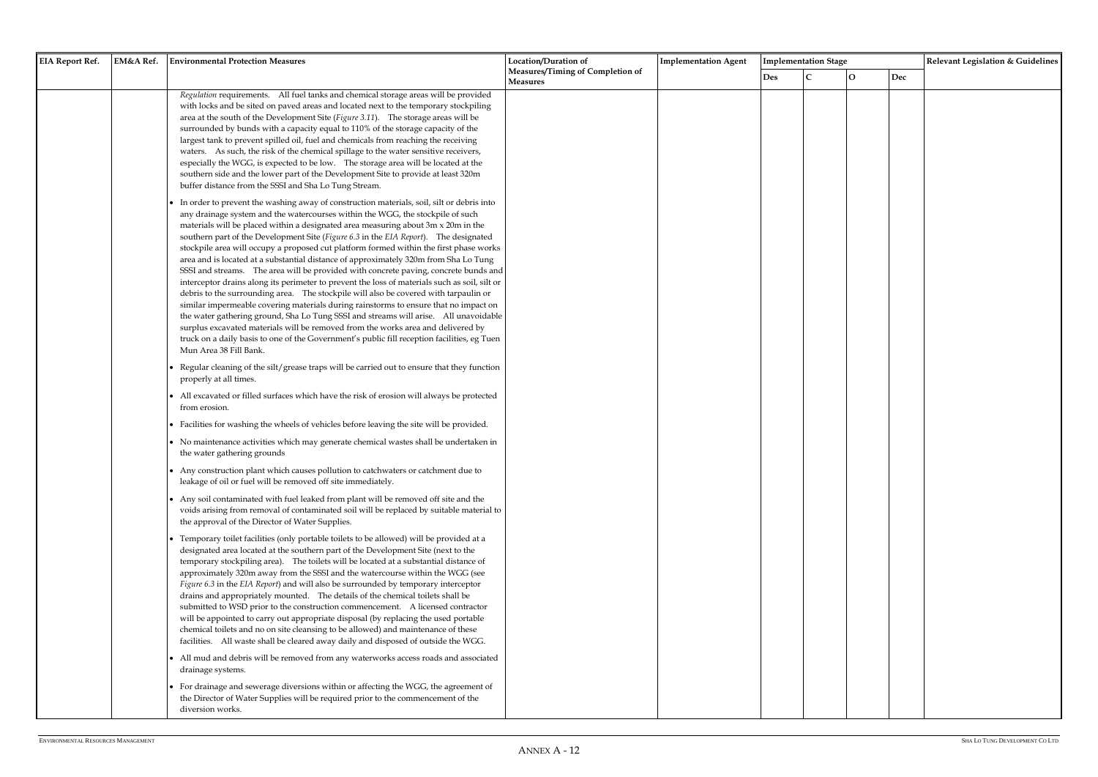| <b>EIA Report Ref.</b> |           | <b>Environmental Protection Measures</b>                                                                                                                                                                                                                                                                                                                                                                                                                                                                                                                                                                                                                                                                                                                                                                                                                                                                                                                                                                                                                                                                                                                                                                                                                                                                                                                                                                                                                                                                                                                                                                                                                                                                                                                                                                                                                                                                                                                                                                                                                                                                                                                                                                                                                                                                                                                                                                                                                                                                                                                                                                                                                                                                                                                                                                                                                                                                                                                                                                                                                                                                                                                                                                                                                                                                                                                                                                                                                                                                                                                                                                                                                            | Location/Duration of             |                             |     | <b>Implementation Stage</b> |              |     | Relevant Legislation & Guidelines |  |
|------------------------|-----------|---------------------------------------------------------------------------------------------------------------------------------------------------------------------------------------------------------------------------------------------------------------------------------------------------------------------------------------------------------------------------------------------------------------------------------------------------------------------------------------------------------------------------------------------------------------------------------------------------------------------------------------------------------------------------------------------------------------------------------------------------------------------------------------------------------------------------------------------------------------------------------------------------------------------------------------------------------------------------------------------------------------------------------------------------------------------------------------------------------------------------------------------------------------------------------------------------------------------------------------------------------------------------------------------------------------------------------------------------------------------------------------------------------------------------------------------------------------------------------------------------------------------------------------------------------------------------------------------------------------------------------------------------------------------------------------------------------------------------------------------------------------------------------------------------------------------------------------------------------------------------------------------------------------------------------------------------------------------------------------------------------------------------------------------------------------------------------------------------------------------------------------------------------------------------------------------------------------------------------------------------------------------------------------------------------------------------------------------------------------------------------------------------------------------------------------------------------------------------------------------------------------------------------------------------------------------------------------------------------------------------------------------------------------------------------------------------------------------------------------------------------------------------------------------------------------------------------------------------------------------------------------------------------------------------------------------------------------------------------------------------------------------------------------------------------------------------------------------------------------------------------------------------------------------------------------------------------------------------------------------------------------------------------------------------------------------------------------------------------------------------------------------------------------------------------------------------------------------------------------------------------------------------------------------------------------------------------------------------------------------------------------------------------------------|----------------------------------|-----------------------------|-----|-----------------------------|--------------|-----|-----------------------------------|--|
|                        |           |                                                                                                                                                                                                                                                                                                                                                                                                                                                                                                                                                                                                                                                                                                                                                                                                                                                                                                                                                                                                                                                                                                                                                                                                                                                                                                                                                                                                                                                                                                                                                                                                                                                                                                                                                                                                                                                                                                                                                                                                                                                                                                                                                                                                                                                                                                                                                                                                                                                                                                                                                                                                                                                                                                                                                                                                                                                                                                                                                                                                                                                                                                                                                                                                                                                                                                                                                                                                                                                                                                                                                                                                                                                                     | Measures                         |                             | Des | $\mathcal{C}$               | $\mathbf{O}$ | Dec |                                   |  |
|                        | EM&A Ref. | Regulation requirements. All fuel tanks and chemical storage areas will be provided<br>with locks and be sited on paved areas and located next to the temporary stockpiling<br>area at the south of the Development Site (Figure 3.11). The storage areas will be<br>surrounded by bunds with a capacity equal to 110% of the storage capacity of the<br>largest tank to prevent spilled oil, fuel and chemicals from reaching the receiving<br>waters. As such, the risk of the chemical spillage to the water sensitive receivers,<br>especially the WGG, is expected to be low. The storage area will be located at the<br>southern side and the lower part of the Development Site to provide at least 320m<br>buffer distance from the SSSI and Sha Lo Tung Stream.<br>• In order to prevent the washing away of construction materials, soil, silt or debris into<br>any drainage system and the watercourses within the WGG, the stockpile of such<br>materials will be placed within a designated area measuring about 3m x 20m in the<br>southern part of the Development Site (Figure 6.3 in the EIA Report). The designated<br>stockpile area will occupy a proposed cut platform formed within the first phase works<br>area and is located at a substantial distance of approximately 320m from Sha Lo Tung<br>SSSI and streams. The area will be provided with concrete paving, concrete bunds and<br>interceptor drains along its perimeter to prevent the loss of materials such as soil, silt or<br>debris to the surrounding area. The stockpile will also be covered with tarpaulin or<br>similar impermeable covering materials during rainstorms to ensure that no impact on<br>the water gathering ground, Sha Lo Tung SSSI and streams will arise. All unavoidable<br>surplus excavated materials will be removed from the works area and delivered by<br>truck on a daily basis to one of the Government's public fill reception facilities, eg Tuen<br>Mun Area 38 Fill Bank.<br>• Regular cleaning of the silt/grease traps will be carried out to ensure that they function<br>properly at all times.<br>• All excavated or filled surfaces which have the risk of erosion will always be protected<br>from erosion.<br>• Facilities for washing the wheels of vehicles before leaving the site will be provided.<br>• No maintenance activities which may generate chemical wastes shall be undertaken in<br>the water gathering grounds<br>• Any construction plant which causes pollution to catchwaters or catchment due to<br>leakage of oil or fuel will be removed off site immediately.<br>• Any soil contaminated with fuel leaked from plant will be removed off site and the<br>voids arising from removal of contaminated soil will be replaced by suitable material to<br>the approval of the Director of Water Supplies.<br>• Temporary toilet facilities (only portable toilets to be allowed) will be provided at a<br>designated area located at the southern part of the Development Site (next to the<br>temporary stockpiling area). The toilets will be located at a substantial distance of<br>approximately 320m away from the SSSI and the watercourse within the WGG (see<br>Figure 6.3 in the EIA Report) and will also be surrounded by temporary interceptor<br>drains and appropriately mounted. The details of the chemical toilets shall be<br>submitted to WSD prior to the construction commencement. A licensed contractor<br>will be appointed to carry out appropriate disposal (by replacing the used portable<br>chemical toilets and no on site cleansing to be allowed) and maintenance of these | Measures/Timing of Completion of | <b>Implementation Agent</b> |     |                             |              |     |                                   |  |
|                        |           | facilities. All waste shall be cleared away daily and disposed of outside the WGG.<br>• All mud and debris will be removed from any waterworks access roads and associated<br>drainage systems.<br>• For drainage and sewerage diversions within or affecting the WGG, the agreement of<br>the Director of Water Supplies will be required prior to the commencement of the<br>diversion works.                                                                                                                                                                                                                                                                                                                                                                                                                                                                                                                                                                                                                                                                                                                                                                                                                                                                                                                                                                                                                                                                                                                                                                                                                                                                                                                                                                                                                                                                                                                                                                                                                                                                                                                                                                                                                                                                                                                                                                                                                                                                                                                                                                                                                                                                                                                                                                                                                                                                                                                                                                                                                                                                                                                                                                                                                                                                                                                                                                                                                                                                                                                                                                                                                                                                     |                                  |                             |     |                             |              |     |                                   |  |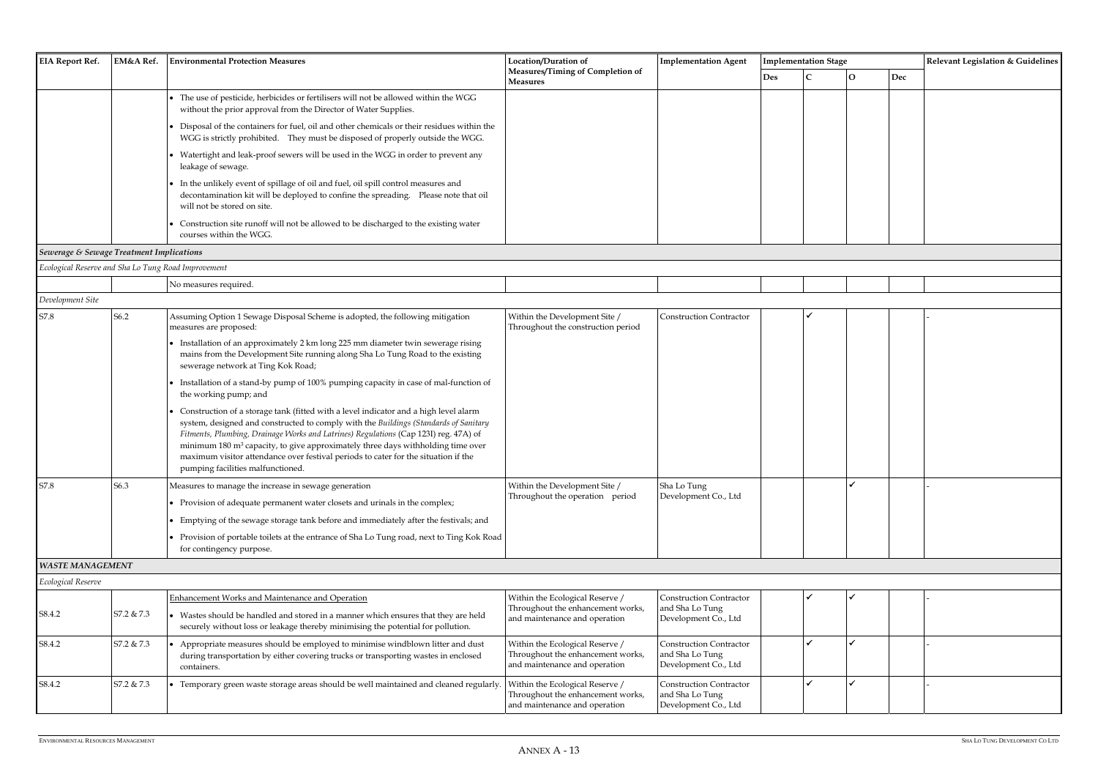| <b>EIA Report Ref.</b> | <b>EM&amp;A Ref.</b> | <b>Environmental Protection Measures</b>                                                                                                                                                                 | Location/Duration of                                | <b>Implementation Agent</b> | <b>Implementation Stage</b> |  |  |     | <b>Relevant Legislation &amp; Guidelines</b> |
|------------------------|----------------------|----------------------------------------------------------------------------------------------------------------------------------------------------------------------------------------------------------|-----------------------------------------------------|-----------------------------|-----------------------------|--|--|-----|----------------------------------------------|
|                        |                      |                                                                                                                                                                                                          | Measures/Timing of Completion of<br><b>Measures</b> |                             | <b>Des</b>                  |  |  | Dec |                                              |
|                        |                      | The use of pesticide, herbicides or fertilisers will not be allowed within the WGG<br>without the prior approval from the Director of Water Supplies.                                                    |                                                     |                             |                             |  |  |     |                                              |
|                        |                      | • Disposal of the containers for fuel, oil and other chemicals or their residues within the<br>WGG is strictly prohibited. They must be disposed of properly outside the WGG.                            |                                                     |                             |                             |  |  |     |                                              |
|                        |                      | Watertight and leak-proof sewers will be used in the WGG in order to prevent any<br>leakage of sewage.                                                                                                   |                                                     |                             |                             |  |  |     |                                              |
|                        |                      | In the unlikely event of spillage of oil and fuel, oil spill control measures and<br>decontamination kit will be deployed to confine the spreading.  Please note that oil<br>will not be stored on site. |                                                     |                             |                             |  |  |     |                                              |
|                        |                      | Construction site runoff will not be allowed to be discharged to the existing water<br>courses within the WGG.                                                                                           |                                                     |                             |                             |  |  |     |                                              |

*Sewerage & Sewage Treatment Implications* 

| wenne<br>$\cdots$ |     |  |  |  |  |  |  |
|-------------------|-----|--|--|--|--|--|--|
|                   | NO. |  |  |  |  |  |  |
|                   |     |  |  |  |  |  |  |

| Development Site |      |                                                                                                                                                                                                                                                                                                                                                                                                                                                                                                |                                                                     |                                     |  |  |
|------------------|------|------------------------------------------------------------------------------------------------------------------------------------------------------------------------------------------------------------------------------------------------------------------------------------------------------------------------------------------------------------------------------------------------------------------------------------------------------------------------------------------------|---------------------------------------------------------------------|-------------------------------------|--|--|
| S7.8             | S6.2 | Assuming Option 1 Sewage Disposal Scheme is adopted, the following mitigation<br>measures are proposed:                                                                                                                                                                                                                                                                                                                                                                                        | Within the Development Site /<br>Throughout the construction period | <b>Construction Contractor</b>      |  |  |
|                  |      | • Installation of an approximately 2 km long 225 mm diameter twin sewerage rising<br>mains from the Development Site running along Sha Lo Tung Road to the existing<br>sewerage network at Ting Kok Road;                                                                                                                                                                                                                                                                                      |                                                                     |                                     |  |  |
|                  |      | • Installation of a stand-by pump of 100% pumping capacity in case of mal-function of<br>the working pump; and                                                                                                                                                                                                                                                                                                                                                                                 |                                                                     |                                     |  |  |
|                  |      | Construction of a storage tank (fitted with a level indicator and a high level alarm<br>system, designed and constructed to comply with the Buildings (Standards of Sanitary<br>Fitments, Plumbing, Drainage Works and Latrines) Regulations (Cap 123I) reg. 47A) of<br>minimum 180 m <sup>3</sup> capacity, to give approximately three days withholding time over<br>maximum visitor attendance over festival periods to cater for the situation if the<br>pumping facilities malfunctioned. |                                                                     |                                     |  |  |
| S7.8             | S6.3 | Measures to manage the increase in sewage generation<br>• Provision of adequate permanent water closets and urinals in the complex;                                                                                                                                                                                                                                                                                                                                                            | Within the Development Site /<br>Throughout the operation period    | Sha Lo Tung<br>Development Co., Ltd |  |  |
|                  |      | • Emptying of the sewage storage tank before and immediately after the festivals; and<br>• Provision of portable toilets at the entrance of Sha Lo Tung road, next to Ting Kok Road                                                                                                                                                                                                                                                                                                            |                                                                     |                                     |  |  |
|                  |      | for contingency purpose.                                                                                                                                                                                                                                                                                                                                                                                                                                                                       |                                                                     |                                     |  |  |

*WASTE MANAGEMENT* 

| Ecological Reserve |               |                                                                                                                                                                                                                           |                                                                                                       |                                                                    |  |  |
|--------------------|---------------|---------------------------------------------------------------------------------------------------------------------------------------------------------------------------------------------------------------------------|-------------------------------------------------------------------------------------------------------|--------------------------------------------------------------------|--|--|
| S8.4.2             | $S7.2 \& 7.3$ | Enhancement Works and Maintenance and Operation<br>• Wastes should be handled and stored in a manner which ensures that they are held<br>securely without loss or leakage thereby minimising the potential for pollution. | Within the Ecological Reserve /<br>Throughout the enhancement works,<br>and maintenance and operation | Construction Contractor<br>and Sha Lo Tung<br>Development Co., Ltd |  |  |
| S8.4.2             | S7.2 & 7.3    | Appropriate measures should be employed to minimise windblown litter and dust<br>during transportation by either covering trucks or transporting wastes in enclosed<br>containers.                                        | Within the Ecological Reserve /<br>Throughout the enhancement works,<br>and maintenance and operation | Construction Contractor<br>and Sha Lo Tung<br>Development Co., Ltd |  |  |
| S8.4.2             | S7.2 & 7.3    | Temporary green waste storage areas should be well maintained and cleaned regularly. Within the Ecological Reserve /                                                                                                      | Throughout the enhancement works,<br>and maintenance and operation                                    | Construction Contractor<br>and Sha Lo Tung<br>Development Co., Ltd |  |  |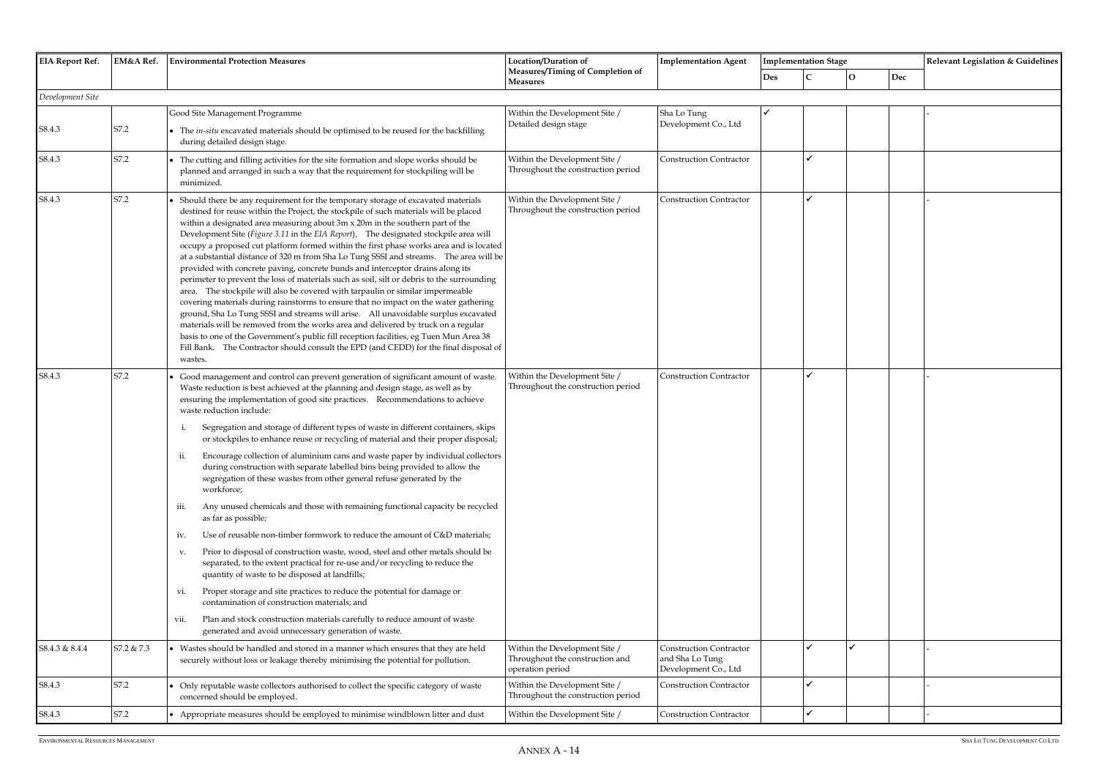| <b>EIA Report Ref.</b> | EM&A Ref.                           | <b>Environmental Protection Measures</b>                                                                                                                                                                                                                                                                                                                                                                                                                                                                                                                                                                                                                                                                                                                                                                                                                                                                                                                                                                                                                                                                                                                                                                                                                                                                                                                                                                                                         | Location/Duration of<br>Measures/Timing of Completion of                             | <b>Implementation Agent</b>                                               |            | <b>Implementation Stage</b> |              |     | Relevant Legislation & Guidelines |
|------------------------|-------------------------------------|--------------------------------------------------------------------------------------------------------------------------------------------------------------------------------------------------------------------------------------------------------------------------------------------------------------------------------------------------------------------------------------------------------------------------------------------------------------------------------------------------------------------------------------------------------------------------------------------------------------------------------------------------------------------------------------------------------------------------------------------------------------------------------------------------------------------------------------------------------------------------------------------------------------------------------------------------------------------------------------------------------------------------------------------------------------------------------------------------------------------------------------------------------------------------------------------------------------------------------------------------------------------------------------------------------------------------------------------------------------------------------------------------------------------------------------------------|--------------------------------------------------------------------------------------|---------------------------------------------------------------------------|------------|-----------------------------|--------------|-----|-----------------------------------|
|                        |                                     |                                                                                                                                                                                                                                                                                                                                                                                                                                                                                                                                                                                                                                                                                                                                                                                                                                                                                                                                                                                                                                                                                                                                                                                                                                                                                                                                                                                                                                                  | <b>Measures</b>                                                                      |                                                                           | <b>Des</b> |                             | $\mathbf{O}$ | Dec |                                   |
| Development Site       |                                     |                                                                                                                                                                                                                                                                                                                                                                                                                                                                                                                                                                                                                                                                                                                                                                                                                                                                                                                                                                                                                                                                                                                                                                                                                                                                                                                                                                                                                                                  |                                                                                      |                                                                           |            |                             |              |     |                                   |
| S8.4.3                 | S7.2                                | Good Site Management Programme<br>The in-situ excavated materials should be optimised to be reused for the backfilling<br>during detailed design stage.                                                                                                                                                                                                                                                                                                                                                                                                                                                                                                                                                                                                                                                                                                                                                                                                                                                                                                                                                                                                                                                                                                                                                                                                                                                                                          | Within the Development Site /<br>Detailed design stage                               | Sha Lo Tung<br>Development Co., Ltd                                       |            |                             |              |     |                                   |
| S8.4.3                 | S7.2                                | The cutting and filling activities for the site formation and slope works should be<br>planned and arranged in such a way that the requirement for stockpiling will be<br>minimized.                                                                                                                                                                                                                                                                                                                                                                                                                                                                                                                                                                                                                                                                                                                                                                                                                                                                                                                                                                                                                                                                                                                                                                                                                                                             | Within the Development Site /<br>Throughout the construction period                  | <b>Construction Contractor</b>                                            |            |                             |              |     |                                   |
| S8.4.3                 | S7.2                                | Should there be any requirement for the temporary storage of excavated materials<br>destined for reuse within the Project, the stockpile of such materials will be placed<br>within a designated area measuring about 3m x 20m in the southern part of the<br>Development Site (Figure 3.11 in the EIA Report). The designated stockpile area will<br>occupy a proposed cut platform formed within the first phase works area and is located<br>at a substantial distance of 320 m from Sha Lo Tung SSSI and streams. The area will be<br>provided with concrete paving, concrete bunds and interceptor drains along its<br>perimeter to prevent the loss of materials such as soil, silt or debris to the surrounding<br>area. The stockpile will also be covered with tarpaulin or similar impermeable<br>covering materials during rainstorms to ensure that no impact on the water gathering<br>ground, Sha Lo Tung SSSI and streams will arise. All unavoidable surplus excavated<br>materials will be removed from the works area and delivered by truck on a regular<br>basis to one of the Government's public fill reception facilities, eg Tuen Mun Area 38<br>Fill Bank. The Contractor should consult the EPD (and CEDD) for the final disposal of<br>wastes.                                                                                                                                                                        | Within the Development Site /<br>Throughout the construction period                  | <b>Construction Contractor</b>                                            |            |                             |              |     |                                   |
| S8.4.3                 | S7.2                                | Good management and control can prevent generation of significant amount of waste.<br>Waste reduction is best achieved at the planning and design stage, as well as by<br>ensuring the implementation of good site practices. Recommendations to achieve<br>waste reduction include:<br>Segregation and storage of different types of waste in different containers, skips<br>or stockpiles to enhance reuse or recycling of material and their proper disposal;<br>Encourage collection of aluminium cans and waste paper by individual collectors<br>ii.<br>during construction with separate labelled bins being provided to allow the<br>segregation of these wastes from other general refuse generated by the<br>workforce;<br>Any unused chemicals and those with remaining functional capacity be recycled<br>iii.<br>as far as possible;<br>Use of reusable non-timber formwork to reduce the amount of C&D materials;<br>iv.<br>Prior to disposal of construction waste, wood, steel and other metals should be<br>V.<br>separated, to the extent practical for re-use and/or recycling to reduce the<br>quantity of waste to be disposed at landfills;<br>Proper storage and site practices to reduce the potential for damage or<br>vi.<br>contamination of construction materials; and<br>Plan and stock construction materials carefully to reduce amount of waste<br>vii.<br>generated and avoid unnecessary generation of waste. | Within the Development Site /<br>Throughout the construction period                  | <b>Construction Contractor</b>                                            |            |                             |              |     |                                   |
| S8.4.3 & 8.4.4         | S7.2 & 7.3                          | Wastes should be handled and stored in a manner which ensures that they are held<br>securely without loss or leakage thereby minimising the potential for pollution.                                                                                                                                                                                                                                                                                                                                                                                                                                                                                                                                                                                                                                                                                                                                                                                                                                                                                                                                                                                                                                                                                                                                                                                                                                                                             | Within the Development Site /<br>Throughout the construction and<br>operation period | <b>Construction Contractor</b><br>and Sha Lo Tung<br>Development Co., Ltd |            |                             |              |     |                                   |
| S8.4.3                 | S7.2                                | Only reputable waste collectors authorised to collect the specific category of waste<br>concerned should be employed.                                                                                                                                                                                                                                                                                                                                                                                                                                                                                                                                                                                                                                                                                                                                                                                                                                                                                                                                                                                                                                                                                                                                                                                                                                                                                                                            | Within the Development Site /<br>Throughout the construction period                  | <b>Construction Contractor</b>                                            |            |                             |              |     |                                   |
| S8.4.3                 | $\ensuremath{\mathrm{S7.2}}\xspace$ | • Appropriate measures should be employed to minimise windblown litter and dust                                                                                                                                                                                                                                                                                                                                                                                                                                                                                                                                                                                                                                                                                                                                                                                                                                                                                                                                                                                                                                                                                                                                                                                                                                                                                                                                                                  | Within the Development Site /                                                        | <b>Construction Contractor</b>                                            |            |                             |              |     |                                   |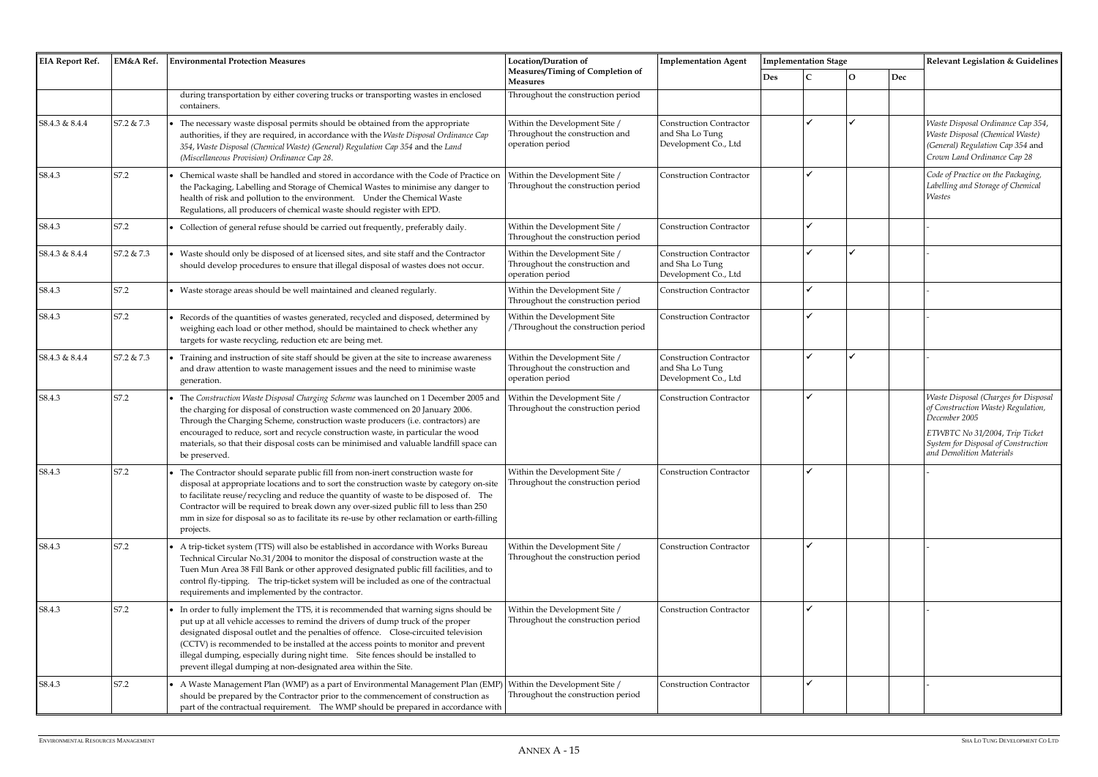| <b>EIA Report Ref.</b> | EM&A Ref.  | <b>Environmental Protection Measures</b>                                                                                                                                                                                                                                                                                                                                                                                                                                                                     | Location/Duration of                                                                 | <b>Implementation Agent</b>                                               |     | <b>Implementation Stage</b> |   |     | Relevant Legislation & Guidelines                                                                                                                                                                |  |
|------------------------|------------|--------------------------------------------------------------------------------------------------------------------------------------------------------------------------------------------------------------------------------------------------------------------------------------------------------------------------------------------------------------------------------------------------------------------------------------------------------------------------------------------------------------|--------------------------------------------------------------------------------------|---------------------------------------------------------------------------|-----|-----------------------------|---|-----|--------------------------------------------------------------------------------------------------------------------------------------------------------------------------------------------------|--|
|                        |            |                                                                                                                                                                                                                                                                                                                                                                                                                                                                                                              | Measures/Timing of Completion of<br><b>Measures</b>                                  |                                                                           | Des |                             | Ω | Dec |                                                                                                                                                                                                  |  |
|                        |            | during transportation by either covering trucks or transporting wastes in enclosed<br>containers.                                                                                                                                                                                                                                                                                                                                                                                                            | Throughout the construction period                                                   |                                                                           |     |                             |   |     |                                                                                                                                                                                                  |  |
| S8.4.3 & 8.4.4         | S7.2 & 7.3 | The necessary waste disposal permits should be obtained from the appropriate<br>authorities, if they are required, in accordance with the Waste Disposal Ordinance Cap<br>354, Waste Disposal (Chemical Waste) (General) Regulation Cap 354 and the Land<br>(Miscellaneous Provision) Ordinance Cap 28.                                                                                                                                                                                                      | Within the Development Site /<br>Throughout the construction and<br>operation period | <b>Construction Contractor</b><br>and Sha Lo Tung<br>Development Co., Ltd |     |                             |   |     | Waste Disposal Ordinance Cap 354,<br><b>Waste Disposal (Chemical Waste)</b><br>(General) Regulation Cap 354 and<br>Crown Land Ordinance Cap 28                                                   |  |
| S8.4.3                 | S7.2       | Chemical waste shall be handled and stored in accordance with the Code of Practice on<br>the Packaging, Labelling and Storage of Chemical Wastes to minimise any danger to<br>health of risk and pollution to the environment. Under the Chemical Waste<br>Regulations, all producers of chemical waste should register with EPD.                                                                                                                                                                            | Within the Development Site /<br>Throughout the construction period                  | <b>Construction Contractor</b>                                            |     |                             |   |     | Code of Practice on the Packaging,<br>Labelling and Storage of Chemical<br><b>Wastes</b>                                                                                                         |  |
| S8.4.3                 | S7.2       | Collection of general refuse should be carried out frequently, preferably daily.                                                                                                                                                                                                                                                                                                                                                                                                                             | Within the Development Site /<br>Throughout the construction period                  | <b>Construction Contractor</b>                                            |     |                             |   |     |                                                                                                                                                                                                  |  |
| S8.4.3 & 8.4.4         | S7.2 & 7.3 | • Waste should only be disposed of at licensed sites, and site staff and the Contractor<br>should develop procedures to ensure that illegal disposal of wastes does not occur.                                                                                                                                                                                                                                                                                                                               | Within the Development Site /<br>Throughout the construction and<br>operation period | <b>Construction Contractor</b><br>and Sha Lo Tung<br>Development Co., Ltd |     |                             |   |     |                                                                                                                                                                                                  |  |
| S8.4.3                 | S7.2       | Waste storage areas should be well maintained and cleaned regularly.                                                                                                                                                                                                                                                                                                                                                                                                                                         | Within the Development Site /<br>Throughout the construction period                  | <b>Construction Contractor</b>                                            |     |                             |   |     |                                                                                                                                                                                                  |  |
| S8.4.3                 | S7.2       | Records of the quantities of wastes generated, recycled and disposed, determined by<br>weighing each load or other method, should be maintained to check whether any<br>targets for waste recycling, reduction etc are being met.                                                                                                                                                                                                                                                                            | Within the Development Site<br>Throughout the construction period                    | <b>Construction Contractor</b>                                            |     |                             |   |     |                                                                                                                                                                                                  |  |
| S8.4.3 & 8.4.4         | S7.2 & 7.3 | Training and instruction of site staff should be given at the site to increase awareness<br>and draw attention to waste management issues and the need to minimise waste<br>generation.                                                                                                                                                                                                                                                                                                                      | Within the Development Site /<br>Throughout the construction and<br>operation period | <b>Construction Contractor</b><br>and Sha Lo Tung<br>Development Co., Ltd |     |                             |   |     |                                                                                                                                                                                                  |  |
| S8.4.3                 | S7.2       | The Construction Waste Disposal Charging Scheme was launched on 1 December 2005 and<br>the charging for disposal of construction waste commenced on 20 January 2006.<br>Through the Charging Scheme, construction waste producers (i.e. contractors) are<br>encouraged to reduce, sort and recycle construction waste, in particular the wood<br>materials, so that their disposal costs can be minimised and valuable landfill space can<br>be preserved.                                                   | Within the Development Site /<br>Throughout the construction period                  | <b>Construction Contractor</b>                                            |     |                             |   |     | Waste Disposal (Charges for Disposal<br>of Construction Waste) Regulation,<br>December 2005<br>ETWBTC No 31/2004, Trip Ticket<br>System for Disposal of Construction<br>and Demolition Materials |  |
| S8.4.3                 | S7.2       | The Contractor should separate public fill from non-inert construction waste for<br>disposal at appropriate locations and to sort the construction waste by category on-site<br>to facilitate reuse/recycling and reduce the quantity of waste to be disposed of. The<br>Contractor will be required to break down any over-sized public fill to less than 250<br>mm in size for disposal so as to facilitate its re-use by other reclamation or earth-filling<br>projects.                                  | Within the Development Site /<br>Throughout the construction period                  | <b>Construction Contractor</b>                                            |     |                             |   |     |                                                                                                                                                                                                  |  |
| S8.4.3                 | S7.2       | A trip-ticket system (TTS) will also be established in accordance with Works Bureau<br>Technical Circular No.31/2004 to monitor the disposal of construction waste at the<br>Tuen Mun Area 38 Fill Bank or other approved designated public fill facilities, and to<br>control fly-tipping. The trip-ticket system will be included as one of the contractual<br>requirements and implemented by the contractor.                                                                                             | Within the Development Site /<br>Throughout the construction period                  | <b>Construction Contractor</b>                                            |     |                             |   |     |                                                                                                                                                                                                  |  |
| S8.4.3                 | S7.2       | In order to fully implement the TTS, it is recommended that warning signs should be<br>put up at all vehicle accesses to remind the drivers of dump truck of the proper<br>designated disposal outlet and the penalties of offence.  Close-circuited television<br>(CCTV) is recommended to be installed at the access points to monitor and prevent<br>illegal dumping, especially during night time. Site fences should be installed to<br>prevent illegal dumping at non-designated area within the Site. | Within the Development Site /<br>Throughout the construction period                  | <b>Construction Contractor</b>                                            |     | $\checkmark$                |   |     |                                                                                                                                                                                                  |  |
| S8.4.3                 | S7.2       | A Waste Management Plan (WMP) as a part of Environmental Management Plan (EMP<br>should be prepared by the Contractor prior to the commencement of construction as<br>part of the contractual requirement. The WMP should be prepared in accordance with                                                                                                                                                                                                                                                     | Within the Development Site /<br>Throughout the construction period                  | <b>Construction Contractor</b>                                            |     | $\checkmark$                |   |     |                                                                                                                                                                                                  |  |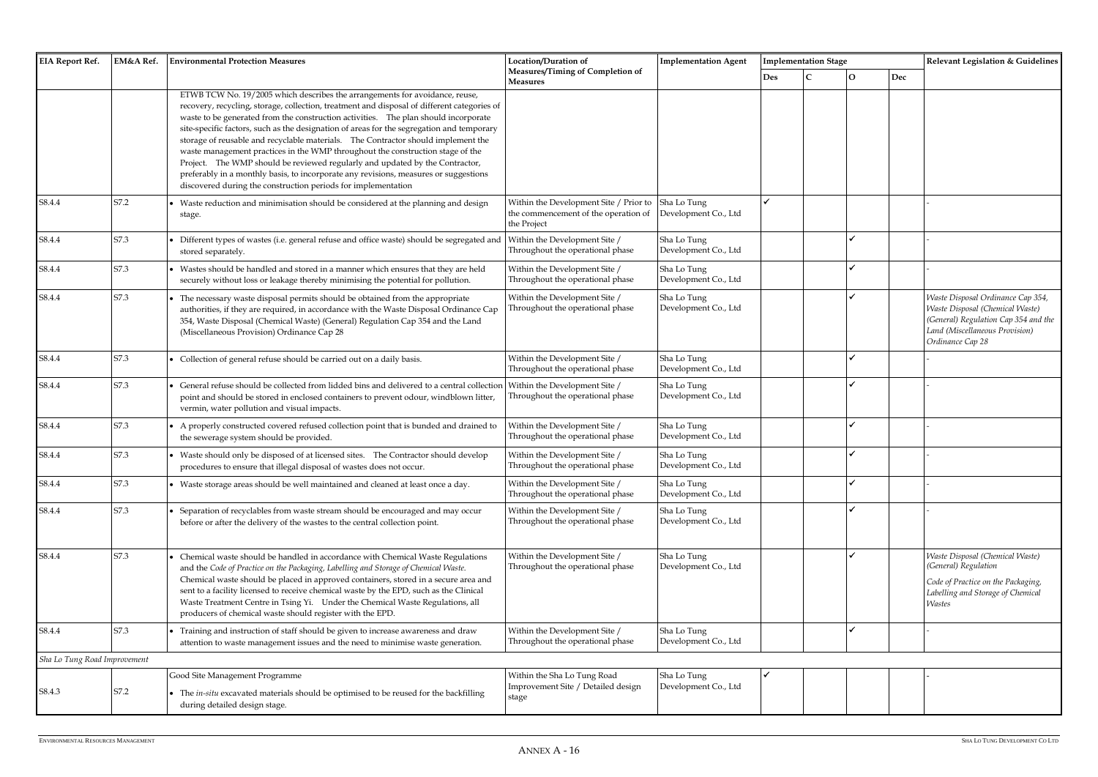| <b>EIA Report Ref.</b>       | EM&A Ref. | <b>Environmental Protection Measures</b>                                                                                                                                                                                                                                                                                                                                                                                                                                                                                                                                                                                                                                                                                                                                       | Location/Duration of                                                                          | <b>Implementation Agent</b>         |            | <b>Implementation Stage</b> |
|------------------------------|-----------|--------------------------------------------------------------------------------------------------------------------------------------------------------------------------------------------------------------------------------------------------------------------------------------------------------------------------------------------------------------------------------------------------------------------------------------------------------------------------------------------------------------------------------------------------------------------------------------------------------------------------------------------------------------------------------------------------------------------------------------------------------------------------------|-----------------------------------------------------------------------------------------------|-------------------------------------|------------|-----------------------------|
|                              |           |                                                                                                                                                                                                                                                                                                                                                                                                                                                                                                                                                                                                                                                                                                                                                                                | Measures/Timing of Completion of<br><b>Measures</b>                                           |                                     | <b>Des</b> | C                           |
|                              |           | ETWB TCW No. 19/2005 which describes the arrangements for avoidance, reuse,<br>recovery, recycling, storage, collection, treatment and disposal of different categories of<br>waste to be generated from the construction activities. The plan should incorporate<br>site-specific factors, such as the designation of areas for the segregation and temporary<br>storage of reusable and recyclable materials. The Contractor should implement the<br>waste management practices in the WMP throughout the construction stage of the<br>Project. The WMP should be reviewed regularly and updated by the Contractor,<br>preferably in a monthly basis, to incorporate any revisions, measures or suggestions<br>discovered during the construction periods for implementation |                                                                                               |                                     |            |                             |
| S8.4.4                       | S7.2      | • Waste reduction and minimisation should be considered at the planning and design<br>stage.                                                                                                                                                                                                                                                                                                                                                                                                                                                                                                                                                                                                                                                                                   | Within the Development Site / Prior to<br>the commencement of the operation of<br>the Project | Sha Lo Tung<br>Development Co., Ltd | ✓          |                             |
| S8.4.4                       | S7.3      | Different types of wastes (i.e. general refuse and office waste) should be segregated and<br>stored separately.                                                                                                                                                                                                                                                                                                                                                                                                                                                                                                                                                                                                                                                                | Within the Development Site /<br>Throughout the operational phase                             | Sha Lo Tung<br>Development Co., Ltd |            |                             |
| S8.4.4                       | S7.3      | • Wastes should be handled and stored in a manner which ensures that they are held<br>securely without loss or leakage thereby minimising the potential for pollution.                                                                                                                                                                                                                                                                                                                                                                                                                                                                                                                                                                                                         | Within the Development Site /<br>Throughout the operational phase                             | Sha Lo Tung<br>Development Co., Ltd |            |                             |
| S8.4.4                       | S7.3      | The necessary waste disposal permits should be obtained from the appropriate<br>authorities, if they are required, in accordance with the Waste Disposal Ordinance Cap<br>354, Waste Disposal (Chemical Waste) (General) Regulation Cap 354 and the Land<br>(Miscellaneous Provision) Ordinance Cap 28                                                                                                                                                                                                                                                                                                                                                                                                                                                                         | Within the Development Site /<br>Throughout the operational phase                             | Sha Lo Tung<br>Development Co., Ltd |            |                             |
| S8.4.4                       | S7.3      | • Collection of general refuse should be carried out on a daily basis.                                                                                                                                                                                                                                                                                                                                                                                                                                                                                                                                                                                                                                                                                                         | Within the Development Site /<br>Throughout the operational phase                             | Sha Lo Tung<br>Development Co., Ltd |            |                             |
| S8.4.4                       | S7.3      | General refuse should be collected from lidded bins and delivered to a central collection<br>point and should be stored in enclosed containers to prevent odour, windblown litter,<br>vermin, water pollution and visual impacts.                                                                                                                                                                                                                                                                                                                                                                                                                                                                                                                                              | Within the Development Site /<br>Throughout the operational phase                             | Sha Lo Tung<br>Development Co., Ltd |            |                             |
| S8.4.4                       | S7.3      | • A properly constructed covered refused collection point that is bunded and drained to<br>the sewerage system should be provided.                                                                                                                                                                                                                                                                                                                                                                                                                                                                                                                                                                                                                                             | Within the Development Site /<br>Throughout the operational phase                             | Sha Lo Tung<br>Development Co., Ltd |            |                             |
| S8.4.4                       | S7.3      | • Waste should only be disposed of at licensed sites. The Contractor should develop<br>procedures to ensure that illegal disposal of wastes does not occur.                                                                                                                                                                                                                                                                                                                                                                                                                                                                                                                                                                                                                    | Within the Development Site /<br>Throughout the operational phase                             | Sha Lo Tung<br>Development Co., Ltd |            |                             |
| S8.4.4                       | S7.3      | • Waste storage areas should be well maintained and cleaned at least once a day.                                                                                                                                                                                                                                                                                                                                                                                                                                                                                                                                                                                                                                                                                               | Within the Development Site /<br>Throughout the operational phase                             | Sha Lo Tung<br>Development Co., Ltd |            |                             |
| S8.4.4                       | S7.3      | Separation of recyclables from waste stream should be encouraged and may occur<br>before or after the delivery of the wastes to the central collection point.                                                                                                                                                                                                                                                                                                                                                                                                                                                                                                                                                                                                                  | Within the Development Site /<br>Throughout the operational phase                             | Sha Lo Tung<br>Development Co., Ltd |            |                             |
| S8.4.4                       | S7.3      | Chemical waste should be handled in accordance with Chemical Waste Regulations<br>and the Code of Practice on the Packaging, Labelling and Storage of Chemical Waste.<br>Chemical waste should be placed in approved containers, stored in a secure area and<br>sent to a facility licensed to receive chemical waste by the EPD, such as the Clinical<br>Waste Treatment Centre in Tsing Yi. Under the Chemical Waste Regulations, all<br>producers of chemical waste should register with the EPD.                                                                                                                                                                                                                                                                           | Within the Development Site /<br>Throughout the operational phase                             | Sha Lo Tung<br>Development Co., Ltd |            |                             |
| S8.4.4                       | S7.3      | • Training and instruction of staff should be given to increase awareness and draw<br>attention to waste management issues and the need to minimise waste generation.                                                                                                                                                                                                                                                                                                                                                                                                                                                                                                                                                                                                          | Within the Development Site /<br>Throughout the operational phase                             | Sha Lo Tung<br>Development Co., Ltd |            |                             |
| Sha Lo Tung Road Improvement |           |                                                                                                                                                                                                                                                                                                                                                                                                                                                                                                                                                                                                                                                                                                                                                                                |                                                                                               |                                     |            |                             |
| S8.4.3                       | S7.2      | Good Site Management Programme<br>• The in-situ excavated materials should be optimised to be reused for the backfilling<br>during detailed design stage.                                                                                                                                                                                                                                                                                                                                                                                                                                                                                                                                                                                                                      | Within the Sha Lo Tung Road<br>Improvement Site / Detailed design<br>stage                    | Sha Lo Tung<br>Development Co., Ltd | ✓          |                             |

|     | <b>Implementation Stage</b> |             |     | Relevant Legislation & Guidelines                                       |
|-----|-----------------------------|-------------|-----|-------------------------------------------------------------------------|
| Des | $\mathsf{C}$                | $\mathbf O$ | Dec |                                                                         |
|     |                             |             |     |                                                                         |
|     |                             |             |     |                                                                         |
|     |                             |             |     |                                                                         |
|     |                             |             |     |                                                                         |
|     |                             |             |     |                                                                         |
|     |                             |             |     |                                                                         |
| ✓   |                             |             |     |                                                                         |
|     |                             |             |     |                                                                         |
|     |                             | ✓           |     | -                                                                       |
|     |                             |             |     |                                                                         |
|     |                             | ✓           |     |                                                                         |
|     |                             | ✓           |     | Waste Disposal Ordinance Cap 354,                                       |
|     |                             |             |     | Waste Disposal (Chemical Waste)<br>(General) Regulation Cap 354 and the |
|     |                             |             |     | Land (Miscellaneous Provision)                                          |
|     |                             |             |     | Ordinance Cap 28                                                        |
|     |                             | ✓           |     |                                                                         |
|     |                             | ✔           |     |                                                                         |
|     |                             |             |     |                                                                         |
|     |                             | ✓           |     | $\overline{a}$                                                          |
|     |                             |             |     |                                                                         |
|     |                             | ✔           |     |                                                                         |
|     |                             | ✓           |     |                                                                         |
|     |                             | ✓           |     |                                                                         |
|     |                             |             |     |                                                                         |
|     |                             |             |     |                                                                         |
|     |                             | ✓           |     | Waste Disposal (Chemical Waste)<br>(General) Regulation                 |
|     |                             |             |     | Code of Practice on the Packaging,                                      |
|     |                             |             |     | Labelling and Storage of Chemical<br><b>Wastes</b>                      |
|     |                             |             |     |                                                                         |
|     |                             | ✓           |     | $\overline{a}$                                                          |
|     |                             |             |     |                                                                         |
|     |                             |             |     |                                                                         |
|     |                             |             |     |                                                                         |
|     |                             |             |     |                                                                         |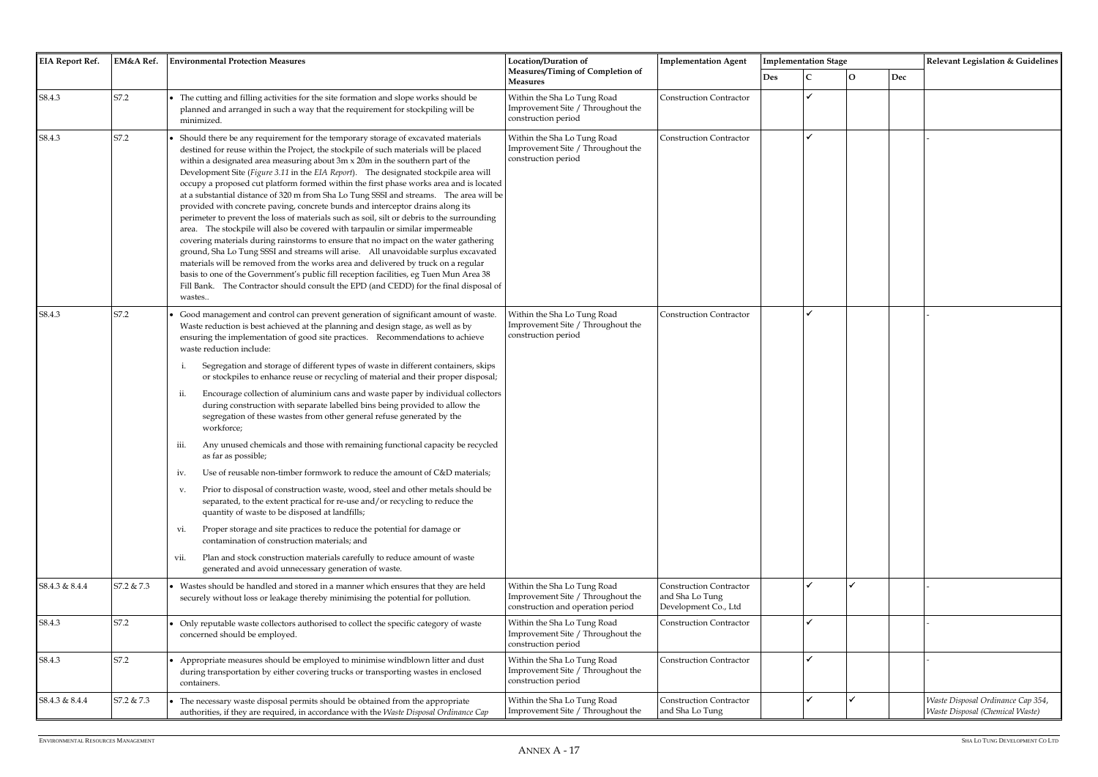| <b>EIA Report Ref.</b> | EM&A Ref.  | <b>Environmental Protection Measures</b>                                                                                                                                                                                                                                                                                                                                                                                                                                                                                                                                                                                                                                                                                                                                                                                                                                                                                                                                                                                                                                                                                                                                                                                                                                                                                                                                                                                                        | Location/Duration of                                                                                  | <b>Implementation Stage</b><br><b>Implementation Agent</b>                |            |  | Relevant Legislation & Guidelines |     |                                                                      |
|------------------------|------------|-------------------------------------------------------------------------------------------------------------------------------------------------------------------------------------------------------------------------------------------------------------------------------------------------------------------------------------------------------------------------------------------------------------------------------------------------------------------------------------------------------------------------------------------------------------------------------------------------------------------------------------------------------------------------------------------------------------------------------------------------------------------------------------------------------------------------------------------------------------------------------------------------------------------------------------------------------------------------------------------------------------------------------------------------------------------------------------------------------------------------------------------------------------------------------------------------------------------------------------------------------------------------------------------------------------------------------------------------------------------------------------------------------------------------------------------------|-------------------------------------------------------------------------------------------------------|---------------------------------------------------------------------------|------------|--|-----------------------------------|-----|----------------------------------------------------------------------|
|                        |            |                                                                                                                                                                                                                                                                                                                                                                                                                                                                                                                                                                                                                                                                                                                                                                                                                                                                                                                                                                                                                                                                                                                                                                                                                                                                                                                                                                                                                                                 | Measures/Timing of Completion of<br><b>Measures</b>                                                   |                                                                           | <b>Des</b> |  | 0                                 | Dec |                                                                      |
| S8.4.3                 | S7.2       | The cutting and filling activities for the site formation and slope works should be<br>planned and arranged in such a way that the requirement for stockpiling will be<br>minimized.                                                                                                                                                                                                                                                                                                                                                                                                                                                                                                                                                                                                                                                                                                                                                                                                                                                                                                                                                                                                                                                                                                                                                                                                                                                            | Within the Sha Lo Tung Road<br>Improvement Site / Throughout the<br>construction period               | <b>Construction Contractor</b>                                            |            |  |                                   |     |                                                                      |
| S8.4.3                 | S7.2       | Should there be any requirement for the temporary storage of excavated materials<br>destined for reuse within the Project, the stockpile of such materials will be placed<br>within a designated area measuring about 3m x 20m in the southern part of the<br>Development Site (Figure 3.11 in the EIA Report). The designated stockpile area will<br>occupy a proposed cut platform formed within the first phase works area and is located<br>at a substantial distance of 320 m from Sha Lo Tung SSSI and streams. The area will be<br>provided with concrete paving, concrete bunds and interceptor drains along its<br>perimeter to prevent the loss of materials such as soil, silt or debris to the surrounding<br>area. The stockpile will also be covered with tarpaulin or similar impermeable<br>covering materials during rainstorms to ensure that no impact on the water gathering<br>ground, Sha Lo Tung SSSI and streams will arise.  All unavoidable surplus excavated<br>materials will be removed from the works area and delivered by truck on a regular<br>basis to one of the Government's public fill reception facilities, eg Tuen Mun Area 38<br>Fill Bank. The Contractor should consult the EPD (and CEDD) for the final disposal of<br>wastes                                                                                                                                                                       | Within the Sha Lo Tung Road<br>Improvement Site / Throughout the<br>construction period               | <b>Construction Contractor</b>                                            |            |  |                                   |     |                                                                      |
| S8.4.3                 | S7.2       | Good management and control can prevent generation of significant amount of waste.<br>Waste reduction is best achieved at the planning and design stage, as well as by<br>ensuring the implementation of good site practices. Recommendations to achieve<br>waste reduction include:<br>Segregation and storage of different types of waste in different containers, skips<br>or stockpiles to enhance reuse or recycling of material and their proper disposal;<br>Encourage collection of aluminium cans and waste paper by individual collectors<br>ii.<br>during construction with separate labelled bins being provided to allow the<br>segregation of these wastes from other general refuse generated by the<br>workforce;<br>Any unused chemicals and those with remaining functional capacity be recycled<br>iii<br>as far as possible;<br>Use of reusable non-timber formwork to reduce the amount of C&D materials;<br>iv.<br>Prior to disposal of construction waste, wood, steel and other metals should be<br>V.<br>separated, to the extent practical for re-use and/or recycling to reduce the<br>quantity of waste to be disposed at landfills;<br>Proper storage and site practices to reduce the potential for damage or<br>vi.<br>contamination of construction materials; and<br>Plan and stock construction materials carefully to reduce amount of waste<br>vii.<br>generated and avoid unnecessary generation of waste. | Within the Sha Lo Tung Road<br>Improvement Site / Throughout the<br>construction period               | <b>Construction Contractor</b>                                            |            |  |                                   |     |                                                                      |
| S8.4.3 & 8.4.4         | S7.2 & 7.3 | Wastes should be handled and stored in a manner which ensures that they are held<br>securely without loss or leakage thereby minimising the potential for pollution.                                                                                                                                                                                                                                                                                                                                                                                                                                                                                                                                                                                                                                                                                                                                                                                                                                                                                                                                                                                                                                                                                                                                                                                                                                                                            | Within the Sha Lo Tung Road<br>Improvement Site / Throughout the<br>construction and operation period | <b>Construction Contractor</b><br>and Sha Lo Tung<br>Development Co., Ltd |            |  |                                   |     |                                                                      |
| S8.4.3                 | S7.2       | Only reputable waste collectors authorised to collect the specific category of waste<br>concerned should be employed.                                                                                                                                                                                                                                                                                                                                                                                                                                                                                                                                                                                                                                                                                                                                                                                                                                                                                                                                                                                                                                                                                                                                                                                                                                                                                                                           | Within the Sha Lo Tung Road<br>Improvement Site / Throughout the<br>construction period               | <b>Construction Contractor</b>                                            |            |  |                                   |     |                                                                      |
| S8.4.3                 | S7.2       | Appropriate measures should be employed to minimise windblown litter and dust<br>during transportation by either covering trucks or transporting wastes in enclosed<br>containers.                                                                                                                                                                                                                                                                                                                                                                                                                                                                                                                                                                                                                                                                                                                                                                                                                                                                                                                                                                                                                                                                                                                                                                                                                                                              | Within the Sha Lo Tung Road<br>Improvement Site / Throughout the<br>construction period               | <b>Construction Contractor</b>                                            |            |  |                                   |     |                                                                      |
| S8.4.3 & 8.4.4         | S7.2 & 7.3 | The necessary waste disposal permits should be obtained from the appropriate<br>authorities, if they are required, in accordance with the Waste Disposal Ordinance Cap                                                                                                                                                                                                                                                                                                                                                                                                                                                                                                                                                                                                                                                                                                                                                                                                                                                                                                                                                                                                                                                                                                                                                                                                                                                                          | Within the Sha Lo Tung Road<br>Improvement Site / Throughout the                                      | <b>Construction Contractor</b><br>and Sha Lo Tung                         |            |  |                                   |     | Waste Disposal Ordinance Cap 354,<br>Waste Disposal (Chemical Waste) |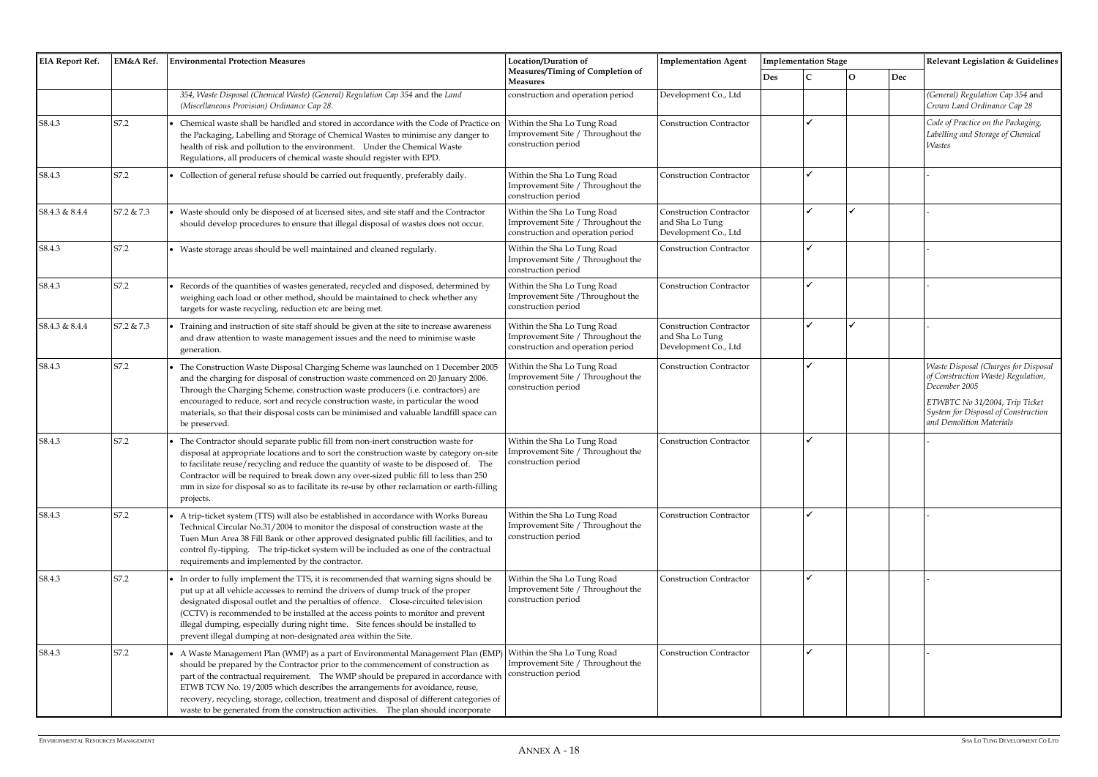| <b>EIA Report Ref.</b> | EM&A Ref.  | <b>Environmental Protection Measures</b>                                                                                                                                                                                                                                                                                                                                                                                                                                                                                       | Location/Duration of                                                                                  | <b>Implementation Agent</b>                                               |     | <b>Implementation Stage</b> |   |     | Relevant Legislation & Guidelines                                                                                                                                                                |
|------------------------|------------|--------------------------------------------------------------------------------------------------------------------------------------------------------------------------------------------------------------------------------------------------------------------------------------------------------------------------------------------------------------------------------------------------------------------------------------------------------------------------------------------------------------------------------|-------------------------------------------------------------------------------------------------------|---------------------------------------------------------------------------|-----|-----------------------------|---|-----|--------------------------------------------------------------------------------------------------------------------------------------------------------------------------------------------------|
|                        |            |                                                                                                                                                                                                                                                                                                                                                                                                                                                                                                                                | Measures/Timing of Completion of<br><b>Measures</b>                                                   |                                                                           | Des |                             | О | Dec |                                                                                                                                                                                                  |
|                        |            | 354, Waste Disposal (Chemical Waste) (General) Regulation Cap 354 and the Land<br>(Miscellaneous Provision) Ordinance Cap 28.                                                                                                                                                                                                                                                                                                                                                                                                  | construction and operation period                                                                     | Development Co., Ltd                                                      |     |                             |   |     | (General) Regulation Cap 354 and<br>Crown Land Ordinance Cap 28                                                                                                                                  |
| S8.4.3                 | S7.2       | Chemical waste shall be handled and stored in accordance with the Code of Practice on<br>the Packaging, Labelling and Storage of Chemical Wastes to minimise any danger to<br>health of risk and pollution to the environment. Under the Chemical Waste<br>Regulations, all producers of chemical waste should register with EPD.                                                                                                                                                                                              | Within the Sha Lo Tung Road<br>Improvement Site / Throughout the<br>construction period               | <b>Construction Contractor</b>                                            |     |                             |   |     | Code of Practice on the Packaging,<br>Labelling and Storage of Chemical<br><b>Wastes</b>                                                                                                         |
| S8.4.3                 | S7.2       | Collection of general refuse should be carried out frequently, preferably daily.                                                                                                                                                                                                                                                                                                                                                                                                                                               | Within the Sha Lo Tung Road<br>Improvement Site / Throughout the<br>construction period               | <b>Construction Contractor</b>                                            |     |                             |   |     |                                                                                                                                                                                                  |
| S8.4.3 & 8.4.4         | S7.2 & 7.3 | Waste should only be disposed of at licensed sites, and site staff and the Contractor<br>should develop procedures to ensure that illegal disposal of wastes does not occur.                                                                                                                                                                                                                                                                                                                                                   | Within the Sha Lo Tung Road<br>Improvement Site / Throughout the<br>construction and operation period | <b>Construction Contractor</b><br>and Sha Lo Tung<br>Development Co., Ltd |     |                             |   |     |                                                                                                                                                                                                  |
| S8.4.3                 | S7.2       | Waste storage areas should be well maintained and cleaned regularly.                                                                                                                                                                                                                                                                                                                                                                                                                                                           | Within the Sha Lo Tung Road<br>Improvement Site / Throughout the<br>construction period               | <b>Construction Contractor</b>                                            |     |                             |   |     |                                                                                                                                                                                                  |
| S8.4.3                 | S7.2       | Records of the quantities of wastes generated, recycled and disposed, determined by<br>weighing each load or other method, should be maintained to check whether any<br>targets for waste recycling, reduction etc are being met.                                                                                                                                                                                                                                                                                              | Within the Sha Lo Tung Road<br>Improvement Site / Throughout the<br>construction period               | <b>Construction Contractor</b>                                            |     |                             |   |     |                                                                                                                                                                                                  |
| S8.4.3 & 8.4.4         | S7.2 & 7.3 | Training and instruction of site staff should be given at the site to increase awareness<br>and draw attention to waste management issues and the need to minimise waste<br>generation.                                                                                                                                                                                                                                                                                                                                        | Within the Sha Lo Tung Road<br>Improvement Site / Throughout the<br>construction and operation period | <b>Construction Contractor</b><br>and Sha Lo Tung<br>Development Co., Ltd |     |                             |   |     |                                                                                                                                                                                                  |
| S8.4.3                 | S7.2       | The Construction Waste Disposal Charging Scheme was launched on 1 December 2005<br>and the charging for disposal of construction waste commenced on 20 January 2006.<br>Through the Charging Scheme, construction waste producers (i.e. contractors) are<br>encouraged to reduce, sort and recycle construction waste, in particular the wood<br>materials, so that their disposal costs can be minimised and valuable landfill space can<br>be preserved.                                                                     | Within the Sha Lo Tung Road<br>Improvement Site / Throughout the<br>construction period               | <b>Construction Contractor</b>                                            |     |                             |   |     | Waste Disposal (Charges for Disposal<br>of Construction Waste) Regulation,<br>December 2005<br>ETWBTC No 31/2004, Trip Ticket<br>System for Disposal of Construction<br>and Demolition Materials |
| S8.4.3                 | S7.2       | The Contractor should separate public fill from non-inert construction waste for<br>disposal at appropriate locations and to sort the construction waste by category on-site<br>to facilitate reuse/recycling and reduce the quantity of waste to be disposed of. The<br>Contractor will be required to break down any over-sized public fill to less than 250<br>mm in size for disposal so as to facilitate its re-use by other reclamation or earth-filling<br>projects.                                                    | Within the Sha Lo Tung Road<br>Improvement Site / Throughout the<br>construction period               | <b>Construction Contractor</b>                                            |     |                             |   |     |                                                                                                                                                                                                  |
| S8.4.3                 | S7.2       | A trip-ticket system (TTS) will also be established in accordance with Works Bureau<br>Technical Circular No.31/2004 to monitor the disposal of construction waste at the<br>Tuen Mun Area 38 Fill Bank or other approved designated public fill facilities, and to<br>control fly-tipping. The trip-ticket system will be included as one of the contractual<br>requirements and implemented by the contractor.                                                                                                               | Within the Sha Lo Tung Road<br>Improvement Site / Throughout the<br>construction period               | <b>Construction Contractor</b>                                            |     |                             |   |     |                                                                                                                                                                                                  |
| S8.4.3                 | S7.2       | In order to fully implement the TTS, it is recommended that warning signs should be<br>put up at all vehicle accesses to remind the drivers of dump truck of the proper<br>designated disposal outlet and the penalties of offence.  Close-circuited television<br>(CCTV) is recommended to be installed at the access points to monitor and prevent<br>illegal dumping, especially during night time. Site fences should be installed to<br>prevent illegal dumping at non-designated area within the Site.                   | Within the Sha Lo Tung Road<br>Improvement Site / Throughout the<br>construction period               | <b>Construction Contractor</b>                                            |     |                             |   |     |                                                                                                                                                                                                  |
| S8.4.3                 | S7.2       | A Waste Management Plan (WMP) as a part of Environmental Management Plan (EMP)<br>should be prepared by the Contractor prior to the commencement of construction as<br>part of the contractual requirement. The WMP should be prepared in accordance with<br>ETWB TCW No. 19/2005 which describes the arrangements for avoidance, reuse,<br>recovery, recycling, storage, collection, treatment and disposal of different categories of<br>waste to be generated from the construction activities. The plan should incorporate | Within the Sha Lo Tung Road<br>Improvement Site / Throughout the<br>construction period               | <b>Construction Contractor</b>                                            |     |                             |   |     |                                                                                                                                                                                                  |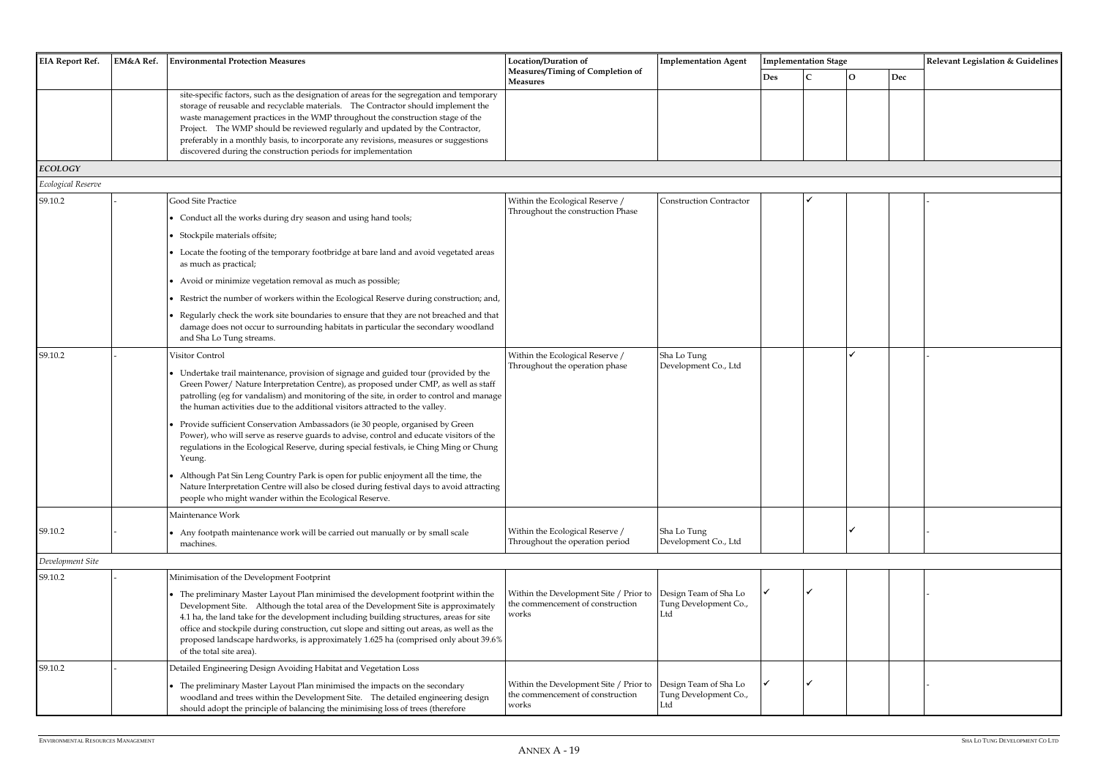| <b>EIA Report Ref.</b> | EM&A Ref. | <b>Environmental Protection Measures</b>                                                                                                                                                                                                                                                                                                                                                                                                                                                                  | Location/Duration of                                                                | <b>Implementation Agent</b>                           |            | <b>Implementation Stage</b> |          |     |                                   |
|------------------------|-----------|-----------------------------------------------------------------------------------------------------------------------------------------------------------------------------------------------------------------------------------------------------------------------------------------------------------------------------------------------------------------------------------------------------------------------------------------------------------------------------------------------------------|-------------------------------------------------------------------------------------|-------------------------------------------------------|------------|-----------------------------|----------|-----|-----------------------------------|
|                        |           |                                                                                                                                                                                                                                                                                                                                                                                                                                                                                                           | Measures/Timing of Completion of<br><b>Measures</b>                                 |                                                       | <b>Des</b> |                             | $\Omega$ | Dec | Relevant Legislation & Guidelines |
|                        |           | site-specific factors, such as the designation of areas for the segregation and temporary<br>storage of reusable and recyclable materials. The Contractor should implement the<br>waste management practices in the WMP throughout the construction stage of the<br>Project. The WMP should be reviewed regularly and updated by the Contractor,<br>preferably in a monthly basis, to incorporate any revisions, measures or suggestions<br>discovered during the construction periods for implementation |                                                                                     |                                                       |            |                             |          |     |                                   |
| <b>ECOLOGY</b>         |           |                                                                                                                                                                                                                                                                                                                                                                                                                                                                                                           |                                                                                     |                                                       |            |                             |          |     |                                   |
| Ecological Reserve     |           |                                                                                                                                                                                                                                                                                                                                                                                                                                                                                                           |                                                                                     |                                                       |            |                             |          |     |                                   |
| S9.10.2                |           | Good Site Practice<br>• Conduct all the works during dry season and using hand tools;                                                                                                                                                                                                                                                                                                                                                                                                                     | Within the Ecological Reserve /<br>Throughout the construction Phase                | <b>Construction Contractor</b>                        |            |                             |          |     |                                   |
|                        |           | Stockpile materials offsite;                                                                                                                                                                                                                                                                                                                                                                                                                                                                              |                                                                                     |                                                       |            |                             |          |     |                                   |
|                        |           | • Locate the footing of the temporary footbridge at bare land and avoid vegetated areas<br>as much as practical;                                                                                                                                                                                                                                                                                                                                                                                          |                                                                                     |                                                       |            |                             |          |     |                                   |
|                        |           | • Avoid or minimize vegetation removal as much as possible;                                                                                                                                                                                                                                                                                                                                                                                                                                               |                                                                                     |                                                       |            |                             |          |     |                                   |
|                        |           | Restrict the number of workers within the Ecological Reserve during construction; and,                                                                                                                                                                                                                                                                                                                                                                                                                    |                                                                                     |                                                       |            |                             |          |     |                                   |
|                        |           | Regularly check the work site boundaries to ensure that they are not breached and that<br>damage does not occur to surrounding habitats in particular the secondary woodland<br>and Sha Lo Tung streams.                                                                                                                                                                                                                                                                                                  |                                                                                     |                                                       |            |                             |          |     |                                   |
| S9.10.2                |           | Visitor Control                                                                                                                                                                                                                                                                                                                                                                                                                                                                                           | Within the Ecological Reserve /                                                     | Sha Lo Tung                                           |            |                             |          |     |                                   |
|                        |           | • Undertake trail maintenance, provision of signage and guided tour (provided by the<br>Green Power/ Nature Interpretation Centre), as proposed under CMP, as well as staff<br>patrolling (eg for vandalism) and monitoring of the site, in order to control and manage<br>the human activities due to the additional visitors attracted to the valley.                                                                                                                                                   | Throughout the operation phase                                                      | Development Co., Ltd                                  |            |                             |          |     |                                   |
|                        |           | Provide sufficient Conservation Ambassadors (ie 30 people, organised by Green<br>Power), who will serve as reserve guards to advise, control and educate visitors of the<br>regulations in the Ecological Reserve, during special festivals, ie Ching Ming or Chung<br>Yeung.                                                                                                                                                                                                                             |                                                                                     |                                                       |            |                             |          |     |                                   |
|                        |           | • Although Pat Sin Leng Country Park is open for public enjoyment all the time, the<br>Nature Interpretation Centre will also be closed during festival days to avoid attracting<br>people who might wander within the Ecological Reserve.                                                                                                                                                                                                                                                                |                                                                                     |                                                       |            |                             |          |     |                                   |
|                        |           | Maintenance Work                                                                                                                                                                                                                                                                                                                                                                                                                                                                                          |                                                                                     |                                                       |            |                             |          |     |                                   |
| S9.10.2                |           | • Any footpath maintenance work will be carried out manually or by small scale<br>machines.                                                                                                                                                                                                                                                                                                                                                                                                               | Within the Ecological Reserve /<br>Throughout the operation period                  | Sha Lo Tung<br>Development Co., Ltd                   |            |                             |          |     |                                   |
| Development Site       |           |                                                                                                                                                                                                                                                                                                                                                                                                                                                                                                           |                                                                                     |                                                       |            |                             |          |     |                                   |
| S9.10.2                |           | Minimisation of the Development Footprint                                                                                                                                                                                                                                                                                                                                                                                                                                                                 |                                                                                     |                                                       |            |                             |          |     |                                   |
|                        |           | The preliminary Master Layout Plan minimised the development footprint within the<br>Development Site. Although the total area of the Development Site is approximately<br>4.1 ha, the land take for the development including building structures, areas for site<br>office and stockpile during construction, cut slope and sitting out areas, as well as the<br>proposed landscape hardworks, is approximately 1.625 ha (comprised only about 39.6%<br>of the total site area).                        | Within the Development Site / Prior to<br>the commencement of construction<br>works | Design Team of Sha Lo<br>Tung Development Co.,<br>Ltd |            |                             |          |     |                                   |
| S9.10.2                |           | Detailed Engineering Design Avoiding Habitat and Vegetation Loss                                                                                                                                                                                                                                                                                                                                                                                                                                          |                                                                                     |                                                       |            |                             |          |     |                                   |
|                        |           | The preliminary Master Layout Plan minimised the impacts on the secondary<br>woodland and trees within the Development Site. The detailed engineering design<br>should adopt the principle of balancing the minimising loss of trees (therefore                                                                                                                                                                                                                                                           | Within the Development Site / Prior to<br>the commencement of construction<br>works | Design Team of Sha Lo<br>Tung Development Co.,<br>Ltd |            |                             |          |     |                                   |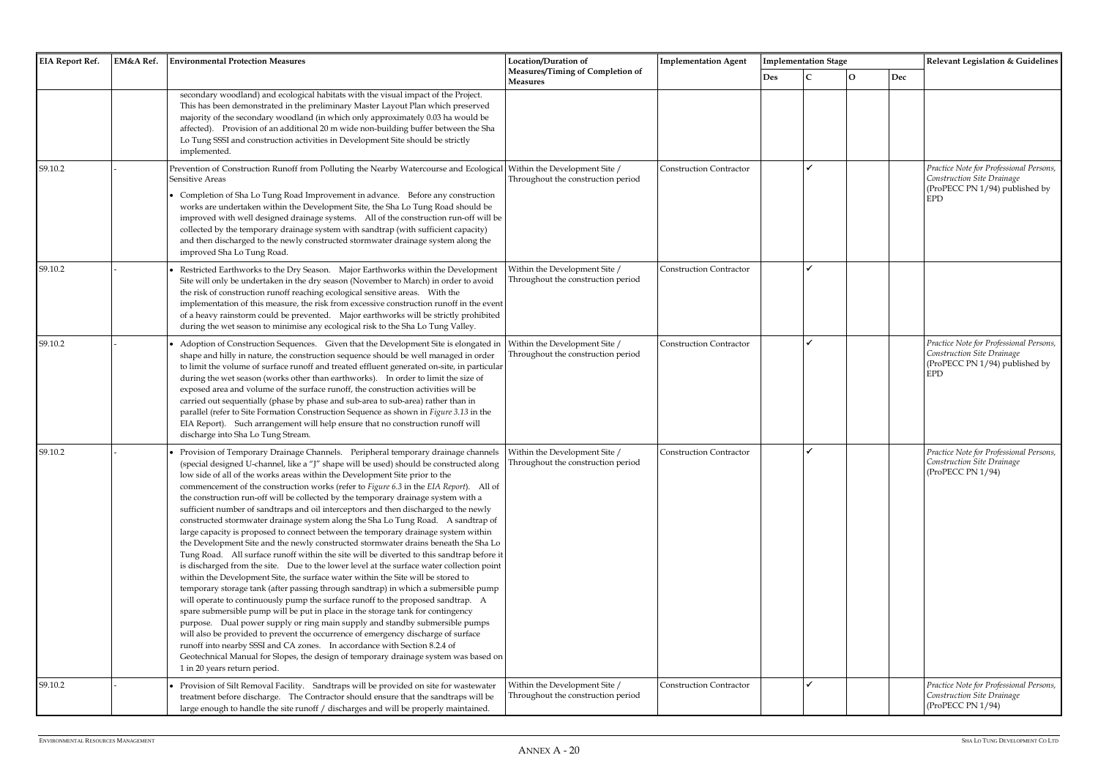| <b>EIA Report Ref.</b> | EM&A Ref. | <b>Environmental Protection Measures</b>                                                                                                                                                                                                                                                                                                                                                                                                                                                                                                                                                                                                                                                                                                                                                                                                                                                                                                                                                                                                                                                                                                                                                                                                                                                                                                                                                                                                                                                                                                                                                                                                                                                                                                                      | Location/Duration of                                                | <b>Implementation Agent</b>    | <b>Implementation Stage</b> |   |  |
|------------------------|-----------|---------------------------------------------------------------------------------------------------------------------------------------------------------------------------------------------------------------------------------------------------------------------------------------------------------------------------------------------------------------------------------------------------------------------------------------------------------------------------------------------------------------------------------------------------------------------------------------------------------------------------------------------------------------------------------------------------------------------------------------------------------------------------------------------------------------------------------------------------------------------------------------------------------------------------------------------------------------------------------------------------------------------------------------------------------------------------------------------------------------------------------------------------------------------------------------------------------------------------------------------------------------------------------------------------------------------------------------------------------------------------------------------------------------------------------------------------------------------------------------------------------------------------------------------------------------------------------------------------------------------------------------------------------------------------------------------------------------------------------------------------------------|---------------------------------------------------------------------|--------------------------------|-----------------------------|---|--|
|                        |           |                                                                                                                                                                                                                                                                                                                                                                                                                                                                                                                                                                                                                                                                                                                                                                                                                                                                                                                                                                                                                                                                                                                                                                                                                                                                                                                                                                                                                                                                                                                                                                                                                                                                                                                                                               | Measures/Timing of Completion of<br><b>Measures</b>                 |                                | <b>Des</b>                  | C |  |
|                        |           | secondary woodland) and ecological habitats with the visual impact of the Project.<br>This has been demonstrated in the preliminary Master Layout Plan which preserved<br>majority of the secondary woodland (in which only approximately 0.03 ha would be<br>affected). Provision of an additional 20 m wide non-building buffer between the Sha<br>Lo Tung SSSI and construction activities in Development Site should be strictly<br>implemented.                                                                                                                                                                                                                                                                                                                                                                                                                                                                                                                                                                                                                                                                                                                                                                                                                                                                                                                                                                                                                                                                                                                                                                                                                                                                                                          |                                                                     |                                |                             |   |  |
| S9.10.2                |           | Prevention of Construction Runoff from Polluting the Nearby Watercourse and Ecological<br>Sensitive Areas<br>• Completion of Sha Lo Tung Road Improvement in advance. Before any construction<br>works are undertaken within the Development Site, the Sha Lo Tung Road should be<br>improved with well designed drainage systems. All of the construction run-off will be<br>collected by the temporary drainage system with sandtrap (with sufficient capacity)<br>and then discharged to the newly constructed stormwater drainage system along the<br>improved Sha Lo Tung Road.                                                                                                                                                                                                                                                                                                                                                                                                                                                                                                                                                                                                                                                                                                                                                                                                                                                                                                                                                                                                                                                                                                                                                                          | Within the Development Site /<br>Throughout the construction period | <b>Construction Contractor</b> |                             |   |  |
| S9.10.2                |           | Restricted Earthworks to the Dry Season. Major Earthworks within the Development<br>Site will only be undertaken in the dry season (November to March) in order to avoid<br>the risk of construction runoff reaching ecological sensitive areas.  With the<br>implementation of this measure, the risk from excessive construction runoff in the event<br>of a heavy rainstorm could be prevented. Major earthworks will be strictly prohibited<br>during the wet season to minimise any ecological risk to the Sha Lo Tung Valley.                                                                                                                                                                                                                                                                                                                                                                                                                                                                                                                                                                                                                                                                                                                                                                                                                                                                                                                                                                                                                                                                                                                                                                                                                           | Within the Development Site /<br>Throughout the construction period | <b>Construction Contractor</b> |                             |   |  |
| S9.10.2                |           | Adoption of Construction Sequences. Given that the Development Site is elongated in<br>shape and hilly in nature, the construction sequence should be well managed in order<br>to limit the volume of surface runoff and treated effluent generated on-site, in particular<br>during the wet season (works other than earthworks). In order to limit the size of<br>exposed area and volume of the surface runoff, the construction activities will be<br>carried out sequentially (phase by phase and sub-area to sub-area) rather than in<br>parallel (refer to Site Formation Construction Sequence as shown in Figure 3.13 in the<br>EIA Report). Such arrangement will help ensure that no construction runoff will<br>discharge into Sha Lo Tung Stream.                                                                                                                                                                                                                                                                                                                                                                                                                                                                                                                                                                                                                                                                                                                                                                                                                                                                                                                                                                                                | Within the Development Site /<br>Throughout the construction period | <b>Construction Contractor</b> |                             |   |  |
| S9.10.2                |           | Provision of Temporary Drainage Channels. Peripheral temporary drainage channels<br>(special designed U-channel, like a "J" shape will be used) should be constructed along Throughout the construction period<br>low side of all of the works areas within the Development Site prior to the<br>commencement of the construction works (refer to Figure 6.3 in the EIA Report). All of<br>the construction run-off will be collected by the temporary drainage system with a<br>sufficient number of sandtraps and oil interceptors and then discharged to the newly<br>constructed stormwater drainage system along the Sha Lo Tung Road. A sandtrap of<br>large capacity is proposed to connect between the temporary drainage system within<br>the Development Site and the newly constructed stormwater drains beneath the Sha Lo<br>Tung Road. All surface runoff within the site will be diverted to this sandtrap before it<br>is discharged from the site.  Due to the lower level at the surface water collection point<br>within the Development Site, the surface water within the Site will be stored to<br>temporary storage tank (after passing through sandtrap) in which a submersible pump<br>will operate to continuously pump the surface runoff to the proposed sandtrap. A<br>spare submersible pump will be put in place in the storage tank for contingency<br>purpose. Dual power supply or ring main supply and standby submersible pumps<br>will also be provided to prevent the occurrence of emergency discharge of surface<br>runoff into nearby SSSI and CA zones. In accordance with Section 8.2.4 of<br>Geotechnical Manual for Slopes, the design of temporary drainage system was based on<br>1 in 20 years return period. | Within the Development Site /                                       | <b>Construction Contractor</b> |                             |   |  |
| S9.10.2                |           | Provision of Silt Removal Facility. Sandtraps will be provided on site for wastewater<br>treatment before discharge. The Contractor should ensure that the sandtraps will be<br>large enough to handle the site runoff / discharges and will be properly maintained.                                                                                                                                                                                                                                                                                                                                                                                                                                                                                                                                                                                                                                                                                                                                                                                                                                                                                                                                                                                                                                                                                                                                                                                                                                                                                                                                                                                                                                                                                          | Within the Development Site /<br>Throughout the construction period | <b>Construction Contractor</b> |                             |   |  |

|     | <b>Implementation Stage</b> |             |     | Relevant Legislation & Guidelines                                                                                     |
|-----|-----------------------------|-------------|-----|-----------------------------------------------------------------------------------------------------------------------|
| Des | $\mathbf C$                 | $\mathbf O$ | Dec |                                                                                                                       |
|     |                             |             |     |                                                                                                                       |
|     | ✓                           |             |     | Practice Note for Professional Persons,<br>Construction Site Drainage<br>(ProPECC PN 1/94) published by<br><b>EPD</b> |
|     | ✔                           |             |     |                                                                                                                       |
|     | ✓                           |             |     | Practice Note for Professional Persons,<br>Construction Site Drainage<br>(ProPECC PN 1/94) published by<br><b>EPD</b> |
|     | ✓                           |             |     | Practice Note for Professional Persons,<br>Construction Site Drainage<br>(ProPECC PN 1/94)                            |
|     | ✓                           |             |     | Practice Note for Professional Persons,<br>Construction Site Drainage<br>(ProPECC PN 1/94)                            |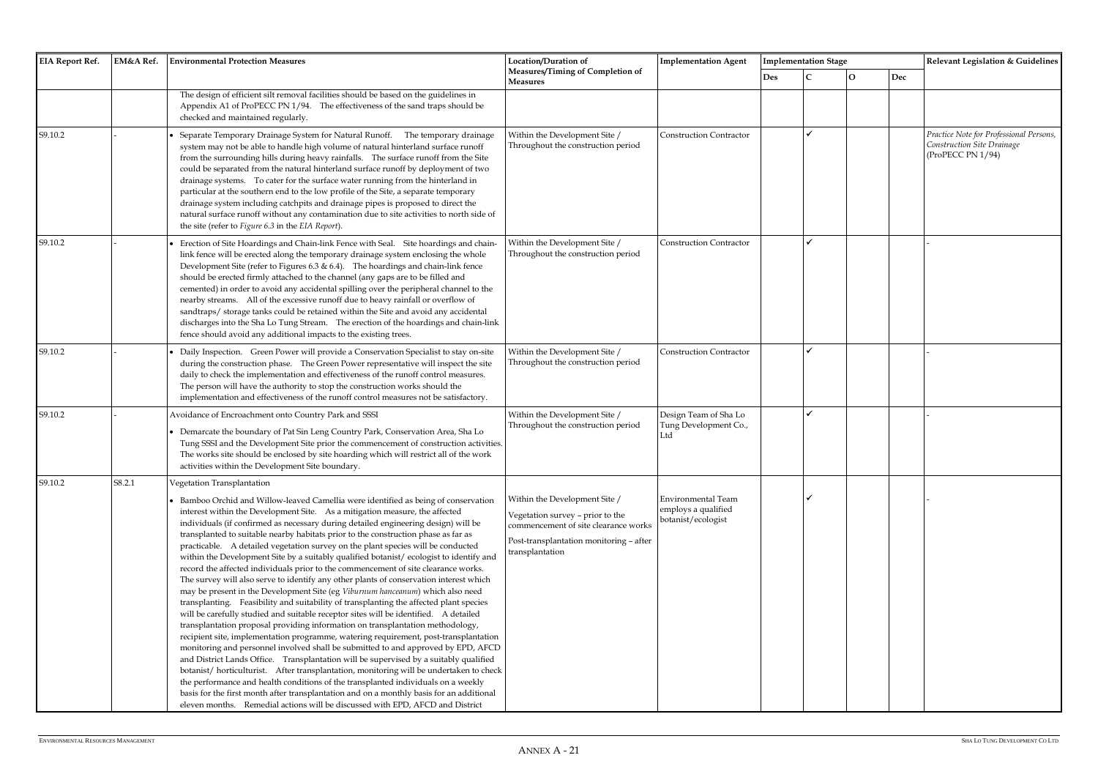| <b>EIA Report Ref.</b> | EM&A Ref. | <b>Environmental Protection Measures</b>                                                                                                                                                                                                                                                                                                                                                                                                                                                                                                                                                                                                                                                                                                                                                                                                                                                                                                                                                                                                                                                                                                                                                                                                                                                                                                                                                                                                                                                                                                                                                                                                                                                                                            | Location/Duration of<br><b>Implementation Agent</b>                                                                                                                     |                                                                 |            | <b>Implementation Stage</b> |              |     |  |  |
|------------------------|-----------|-------------------------------------------------------------------------------------------------------------------------------------------------------------------------------------------------------------------------------------------------------------------------------------------------------------------------------------------------------------------------------------------------------------------------------------------------------------------------------------------------------------------------------------------------------------------------------------------------------------------------------------------------------------------------------------------------------------------------------------------------------------------------------------------------------------------------------------------------------------------------------------------------------------------------------------------------------------------------------------------------------------------------------------------------------------------------------------------------------------------------------------------------------------------------------------------------------------------------------------------------------------------------------------------------------------------------------------------------------------------------------------------------------------------------------------------------------------------------------------------------------------------------------------------------------------------------------------------------------------------------------------------------------------------------------------------------------------------------------------|-------------------------------------------------------------------------------------------------------------------------------------------------------------------------|-----------------------------------------------------------------|------------|-----------------------------|--------------|-----|--|--|
|                        |           |                                                                                                                                                                                                                                                                                                                                                                                                                                                                                                                                                                                                                                                                                                                                                                                                                                                                                                                                                                                                                                                                                                                                                                                                                                                                                                                                                                                                                                                                                                                                                                                                                                                                                                                                     | Measures/Timing of Completion of<br><b>Measures</b>                                                                                                                     |                                                                 | <b>Des</b> | C                           | $\mathbf{O}$ | Dec |  |  |
|                        |           | The design of efficient silt removal facilities should be based on the guidelines in<br>Appendix A1 of ProPECC PN 1/94. The effectiveness of the sand traps should be<br>checked and maintained regularly.                                                                                                                                                                                                                                                                                                                                                                                                                                                                                                                                                                                                                                                                                                                                                                                                                                                                                                                                                                                                                                                                                                                                                                                                                                                                                                                                                                                                                                                                                                                          |                                                                                                                                                                         |                                                                 |            |                             |              |     |  |  |
| S9.10.2                |           | Separate Temporary Drainage System for Natural Runoff. The temporary drainage<br>system may not be able to handle high volume of natural hinterland surface runoff<br>from the surrounding hills during heavy rainfalls. The surface runoff from the Site<br>could be separated from the natural hinterland surface runoff by deployment of two<br>drainage systems. To cater for the surface water running from the hinterland in<br>particular at the southern end to the low profile of the Site, a separate temporary<br>drainage system including catchpits and drainage pipes is proposed to direct the<br>natural surface runoff without any contamination due to site activities to north side of<br>the site (refer to Figure 6.3 in the EIA Report).                                                                                                                                                                                                                                                                                                                                                                                                                                                                                                                                                                                                                                                                                                                                                                                                                                                                                                                                                                      | Within the Development Site /<br>Throughout the construction period                                                                                                     | <b>Construction Contractor</b>                                  |            |                             |              |     |  |  |
| S9.10.2                |           | Erection of Site Hoardings and Chain-link Fence with Seal. Site hoardings and chain-<br>link fence will be erected along the temporary drainage system enclosing the whole<br>Development Site (refer to Figures 6.3 & 6.4). The hoardings and chain-link fence<br>should be erected firmly attached to the channel (any gaps are to be filled and<br>cemented) in order to avoid any accidental spilling over the peripheral channel to the<br>nearby streams. All of the excessive runoff due to heavy rainfall or overflow of<br>sandtraps/ storage tanks could be retained within the Site and avoid any accidental<br>discharges into the Sha Lo Tung Stream. The erection of the hoardings and chain-link<br>fence should avoid any additional impacts to the existing trees.                                                                                                                                                                                                                                                                                                                                                                                                                                                                                                                                                                                                                                                                                                                                                                                                                                                                                                                                                 | Within the Development Site /<br>Throughout the construction period                                                                                                     | <b>Construction Contractor</b>                                  |            |                             |              |     |  |  |
| S9.10.2                |           | Daily Inspection. Green Power will provide a Conservation Specialist to stay on-site<br>during the construction phase. The Green Power representative will inspect the site<br>daily to check the implementation and effectiveness of the runoff control measures.<br>The person will have the authority to stop the construction works should the<br>implementation and effectiveness of the runoff control measures not be satisfactory.                                                                                                                                                                                                                                                                                                                                                                                                                                                                                                                                                                                                                                                                                                                                                                                                                                                                                                                                                                                                                                                                                                                                                                                                                                                                                          | Within the Development Site /<br>Throughout the construction period                                                                                                     | <b>Construction Contractor</b>                                  |            |                             |              |     |  |  |
| S9.10.2                |           | Avoidance of Encroachment onto Country Park and SSSI<br>Demarcate the boundary of Pat Sin Leng Country Park, Conservation Area, Sha Lo<br>Tung SSSI and the Development Site prior the commencement of construction activities.<br>The works site should be enclosed by site hoarding which will restrict all of the work<br>activities within the Development Site boundary.                                                                                                                                                                                                                                                                                                                                                                                                                                                                                                                                                                                                                                                                                                                                                                                                                                                                                                                                                                                                                                                                                                                                                                                                                                                                                                                                                       | Within the Development Site /<br>Throughout the construction period                                                                                                     | Design Team of Sha Lo<br>Tung Development Co.,<br>Ltd           |            | ✓                           |              |     |  |  |
| S9.10.2                | S8.2.1    | Vegetation Transplantation<br>• Bamboo Orchid and Willow-leaved Camellia were identified as being of conservation<br>interest within the Development Site. As a mitigation measure, the affected<br>individuals (if confirmed as necessary during detailed engineering design) will be<br>transplanted to suitable nearby habitats prior to the construction phase as far as<br>practicable. A detailed vegetation survey on the plant species will be conducted<br>within the Development Site by a suitably qualified botanist/ecologist to identify and<br>record the affected individuals prior to the commencement of site clearance works.<br>The survey will also serve to identify any other plants of conservation interest which<br>may be present in the Development Site (eg Viburnum hanceanum) which also need<br>transplanting. Feasibility and suitability of transplanting the affected plant species<br>will be carefully studied and suitable receptor sites will be identified. A detailed<br>transplantation proposal providing information on transplantation methodology,<br>recipient site, implementation programme, watering requirement, post-transplantation<br>monitoring and personnel involved shall be submitted to and approved by EPD, AFCD<br>and District Lands Office. Transplantation will be supervised by a suitably qualified<br>botanist/ horticulturist. After transplantation, monitoring will be undertaken to check<br>the performance and health conditions of the transplanted individuals on a weekly<br>basis for the first month after transplantation and on a monthly basis for an additional<br>eleven months. Remedial actions will be discussed with EPD, AFCD and District | Within the Development Site /<br>Vegetation survey - prior to the<br>commencement of site clearance works<br>Post-transplantation monitoring - after<br>transplantation | Environmental Team<br>employs a qualified<br>botanist/ecologist |            |                             |              |     |  |  |

|     | <b>Implementation Stage</b> |             |     | Relevant Legislation & Guidelines               |
|-----|-----------------------------|-------------|-----|-------------------------------------------------|
| Des | $\mathsf C$                 | $\mathbf O$ | Dec |                                                 |
|     |                             |             |     |                                                 |
|     |                             |             |     |                                                 |
|     | $\checkmark$                |             |     | Practice Note for Professional Persons,         |
|     |                             |             |     | Construction Site Drainage<br>(ProPECC PN 1/94) |
|     |                             |             |     |                                                 |
|     |                             |             |     |                                                 |
|     |                             |             |     |                                                 |
|     |                             |             |     |                                                 |
|     | $\checkmark$                |             |     | $\overline{\phantom{a}}$                        |
|     |                             |             |     |                                                 |
|     |                             |             |     |                                                 |
|     |                             |             |     |                                                 |
|     |                             |             |     |                                                 |
|     |                             |             |     |                                                 |
|     | $\checkmark$                |             |     | -                                               |
|     |                             |             |     |                                                 |
|     |                             |             |     |                                                 |
|     |                             |             |     |                                                 |
|     | $\checkmark$                |             |     | $\overline{\phantom{a}}$                        |
|     |                             |             |     |                                                 |
|     |                             |             |     |                                                 |
|     |                             |             |     |                                                 |
|     |                             |             |     |                                                 |
|     |                             |             |     |                                                 |
|     |                             |             |     |                                                 |
|     |                             |             |     |                                                 |
|     |                             |             |     |                                                 |
|     |                             |             |     |                                                 |
|     |                             |             |     |                                                 |
|     |                             |             |     |                                                 |
|     |                             |             |     |                                                 |
|     |                             |             |     |                                                 |
|     |                             |             |     |                                                 |
|     |                             |             |     |                                                 |
|     |                             |             |     |                                                 |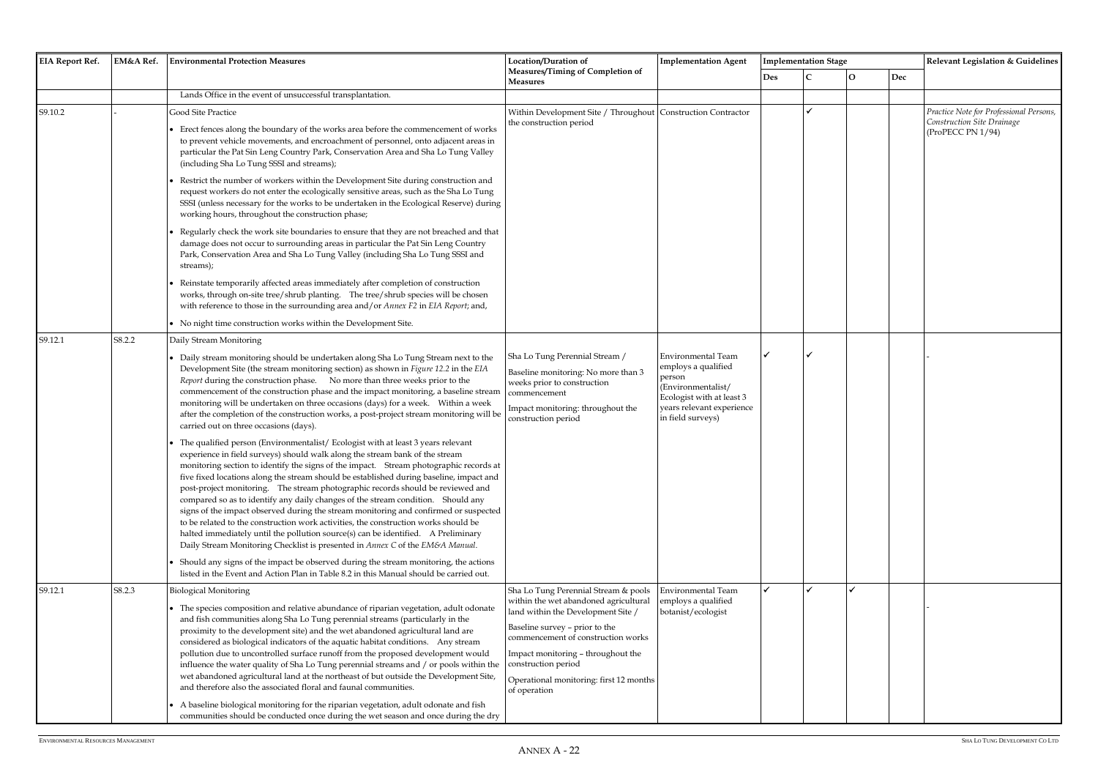| <b>EIA Report Ref.</b> | EM&A Ref. | <b>Environmental Protection Measures</b><br>Location/Duration of                                                                                                                                                                                                                                                                                                                                                                                                                                                                                                                                                                                                                                                                                                                                                                                                                                                                                                                                                                                                   | <b>Implementation Agent</b>                                                                                                                                                                                                        |                                                                                                                                                          | <b>Implementation Stage</b> |  |              | Relevant Legislation & Guidelines |                                                                                            |
|------------------------|-----------|--------------------------------------------------------------------------------------------------------------------------------------------------------------------------------------------------------------------------------------------------------------------------------------------------------------------------------------------------------------------------------------------------------------------------------------------------------------------------------------------------------------------------------------------------------------------------------------------------------------------------------------------------------------------------------------------------------------------------------------------------------------------------------------------------------------------------------------------------------------------------------------------------------------------------------------------------------------------------------------------------------------------------------------------------------------------|------------------------------------------------------------------------------------------------------------------------------------------------------------------------------------------------------------------------------------|----------------------------------------------------------------------------------------------------------------------------------------------------------|-----------------------------|--|--------------|-----------------------------------|--------------------------------------------------------------------------------------------|
|                        |           |                                                                                                                                                                                                                                                                                                                                                                                                                                                                                                                                                                                                                                                                                                                                                                                                                                                                                                                                                                                                                                                                    | <b>Measures/Timing of Completion of</b><br>Measures                                                                                                                                                                                |                                                                                                                                                          | Des                         |  | $\mathbf{O}$ | Dec                               |                                                                                            |
|                        |           | Lands Office in the event of unsuccessful transplantation.                                                                                                                                                                                                                                                                                                                                                                                                                                                                                                                                                                                                                                                                                                                                                                                                                                                                                                                                                                                                         |                                                                                                                                                                                                                                    |                                                                                                                                                          |                             |  |              |                                   |                                                                                            |
| S9.10.2                |           | Good Site Practice<br>Erect fences along the boundary of the works area before the commencement of works<br>to prevent vehicle movements, and encroachment of personnel, onto adjacent areas in<br>particular the Pat Sin Leng Country Park, Conservation Area and Sha Lo Tung Valley<br>(including Sha Lo Tung SSSI and streams);                                                                                                                                                                                                                                                                                                                                                                                                                                                                                                                                                                                                                                                                                                                                 | Within Development Site / Throughout   Construction Contractor<br>the construction period                                                                                                                                          |                                                                                                                                                          |                             |  |              |                                   | Practice Note for Professional Persons,<br>Construction Site Drainage<br>(ProPECC PN 1/94) |
|                        |           | Restrict the number of workers within the Development Site during construction and<br>request workers do not enter the ecologically sensitive areas, such as the Sha Lo Tung<br>SSSI (unless necessary for the works to be undertaken in the Ecological Reserve) during<br>working hours, throughout the construction phase;                                                                                                                                                                                                                                                                                                                                                                                                                                                                                                                                                                                                                                                                                                                                       |                                                                                                                                                                                                                                    |                                                                                                                                                          |                             |  |              |                                   |                                                                                            |
|                        |           | Regularly check the work site boundaries to ensure that they are not breached and that<br>damage does not occur to surrounding areas in particular the Pat Sin Leng Country<br>Park, Conservation Area and Sha Lo Tung Valley (including Sha Lo Tung SSSI and<br>streams);                                                                                                                                                                                                                                                                                                                                                                                                                                                                                                                                                                                                                                                                                                                                                                                         |                                                                                                                                                                                                                                    |                                                                                                                                                          |                             |  |              |                                   |                                                                                            |
|                        |           | Reinstate temporarily affected areas immediately after completion of construction<br>works, through on-site tree/shrub planting. The tree/shrub species will be chosen<br>with reference to those in the surrounding area and/or Annex F2 in EIA Report; and,                                                                                                                                                                                                                                                                                                                                                                                                                                                                                                                                                                                                                                                                                                                                                                                                      |                                                                                                                                                                                                                                    |                                                                                                                                                          |                             |  |              |                                   |                                                                                            |
|                        |           | • No night time construction works within the Development Site.                                                                                                                                                                                                                                                                                                                                                                                                                                                                                                                                                                                                                                                                                                                                                                                                                                                                                                                                                                                                    |                                                                                                                                                                                                                                    |                                                                                                                                                          |                             |  |              |                                   |                                                                                            |
| S9.12.1                | S8.2.2    | Daily Stream Monitoring                                                                                                                                                                                                                                                                                                                                                                                                                                                                                                                                                                                                                                                                                                                                                                                                                                                                                                                                                                                                                                            |                                                                                                                                                                                                                                    |                                                                                                                                                          |                             |  |              |                                   |                                                                                            |
|                        |           | Daily stream monitoring should be undertaken along Sha Lo Tung Stream next to the<br>Development Site (the stream monitoring section) as shown in Figure 12.2 in the EIA<br>Report during the construction phase. No more than three weeks prior to the<br>commencement of the construction phase and the impact monitoring, a baseline stream<br>monitoring will be undertaken on three occasions (days) for a week.  Within a week<br>after the completion of the construction works, a post-project stream monitoring will be<br>carried out on three occasions (days)                                                                                                                                                                                                                                                                                                                                                                                                                                                                                          | Sha Lo Tung Perennial Stream /<br>Baseline monitoring: No more than 3<br>weeks prior to construction<br>commencement<br>Impact monitoring: throughout the<br>construction period                                                   | Environmental Team<br>employs a qualified<br>person<br>(Environmentalist/<br>Ecologist with at least 3<br>years relevant experience<br>in field surveys) |                             |  |              |                                   |                                                                                            |
|                        |           | The qualified person (Environmentalist/Ecologist with at least 3 years relevant<br>experience in field surveys) should walk along the stream bank of the stream<br>monitoring section to identify the signs of the impact. Stream photographic records at<br>five fixed locations along the stream should be established during baseline, impact and<br>post-project monitoring. The stream photographic records should be reviewed and<br>compared so as to identify any daily changes of the stream condition. Should any<br>signs of the impact observed during the stream monitoring and confirmed or suspected<br>to be related to the construction work activities, the construction works should be<br>halted immediately until the pollution source(s) can be identified. A Preliminary<br>Daily Stream Monitoring Checklist is presented in Annex C of the EM&A Manual.<br>Should any signs of the impact be observed during the stream monitoring, the actions<br>listed in the Event and Action Plan in Table 8.2 in this Manual should be carried out. |                                                                                                                                                                                                                                    |                                                                                                                                                          |                             |  |              |                                   |                                                                                            |
| S9.12.1                | S8.2.3    | <b>Biological Monitoring</b>                                                                                                                                                                                                                                                                                                                                                                                                                                                                                                                                                                                                                                                                                                                                                                                                                                                                                                                                                                                                                                       | Sha Lo Tung Perennial Stream & pools<br>within the wet abandoned agricultural                                                                                                                                                      | Environmental Team<br>employs a qualified                                                                                                                |                             |  |              |                                   |                                                                                            |
|                        |           | The species composition and relative abundance of riparian vegetation, adult odonate<br>and fish communities along Sha Lo Tung perennial streams (particularly in the<br>proximity to the development site) and the wet abandoned agricultural land are<br>considered as biological indicators of the aquatic habitat conditions. Any stream<br>pollution due to uncontrolled surface runoff from the proposed development would<br>influence the water quality of Sha Lo Tung perennial streams and / or pools within the<br>wet abandoned agricultural land at the northeast of but outside the Development Site,<br>and therefore also the associated floral and faunal communities.<br>• A baseline biological monitoring for the riparian vegetation, adult odonate and fish<br>communities should be conducted once during the wet season and once during the dry                                                                                                                                                                                            | land within the Development Site /<br>Baseline survey - prior to the<br>commencement of construction works<br>Impact monitoring - throughout the<br>construction period<br>Operational monitoring: first 12 months<br>of operation | botanist/ecologist                                                                                                                                       |                             |  |              |                                   |                                                                                            |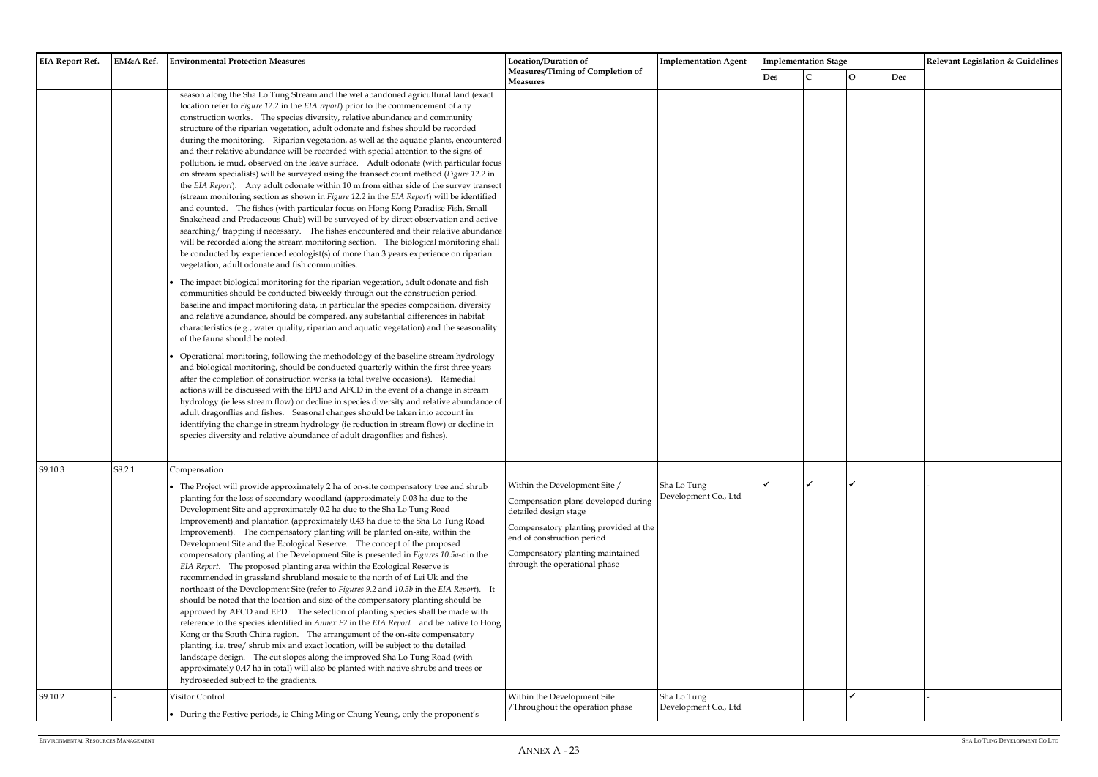| <b>EIA Report Ref.</b> | EM&A Ref. | <b>Environmental Protection Measures</b>                                                                                                                                                                                                                                                                                                                                                                                                                                                                                                                                                                                                                                                                                                                                                                                                                                                                                                                                                                                                                                                                                                                                                                                                                                                                                                                                                                                                                                                                                                                                                                                                                                                                                                                                                                                                                                                                                                                                                                                                                                                                                                                                                                                                                                                                                                                                                                                                                                                                                                                                                                              | <b>Location/Duration of</b>                                                                                                                                                                                                               | <b>Implementation Agent</b>         | <b>Implementation Stage</b> |  |              | Relevant Legislation & Guidelines |  |
|------------------------|-----------|-----------------------------------------------------------------------------------------------------------------------------------------------------------------------------------------------------------------------------------------------------------------------------------------------------------------------------------------------------------------------------------------------------------------------------------------------------------------------------------------------------------------------------------------------------------------------------------------------------------------------------------------------------------------------------------------------------------------------------------------------------------------------------------------------------------------------------------------------------------------------------------------------------------------------------------------------------------------------------------------------------------------------------------------------------------------------------------------------------------------------------------------------------------------------------------------------------------------------------------------------------------------------------------------------------------------------------------------------------------------------------------------------------------------------------------------------------------------------------------------------------------------------------------------------------------------------------------------------------------------------------------------------------------------------------------------------------------------------------------------------------------------------------------------------------------------------------------------------------------------------------------------------------------------------------------------------------------------------------------------------------------------------------------------------------------------------------------------------------------------------------------------------------------------------------------------------------------------------------------------------------------------------------------------------------------------------------------------------------------------------------------------------------------------------------------------------------------------------------------------------------------------------------------------------------------------------------------------------------------------------|-------------------------------------------------------------------------------------------------------------------------------------------------------------------------------------------------------------------------------------------|-------------------------------------|-----------------------------|--|--------------|-----------------------------------|--|
|                        |           |                                                                                                                                                                                                                                                                                                                                                                                                                                                                                                                                                                                                                                                                                                                                                                                                                                                                                                                                                                                                                                                                                                                                                                                                                                                                                                                                                                                                                                                                                                                                                                                                                                                                                                                                                                                                                                                                                                                                                                                                                                                                                                                                                                                                                                                                                                                                                                                                                                                                                                                                                                                                                       | Measures/Timing of Completion of<br><b>Measures</b>                                                                                                                                                                                       |                                     | <b>Des</b>                  |  | $\mathbf{O}$ | Dec                               |  |
|                        |           | season along the Sha Lo Tung Stream and the wet abandoned agricultural land (exact<br>location refer to Figure 12.2 in the EIA report) prior to the commencement of any<br>construction works. The species diversity, relative abundance and community<br>structure of the riparian vegetation, adult odonate and fishes should be recorded<br>during the monitoring. Riparian vegetation, as well as the aquatic plants, encountered<br>and their relative abundance will be recorded with special attention to the signs of<br>pollution, ie mud, observed on the leave surface. Adult odonate (with particular focus<br>on stream specialists) will be surveyed using the transect count method (Figure 12.2 in<br>the EIA Report). Any adult odonate within 10 m from either side of the survey transect<br>(stream monitoring section as shown in Figure 12.2 in the EIA Report) will be identified<br>and counted. The fishes (with particular focus on Hong Kong Paradise Fish, Small<br>Snakehead and Predaceous Chub) will be surveyed of by direct observation and active<br>searching/trapping if necessary. The fishes encountered and their relative abundance<br>will be recorded along the stream monitoring section. The biological monitoring shall<br>be conducted by experienced ecologist(s) of more than 3 years experience on riparian<br>vegetation, adult odonate and fish communities.<br>The impact biological monitoring for the riparian vegetation, adult odonate and fish<br>communities should be conducted biweekly through out the construction period.<br>Baseline and impact monitoring data, in particular the species composition, diversity<br>and relative abundance, should be compared, any substantial differences in habitat<br>characteristics (e.g., water quality, riparian and aquatic vegetation) and the seasonality<br>of the fauna should be noted.<br>Operational monitoring, following the methodology of the baseline stream hydrology<br>and biological monitoring, should be conducted quarterly within the first three years<br>after the completion of construction works (a total twelve occasions). Remedial<br>actions will be discussed with the EPD and AFCD in the event of a change in stream<br>hydrology (ie less stream flow) or decline in species diversity and relative abundance of<br>adult dragonflies and fishes. Seasonal changes should be taken into account in<br>identifying the change in stream hydrology (ie reduction in stream flow) or decline in<br>species diversity and relative abundance of adult dragonflies and fishes). |                                                                                                                                                                                                                                           |                                     |                             |  |              |                                   |  |
| S9.10.3                | S8.2.1    | Compensation<br>• The Project will provide approximately 2 ha of on-site compensatory tree and shrub<br>planting for the loss of secondary woodland (approximately 0.03 ha due to the<br>Development Site and approximately 0.2 ha due to the Sha Lo Tung Road<br>Improvement) and plantation (approximately 0.43 ha due to the Sha Lo Tung Road<br>Improvement). The compensatory planting will be planted on-site, within the<br>Development Site and the Ecological Reserve. The concept of the proposed<br>compensatory planting at the Development Site is presented in Figures 10.5a-c in the<br>EIA Report. The proposed planting area within the Ecological Reserve is<br>recommended in grassland shrubland mosaic to the north of of Lei Uk and the<br>northeast of the Development Site (refer to Figures 9.2 and 10.5b in the EIA Report). It<br>should be noted that the location and size of the compensatory planting should be<br>approved by AFCD and EPD. The selection of planting species shall be made with<br>reference to the species identified in Annex F2 in the EIA Report and be native to Hong<br>Kong or the South China region. The arrangement of the on-site compensatory<br>planting, i.e. tree/ shrub mix and exact location, will be subject to the detailed<br>landscape design. The cut slopes along the improved Sha Lo Tung Road (with<br>approximately 0.47 ha in total) will also be planted with native shrubs and trees or<br>hydroseeded subject to the gradients.                                                                                                                                                                                                                                                                                                                                                                                                                                                                                                                                                                                                                                                                                                                                                                                                                                                                                                                                                                                                                                                                                                       | Within the Development Site /<br>Compensation plans developed during<br>detailed design stage<br>Compensatory planting provided at the<br>end of construction period<br>Compensatory planting maintained<br>through the operational phase | Sha Lo Tung<br>Development Co., Ltd | ✔                           |  |              |                                   |  |
| S9.10.2                |           | Visitor Control<br>• During the Festive periods, ie Ching Ming or Chung Yeung, only the proponent's                                                                                                                                                                                                                                                                                                                                                                                                                                                                                                                                                                                                                                                                                                                                                                                                                                                                                                                                                                                                                                                                                                                                                                                                                                                                                                                                                                                                                                                                                                                                                                                                                                                                                                                                                                                                                                                                                                                                                                                                                                                                                                                                                                                                                                                                                                                                                                                                                                                                                                                   | Within the Development Site<br>/Throughout the operation phase                                                                                                                                                                            | Sha Lo Tung<br>Development Co., Ltd |                             |  |              |                                   |  |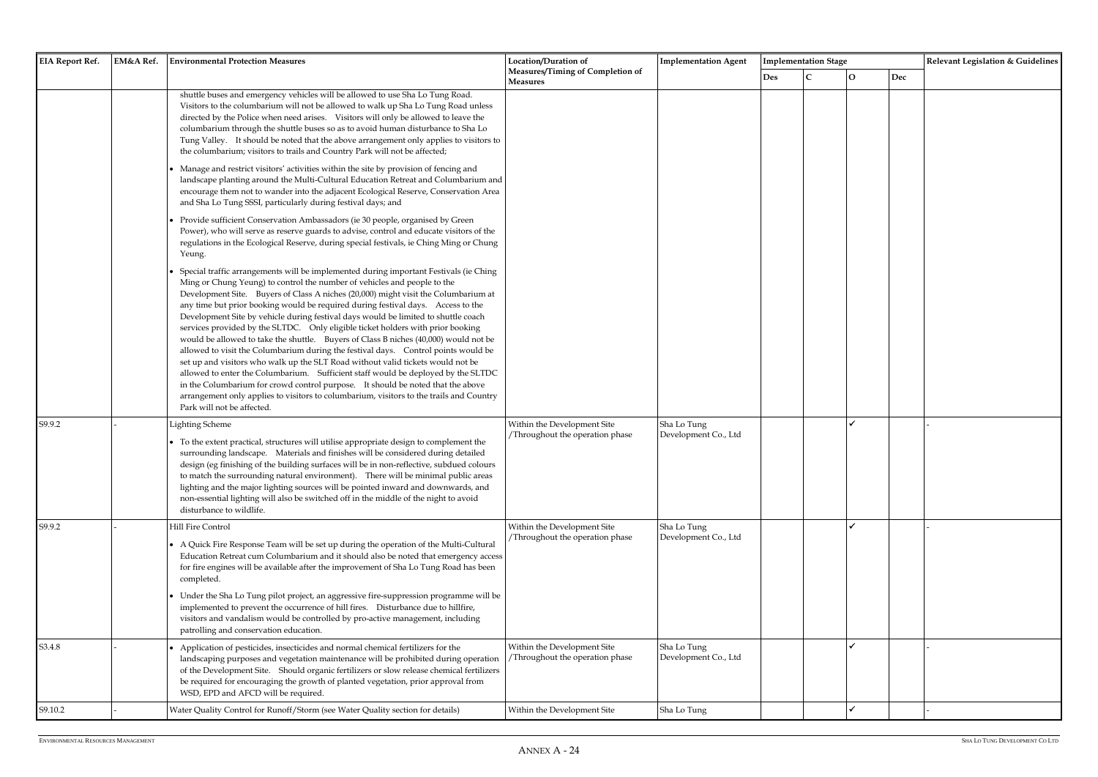| <b>EIA Report Ref.</b> | EM&A Ref. | <b>Environmental Protection Measures</b>                                                                                                                                                                                                                                                                                                                                                                                                                                                                                                                                                                                                                                                                                                                                                                                                                                                                                                                                                                                                                                                 | Location/Duration of                                          | <b>Implementation Agent</b>         |            | <b>Implementation Stage</b> |                |     | Relevant Legislation & Guidelines |
|------------------------|-----------|------------------------------------------------------------------------------------------------------------------------------------------------------------------------------------------------------------------------------------------------------------------------------------------------------------------------------------------------------------------------------------------------------------------------------------------------------------------------------------------------------------------------------------------------------------------------------------------------------------------------------------------------------------------------------------------------------------------------------------------------------------------------------------------------------------------------------------------------------------------------------------------------------------------------------------------------------------------------------------------------------------------------------------------------------------------------------------------|---------------------------------------------------------------|-------------------------------------|------------|-----------------------------|----------------|-----|-----------------------------------|
|                        |           |                                                                                                                                                                                                                                                                                                                                                                                                                                                                                                                                                                                                                                                                                                                                                                                                                                                                                                                                                                                                                                                                                          | Measures/Timing of Completion of<br>Measures                  |                                     | <b>Des</b> |                             | $\overline{O}$ | Dec |                                   |
|                        |           | shuttle buses and emergency vehicles will be allowed to use Sha Lo Tung Road.<br>Visitors to the columbarium will not be allowed to walk up Sha Lo Tung Road unless<br>directed by the Police when need arises. Visitors will only be allowed to leave the<br>columbarium through the shuttle buses so as to avoid human disturbance to Sha Lo<br>Tung Valley. It should be noted that the above arrangement only applies to visitors to<br>the columbarium; visitors to trails and Country Park will not be affected;<br>Manage and restrict visitors' activities within the site by provision of fencing and<br>landscape planting around the Multi-Cultural Education Retreat and Columbarium and<br>encourage them not to wander into the adjacent Ecological Reserve, Conservation Area<br>and Sha Lo Tung SSSI, particularly during festival days; and                                                                                                                                                                                                                             |                                                               |                                     |            |                             |                |     |                                   |
|                        |           | Provide sufficient Conservation Ambassadors (ie 30 people, organised by Green<br>Power), who will serve as reserve guards to advise, control and educate visitors of the<br>regulations in the Ecological Reserve, during special festivals, ie Ching Ming or Chung<br>Yeung.                                                                                                                                                                                                                                                                                                                                                                                                                                                                                                                                                                                                                                                                                                                                                                                                            |                                                               |                                     |            |                             |                |     |                                   |
|                        |           | Special traffic arrangements will be implemented during important Festivals (ie Ching<br>Ming or Chung Yeung) to control the number of vehicles and people to the<br>Development Site. Buyers of Class A niches (20,000) might visit the Columbarium at<br>any time but prior booking would be required during festival days.  Access to the<br>Development Site by vehicle during festival days would be limited to shuttle coach<br>services provided by the SLTDC. Only eligible ticket holders with prior booking<br>would be allowed to take the shuttle. Buyers of Class B niches (40,000) would not be<br>allowed to visit the Columbarium during the festival days.  Control points would be<br>set up and visitors who walk up the SLT Road without valid tickets would not be<br>allowed to enter the Columbarium. Sufficient staff would be deployed by the SLTDC<br>in the Columbarium for crowd control purpose. It should be noted that the above<br>arrangement only applies to visitors to columbarium, visitors to the trails and Country<br>Park will not be affected. |                                                               |                                     |            |                             |                |     |                                   |
| S9.9.2                 |           | <b>Lighting Scheme</b><br>• To the extent practical, structures will utilise appropriate design to complement the<br>surrounding landscape. Materials and finishes will be considered during detailed<br>design (eg finishing of the building surfaces will be in non-reflective, subdued colours<br>to match the surrounding natural environment). There will be minimal public areas<br>lighting and the major lighting sources will be pointed inward and downwards, and<br>non-essential lighting will also be switched off in the middle of the night to avoid<br>disturbance to wildlife.                                                                                                                                                                                                                                                                                                                                                                                                                                                                                          | Within the Development Site<br>Throughout the operation phase | Sha Lo Tung<br>Development Co., Ltd |            |                             |                |     |                                   |
| S9.9.2                 |           | Hill Fire Control<br>• A Quick Fire Response Team will be set up during the operation of the Multi-Cultural<br>Education Retreat cum Columbarium and it should also be noted that emergency access<br>for fire engines will be available after the improvement of Sha Lo Tung Road has been<br>completed.<br>Under the Sha Lo Tung pilot project, an aggressive fire-suppression programme will be<br>implemented to prevent the occurrence of hill fires.  Disturbance due to hillfire,                                                                                                                                                                                                                                                                                                                                                                                                                                                                                                                                                                                                 | Within the Development Site<br>Throughout the operation phase | Sha Lo Tung<br>Development Co., Ltd |            |                             |                |     |                                   |
|                        |           | visitors and vandalism would be controlled by pro-active management, including<br>patrolling and conservation education.                                                                                                                                                                                                                                                                                                                                                                                                                                                                                                                                                                                                                                                                                                                                                                                                                                                                                                                                                                 |                                                               |                                     |            |                             |                |     |                                   |
| S3.4.8                 |           | Application of pesticides, insecticides and normal chemical fertilizers for the<br>landscaping purposes and vegetation maintenance will be prohibited during operation<br>of the Development Site. Should organic fertilizers or slow release chemical fertilizers<br>be required for encouraging the growth of planted vegetation, prior approval from<br>WSD, EPD and AFCD will be required.                                                                                                                                                                                                                                                                                                                                                                                                                                                                                                                                                                                                                                                                                           | Within the Development Site<br>Throughout the operation phase | Sha Lo Tung<br>Development Co., Ltd |            |                             |                |     |                                   |
| S9.10.2                |           | Water Quality Control for Runoff/Storm (see Water Quality section for details)                                                                                                                                                                                                                                                                                                                                                                                                                                                                                                                                                                                                                                                                                                                                                                                                                                                                                                                                                                                                           | Within the Development Site                                   | Sha Lo Tung                         |            |                             |                |     |                                   |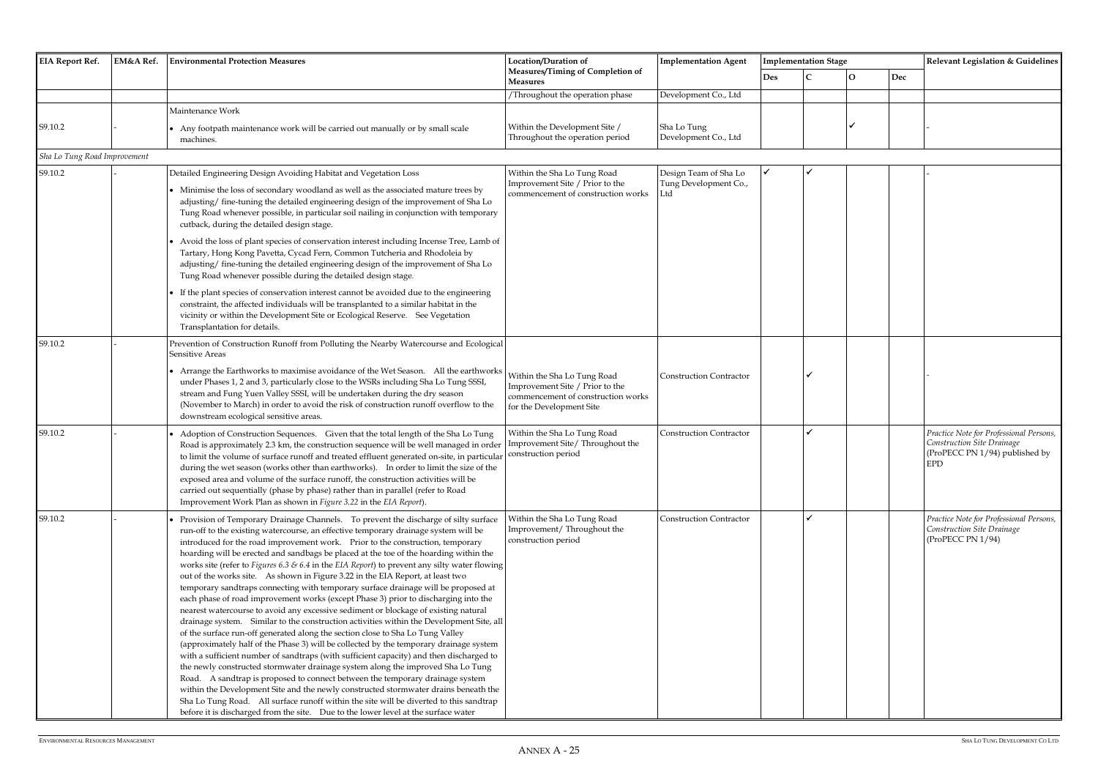| <b>EIA Report Ref.</b>       | EM&A Ref. | <b>Environmental Protection Measures</b>                                                                                                                                                                                                                                                                                                                                                                                                                                                                                                                                                                                                                                                                                                                                                                                                                                                                                                                                                                                                                                                                                                                                                                                                                                                                                                                                                                                                                                                                                                                                                                                    | Location/Duration of                                                                                                             | <b>Implementation Agent</b>         |            | <b>Implementation Stage</b> |   |     | Relevant Legislation & Guidelines                                                                              |
|------------------------------|-----------|-----------------------------------------------------------------------------------------------------------------------------------------------------------------------------------------------------------------------------------------------------------------------------------------------------------------------------------------------------------------------------------------------------------------------------------------------------------------------------------------------------------------------------------------------------------------------------------------------------------------------------------------------------------------------------------------------------------------------------------------------------------------------------------------------------------------------------------------------------------------------------------------------------------------------------------------------------------------------------------------------------------------------------------------------------------------------------------------------------------------------------------------------------------------------------------------------------------------------------------------------------------------------------------------------------------------------------------------------------------------------------------------------------------------------------------------------------------------------------------------------------------------------------------------------------------------------------------------------------------------------------|----------------------------------------------------------------------------------------------------------------------------------|-------------------------------------|------------|-----------------------------|---|-----|----------------------------------------------------------------------------------------------------------------|
|                              |           |                                                                                                                                                                                                                                                                                                                                                                                                                                                                                                                                                                                                                                                                                                                                                                                                                                                                                                                                                                                                                                                                                                                                                                                                                                                                                                                                                                                                                                                                                                                                                                                                                             | <b>Measures/Timing of Completion of</b><br><b>Measures</b>                                                                       |                                     | <b>Des</b> |                             | О | Dec |                                                                                                                |
|                              |           |                                                                                                                                                                                                                                                                                                                                                                                                                                                                                                                                                                                                                                                                                                                                                                                                                                                                                                                                                                                                                                                                                                                                                                                                                                                                                                                                                                                                                                                                                                                                                                                                                             | /Throughout the operation phase                                                                                                  | Development Co., Ltd                |            |                             |   |     |                                                                                                                |
|                              |           | Maintenance Work                                                                                                                                                                                                                                                                                                                                                                                                                                                                                                                                                                                                                                                                                                                                                                                                                                                                                                                                                                                                                                                                                                                                                                                                                                                                                                                                                                                                                                                                                                                                                                                                            |                                                                                                                                  |                                     |            |                             |   |     |                                                                                                                |
| S9.10.2                      |           | • Any footpath maintenance work will be carried out manually or by small scale<br>machines.                                                                                                                                                                                                                                                                                                                                                                                                                                                                                                                                                                                                                                                                                                                                                                                                                                                                                                                                                                                                                                                                                                                                                                                                                                                                                                                                                                                                                                                                                                                                 | Within the Development Site /<br>Throughout the operation period                                                                 | Sha Lo Tung<br>Development Co., Ltd |            |                             |   |     |                                                                                                                |
| Sha Lo Tung Road Improvement |           |                                                                                                                                                                                                                                                                                                                                                                                                                                                                                                                                                                                                                                                                                                                                                                                                                                                                                                                                                                                                                                                                                                                                                                                                                                                                                                                                                                                                                                                                                                                                                                                                                             |                                                                                                                                  |                                     |            |                             |   |     |                                                                                                                |
| S9.10.2                      |           | Detailed Engineering Design Avoiding Habitat and Vegetation Loss                                                                                                                                                                                                                                                                                                                                                                                                                                                                                                                                                                                                                                                                                                                                                                                                                                                                                                                                                                                                                                                                                                                                                                                                                                                                                                                                                                                                                                                                                                                                                            | Within the Sha Lo Tung Road                                                                                                      | Design Team of Sha Lo               |            |                             |   |     |                                                                                                                |
|                              |           | • Minimise the loss of secondary woodland as well as the associated mature trees by<br>adjusting/ fine-tuning the detailed engineering design of the improvement of Sha Lo<br>Tung Road whenever possible, in particular soil nailing in conjunction with temporary<br>cutback, during the detailed design stage.                                                                                                                                                                                                                                                                                                                                                                                                                                                                                                                                                                                                                                                                                                                                                                                                                                                                                                                                                                                                                                                                                                                                                                                                                                                                                                           | Improvement Site / Prior to the<br>commencement of construction works                                                            | Tung Development Co.,<br>∟td        |            |                             |   |     |                                                                                                                |
|                              |           | Avoid the loss of plant species of conservation interest including Incense Tree, Lamb of<br>Tartary, Hong Kong Pavetta, Cycad Fern, Common Tutcheria and Rhodoleia by<br>adjusting/ fine-tuning the detailed engineering design of the improvement of Sha Lo<br>Tung Road whenever possible during the detailed design stage.                                                                                                                                                                                                                                                                                                                                                                                                                                                                                                                                                                                                                                                                                                                                                                                                                                                                                                                                                                                                                                                                                                                                                                                                                                                                                               |                                                                                                                                  |                                     |            |                             |   |     |                                                                                                                |
|                              |           | If the plant species of conservation interest cannot be avoided due to the engineering<br>constraint, the affected individuals will be transplanted to a similar habitat in the<br>vicinity or within the Development Site or Ecological Reserve. See Vegetation<br>Transplantation for details.                                                                                                                                                                                                                                                                                                                                                                                                                                                                                                                                                                                                                                                                                                                                                                                                                                                                                                                                                                                                                                                                                                                                                                                                                                                                                                                            |                                                                                                                                  |                                     |            |                             |   |     |                                                                                                                |
| S9.10.2                      |           | Prevention of Construction Runoff from Polluting the Nearby Watercourse and Ecological<br><b>Sensitive Areas</b>                                                                                                                                                                                                                                                                                                                                                                                                                                                                                                                                                                                                                                                                                                                                                                                                                                                                                                                                                                                                                                                                                                                                                                                                                                                                                                                                                                                                                                                                                                            |                                                                                                                                  |                                     |            |                             |   |     |                                                                                                                |
|                              |           | • Arrange the Earthworks to maximise avoidance of the Wet Season. All the earthworks<br>under Phases 1, 2 and 3, particularly close to the WSRs including Sha Lo Tung SSSI,<br>stream and Fung Yuen Valley SSSI, will be undertaken during the dry season<br>(November to March) in order to avoid the risk of construction runoff overflow to the<br>downstream ecological sensitive areas.                                                                                                                                                                                                                                                                                                                                                                                                                                                                                                                                                                                                                                                                                                                                                                                                                                                                                                                                                                                                                                                                                                                                                                                                                                | Within the Sha Lo Tung Road<br>Improvement Site / Prior to the<br>commencement of construction works<br>for the Development Site | <b>Construction Contractor</b>      |            |                             |   |     |                                                                                                                |
| S9.10.2                      |           | Adoption of Construction Sequences. Given that the total length of the Sha Lo Tung<br>Road is approximately 2.3 km, the construction sequence will be well managed in order<br>to limit the volume of surface runoff and treated effluent generated on-site, in particular<br>during the wet season (works other than earthworks). In order to limit the size of the<br>exposed area and volume of the surface runoff, the construction activities will be<br>carried out sequentially (phase by phase) rather than in parallel (refer to Road<br>Improvement Work Plan as shown in Figure 3.22 in the EIA Report).                                                                                                                                                                                                                                                                                                                                                                                                                                                                                                                                                                                                                                                                                                                                                                                                                                                                                                                                                                                                         | Within the Sha Lo Tung Road<br>Improvement Site/Throughout the<br>construction period                                            | <b>Construction Contractor</b>      |            |                             |   |     | Practice Note for Professional Persons,<br>Construction Site Drainage<br>(ProPECC PN 1/94) published by<br>EPD |
| S9.10.2                      |           | Provision of Temporary Drainage Channels.  To prevent the discharge of silty surface<br>run-off to the existing watercourse, an effective temporary drainage system will be<br>introduced for the road improvement work. Prior to the construction, temporary<br>hoarding will be erected and sandbags be placed at the toe of the hoarding within the<br>works site (refer to Figures 6.3 & 6.4 in the EIA Report) to prevent any silty water flowing<br>out of the works site. As shown in Figure 3.22 in the EIA Report, at least two<br>temporary sandtraps connecting with temporary surface drainage will be proposed at<br>each phase of road improvement works (except Phase 3) prior to discharging into the<br>nearest watercourse to avoid any excessive sediment or blockage of existing natural<br>drainage system. Similar to the construction activities within the Development Site, all<br>of the surface run-off generated along the section close to Sha Lo Tung Valley<br>(approximately half of the Phase 3) will be collected by the temporary drainage system<br>with a sufficient number of sandtraps (with sufficient capacity) and then discharged to<br>the newly constructed stormwater drainage system along the improved Sha Lo Tung<br>Road. A sandtrap is proposed to connect between the temporary drainage system<br>within the Development Site and the newly constructed stormwater drains beneath the<br>Sha Lo Tung Road. All surface runoff within the site will be diverted to this sandtrap<br>before it is discharged from the site.  Due to the lower level at the surface water | Within the Sha Lo Tung Road<br>Improvement/Throughout the<br>construction period                                                 | <b>Construction Contractor</b>      |            |                             |   |     | Practice Note for Professional Persons,<br>Construction Site Drainage<br>(ProPECC PN 1/94)                     |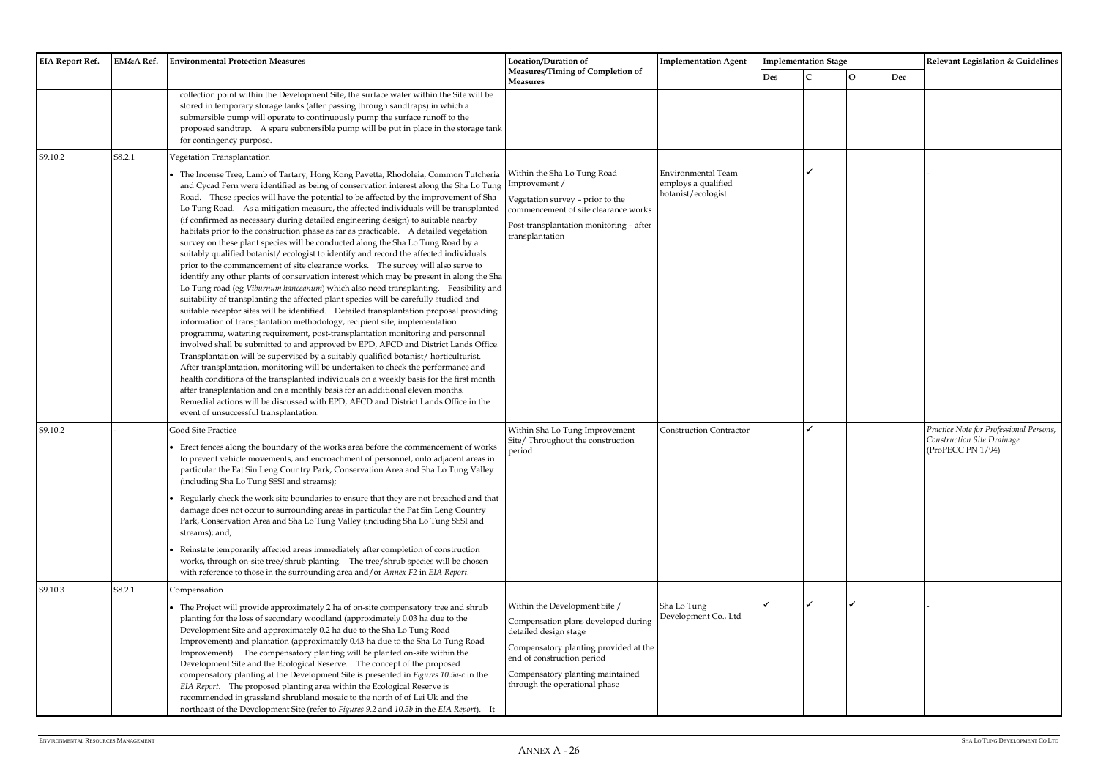| <b>EIA Report Ref.</b> | EM&A Ref. | <b>Environmental Protection Measures</b>                                                                                                                                                                                                                                                                                                                                                                                                                                                                                                                                                                                                                                                                                                                                                                                                                                                                                                                                                                                                                                                                                                                                                                                                                                                                                                                                                                                                                                                                                                                                                                                                                                                                                                                                                                                                                                                                                           | Location/Duration of                                                                                                                                                                                                                      | <b>Implementation Agent</b>                                     |     | <b>Implementation Stage</b> |             |     | Relevant Legislation & Guidelines                                                          |
|------------------------|-----------|------------------------------------------------------------------------------------------------------------------------------------------------------------------------------------------------------------------------------------------------------------------------------------------------------------------------------------------------------------------------------------------------------------------------------------------------------------------------------------------------------------------------------------------------------------------------------------------------------------------------------------------------------------------------------------------------------------------------------------------------------------------------------------------------------------------------------------------------------------------------------------------------------------------------------------------------------------------------------------------------------------------------------------------------------------------------------------------------------------------------------------------------------------------------------------------------------------------------------------------------------------------------------------------------------------------------------------------------------------------------------------------------------------------------------------------------------------------------------------------------------------------------------------------------------------------------------------------------------------------------------------------------------------------------------------------------------------------------------------------------------------------------------------------------------------------------------------------------------------------------------------------------------------------------------------|-------------------------------------------------------------------------------------------------------------------------------------------------------------------------------------------------------------------------------------------|-----------------------------------------------------------------|-----|-----------------------------|-------------|-----|--------------------------------------------------------------------------------------------|
|                        |           |                                                                                                                                                                                                                                                                                                                                                                                                                                                                                                                                                                                                                                                                                                                                                                                                                                                                                                                                                                                                                                                                                                                                                                                                                                                                                                                                                                                                                                                                                                                                                                                                                                                                                                                                                                                                                                                                                                                                    | Measures/Timing of Completion of<br><b>Measures</b>                                                                                                                                                                                       |                                                                 | Des |                             | $\mathbf O$ | Dec |                                                                                            |
|                        |           | collection point within the Development Site, the surface water within the Site will be<br>stored in temporary storage tanks (after passing through sandtraps) in which a<br>submersible pump will operate to continuously pump the surface runoff to the<br>proposed sandtrap. A spare submersible pump will be put in place in the storage tank<br>for contingency purpose.                                                                                                                                                                                                                                                                                                                                                                                                                                                                                                                                                                                                                                                                                                                                                                                                                                                                                                                                                                                                                                                                                                                                                                                                                                                                                                                                                                                                                                                                                                                                                      |                                                                                                                                                                                                                                           |                                                                 |     |                             |             |     |                                                                                            |
| S9.10.2                | S8.2.1    | Vegetation Transplantation                                                                                                                                                                                                                                                                                                                                                                                                                                                                                                                                                                                                                                                                                                                                                                                                                                                                                                                                                                                                                                                                                                                                                                                                                                                                                                                                                                                                                                                                                                                                                                                                                                                                                                                                                                                                                                                                                                         |                                                                                                                                                                                                                                           |                                                                 |     |                             |             |     |                                                                                            |
|                        |           | • The Incense Tree, Lamb of Tartary, Hong Kong Pavetta, Rhodoleia, Common Tutcheria<br>and Cycad Fern were identified as being of conservation interest along the Sha Lo Tung<br>Road. These species will have the potential to be affected by the improvement of Sha<br>Lo Tung Road. As a mitigation measure, the affected individuals will be transplanted<br>(if confirmed as necessary during detailed engineering design) to suitable nearby<br>habitats prior to the construction phase as far as practicable. A detailed vegetation<br>survey on these plant species will be conducted along the Sha Lo Tung Road by a<br>suitably qualified botanist/ecologist to identify and record the affected individuals<br>prior to the commencement of site clearance works. The survey will also serve to<br>identify any other plants of conservation interest which may be present in along the Sha<br>Lo Tung road (eg Viburnum hanceanum) which also need transplanting. Feasibility and<br>suitability of transplanting the affected plant species will be carefully studied and<br>suitable receptor sites will be identified. Detailed transplantation proposal providing<br>information of transplantation methodology, recipient site, implementation<br>programme, watering requirement, post-transplantation monitoring and personnel<br>involved shall be submitted to and approved by EPD, AFCD and District Lands Office.<br>Transplantation will be supervised by a suitably qualified botanist/ horticulturist.<br>After transplantation, monitoring will be undertaken to check the performance and<br>health conditions of the transplanted individuals on a weekly basis for the first month<br>after transplantation and on a monthly basis for an additional eleven months.<br>Remedial actions will be discussed with EPD, AFCD and District Lands Office in the<br>event of unsuccessful transplantation. | Within the Sha Lo Tung Road<br>Improvement /<br>Vegetation survey - prior to the<br>commencement of site clearance works<br>Post-transplantation monitoring - after<br>transplantation                                                    | Environmental Team<br>employs a qualified<br>botanist/ecologist |     |                             |             |     |                                                                                            |
| S9.10.2                |           | Good Site Practice<br>Erect fences along the boundary of the works area before the commencement of works<br>to prevent vehicle movements, and encroachment of personnel, onto adjacent areas in<br>particular the Pat Sin Leng Country Park, Conservation Area and Sha Lo Tung Valley<br>(including Sha Lo Tung SSSI and streams);<br>Regularly check the work site boundaries to ensure that they are not breached and that<br>damage does not occur to surrounding areas in particular the Pat Sin Leng Country<br>Park, Conservation Area and Sha Lo Tung Valley (including Sha Lo Tung SSSI and<br>streams); and,<br>Reinstate temporarily affected areas immediately after completion of construction<br>works, through on-site tree/shrub planting. The tree/shrub species will be chosen<br>with reference to those in the surrounding area and/or Annex F2 in EIA Report.                                                                                                                                                                                                                                                                                                                                                                                                                                                                                                                                                                                                                                                                                                                                                                                                                                                                                                                                                                                                                                                  | Within Sha Lo Tung Improvement<br>Site/Throughout the construction<br>period                                                                                                                                                              | <b>Construction Contractor</b>                                  |     |                             |             |     | Practice Note for Professional Persons,<br>Construction Site Drainage<br>(ProPECC PN 1/94) |
| S9.10.3                | S8.2.1    | Compensation                                                                                                                                                                                                                                                                                                                                                                                                                                                                                                                                                                                                                                                                                                                                                                                                                                                                                                                                                                                                                                                                                                                                                                                                                                                                                                                                                                                                                                                                                                                                                                                                                                                                                                                                                                                                                                                                                                                       |                                                                                                                                                                                                                                           |                                                                 |     |                             |             |     |                                                                                            |
|                        |           | • The Project will provide approximately 2 ha of on-site compensatory tree and shrub<br>planting for the loss of secondary woodland (approximately 0.03 ha due to the<br>Development Site and approximately 0.2 ha due to the Sha Lo Tung Road<br>Improvement) and plantation (approximately 0.43 ha due to the Sha Lo Tung Road<br>Improvement). The compensatory planting will be planted on-site within the<br>Development Site and the Ecological Reserve. The concept of the proposed<br>compensatory planting at the Development Site is presented in Figures 10.5a-c in the<br>EIA Report. The proposed planting area within the Ecological Reserve is<br>recommended in grassland shrubland mosaic to the north of of Lei Uk and the<br>northeast of the Development Site (refer to Figures 9.2 and 10.5b in the EIA Report). It                                                                                                                                                                                                                                                                                                                                                                                                                                                                                                                                                                                                                                                                                                                                                                                                                                                                                                                                                                                                                                                                                           | Within the Development Site /<br>Compensation plans developed during<br>detailed design stage<br>Compensatory planting provided at the<br>end of construction period<br>Compensatory planting maintained<br>through the operational phase | Sha Lo Tung<br>Development Co., Ltd                             |     |                             |             |     |                                                                                            |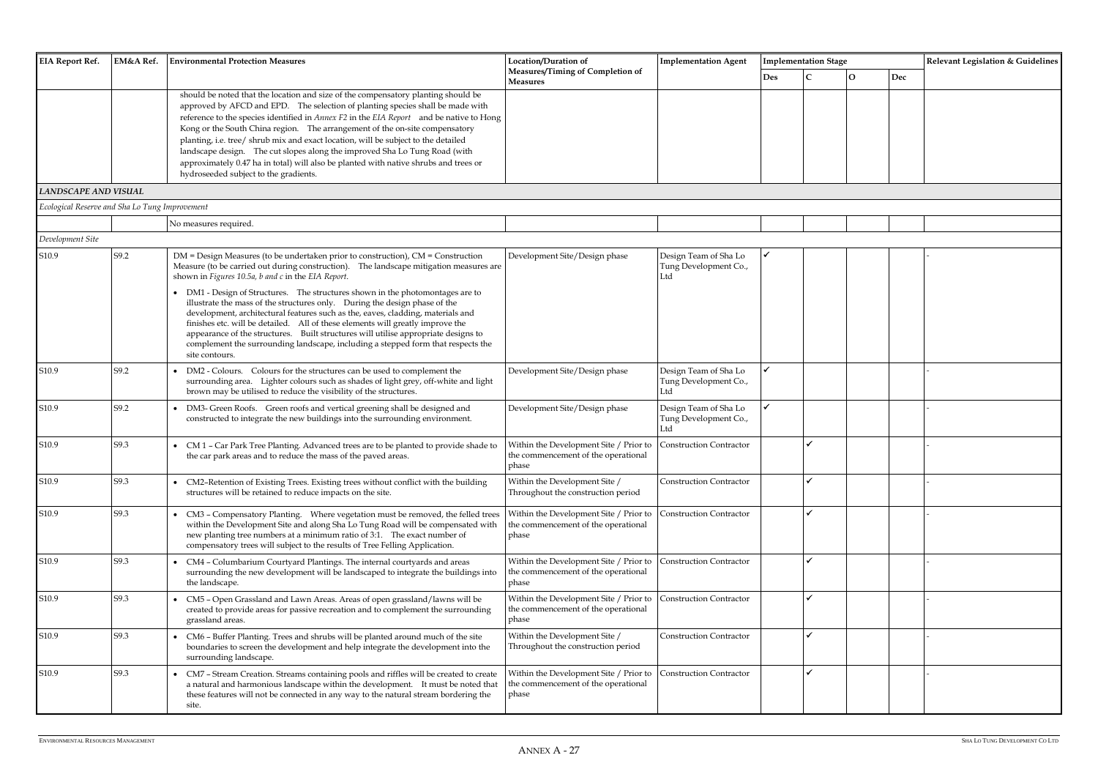| <b>EIA Report Ref.</b>                         | EM&A Ref. | <b>Environmental Protection Measures</b>                                                                                                                                                                                                                                                                                                                                                                                                                                                                                                                                                                                                                                                                                                      | Location/Duration of                                                                   | <b>Implementation Agent</b>                           | <b>Implementation Stage</b> |  |                    | Relevant Legislation & Guidelines |
|------------------------------------------------|-----------|-----------------------------------------------------------------------------------------------------------------------------------------------------------------------------------------------------------------------------------------------------------------------------------------------------------------------------------------------------------------------------------------------------------------------------------------------------------------------------------------------------------------------------------------------------------------------------------------------------------------------------------------------------------------------------------------------------------------------------------------------|----------------------------------------------------------------------------------------|-------------------------------------------------------|-----------------------------|--|--------------------|-----------------------------------|
|                                                |           |                                                                                                                                                                                                                                                                                                                                                                                                                                                                                                                                                                                                                                                                                                                                               | Measures/Timing of Completion of<br><b>Measures</b>                                    |                                                       | <b>Des</b>                  |  | $\mathbf O$<br>Dec |                                   |
|                                                |           | should be noted that the location and size of the compensatory planting should be<br>approved by AFCD and EPD. The selection of planting species shall be made with<br>reference to the species identified in Annex F2 in the EIA Report and be native to Hong<br>Kong or the South China region.  The arrangement of the on-site compensatory<br>planting, i.e. tree/ shrub mix and exact location, will be subject to the detailed<br>landscape design. The cut slopes along the improved Sha Lo Tung Road (with<br>approximately 0.47 ha in total) will also be planted with native shrubs and trees or<br>hydroseeded subject to the gradients.                                                                                           |                                                                                        |                                                       |                             |  |                    |                                   |
| <b>LANDSCAPE AND VISUAL</b>                    |           |                                                                                                                                                                                                                                                                                                                                                                                                                                                                                                                                                                                                                                                                                                                                               |                                                                                        |                                                       |                             |  |                    |                                   |
| Ecological Reserve and Sha Lo Tung Improvement |           |                                                                                                                                                                                                                                                                                                                                                                                                                                                                                                                                                                                                                                                                                                                                               |                                                                                        |                                                       |                             |  |                    |                                   |
|                                                |           | No measures required.                                                                                                                                                                                                                                                                                                                                                                                                                                                                                                                                                                                                                                                                                                                         |                                                                                        |                                                       |                             |  |                    |                                   |
| Development Site                               |           |                                                                                                                                                                                                                                                                                                                                                                                                                                                                                                                                                                                                                                                                                                                                               |                                                                                        |                                                       |                             |  |                    |                                   |
| S10.9                                          | S9.2      | DM = Design Measures (to be undertaken prior to construction), CM = Construction<br>Measure (to be carried out during construction). The landscape mitigation measures are<br>shown in Figures 10.5a, b and c in the EIA Report.<br>DM1 - Design of Structures. The structures shown in the photomontages are to<br>illustrate the mass of the structures only. During the design phase of the<br>development, architectural features such as the, eaves, cladding, materials and<br>finishes etc. will be detailed. All of these elements will greatly improve the<br>appearance of the structures. Built structures will utilise appropriate designs to<br>complement the surrounding landscape, including a stepped form that respects the | Development Site/Design phase                                                          | Design Team of Sha Lo<br>Tung Development Co.,        |                             |  |                    |                                   |
|                                                |           | site contours.                                                                                                                                                                                                                                                                                                                                                                                                                                                                                                                                                                                                                                                                                                                                |                                                                                        |                                                       |                             |  |                    |                                   |
| S10.9                                          | S9.2      | DM2 - Colours. Colours for the structures can be used to complement the<br>surrounding area. Lighter colours such as shades of light grey, off-white and light<br>brown may be utilised to reduce the visibility of the structures.                                                                                                                                                                                                                                                                                                                                                                                                                                                                                                           | Development Site/Design phase                                                          | Design Team of Sha Lo<br>Tung Development Co.,<br>Ltd |                             |  |                    |                                   |
| S10.9                                          | S9.2      | • DM3- Green Roofs. Green roofs and vertical greening shall be designed and<br>constructed to integrate the new buildings into the surrounding environment.                                                                                                                                                                                                                                                                                                                                                                                                                                                                                                                                                                                   | Development Site/Design phase                                                          | Design Team of Sha Lo<br>Tung Development Co.,<br>Ltd |                             |  |                    |                                   |
| S10.9                                          | S9.3      | • CM 1 - Car Park Tree Planting. Advanced trees are to be planted to provide shade to<br>the car park areas and to reduce the mass of the paved areas.                                                                                                                                                                                                                                                                                                                                                                                                                                                                                                                                                                                        | Within the Development Site / Prior to<br>the commencement of the operational<br>phase | <b>Construction Contractor</b>                        |                             |  |                    |                                   |
| S10.9                                          | S9.3      | CM2-Retention of Existing Trees. Existing trees without conflict with the building<br>structures will be retained to reduce impacts on the site.                                                                                                                                                                                                                                                                                                                                                                                                                                                                                                                                                                                              | Within the Development Site /<br>Throughout the construction period                    | <b>Construction Contractor</b>                        |                             |  |                    |                                   |
| S10.9                                          | S9.3      | CM3 - Compensatory Planting.  Where vegetation must be removed, the felled trees<br>within the Development Site and along Sha Lo Tung Road will be compensated with<br>new planting tree numbers at a minimum ratio of 3:1. The exact number of<br>compensatory trees will subject to the results of Tree Felling Application.                                                                                                                                                                                                                                                                                                                                                                                                                | Within the Development Site / Prior to<br>the commencement of the operational<br>phase | <b>Construction Contractor</b>                        |                             |  |                    |                                   |
| S10.9                                          | S9.3      | CM4 - Columbarium Courtyard Plantings. The internal courtyards and areas<br>surrounding the new development will be landscaped to integrate the buildings into<br>the landscape.                                                                                                                                                                                                                                                                                                                                                                                                                                                                                                                                                              | Within the Development Site / Prior to<br>the commencement of the operational<br>phase | <b>Construction Contractor</b>                        |                             |  |                    |                                   |
| S10.9                                          | S9.3      | CM5 - Open Grassland and Lawn Areas. Areas of open grassland/lawns will be<br>created to provide areas for passive recreation and to complement the surrounding<br>grassland areas.                                                                                                                                                                                                                                                                                                                                                                                                                                                                                                                                                           | Within the Development Site / Prior to<br>the commencement of the operational<br>phase | <b>Construction Contractor</b>                        |                             |  |                    |                                   |
| S10.9                                          | S9.3      | CM6 - Buffer Planting. Trees and shrubs will be planted around much of the site<br>boundaries to screen the development and help integrate the development into the<br>surrounding landscape.                                                                                                                                                                                                                                                                                                                                                                                                                                                                                                                                                 | Within the Development Site /<br>Throughout the construction period                    | <b>Construction Contractor</b>                        |                             |  |                    |                                   |
| S10.9                                          | S9.3      | CM7 - Stream Creation. Streams containing pools and riffles will be created to create<br>a natural and harmonious landscape within the development. It must be noted that<br>these features will not be connected in any way to the natural stream bordering the<br>site.                                                                                                                                                                                                                                                                                                                                                                                                                                                                     | Within the Development Site / Prior to<br>the commencement of the operational<br>phase | <b>Construction Contractor</b>                        |                             |  |                    |                                   |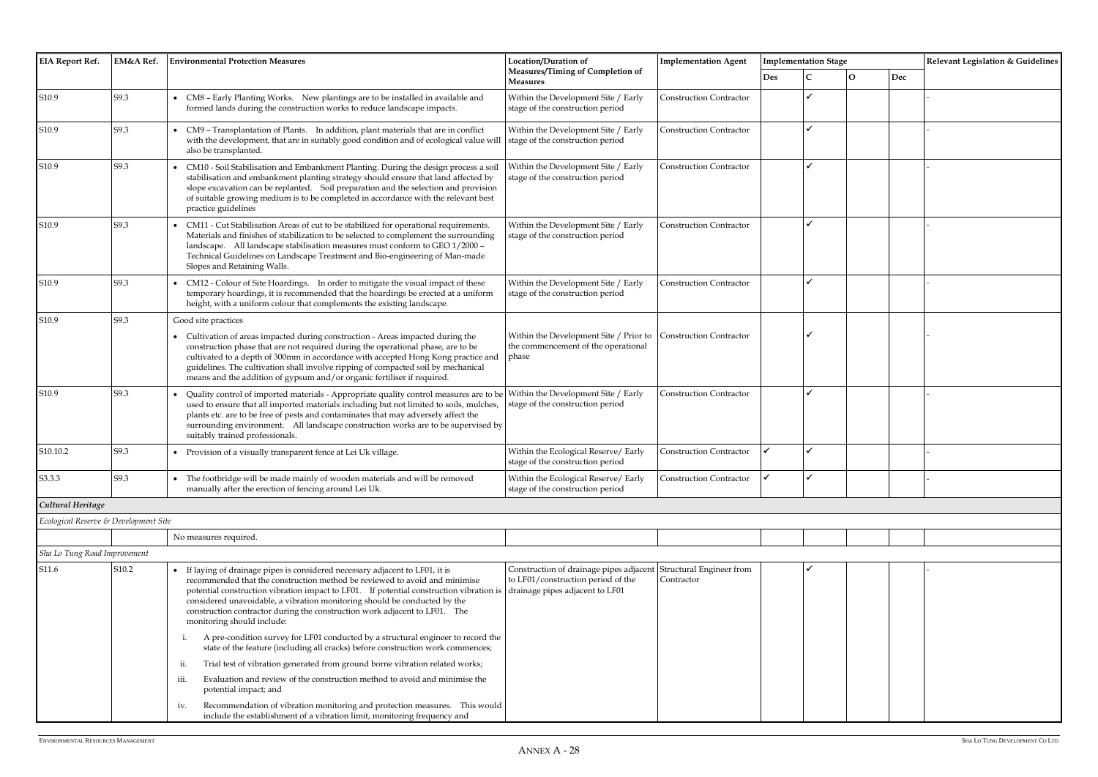| <b>EIA Report Ref.</b>                | EM&A Ref. | <b>Environmental Protection Measures</b>                                                                                                                                                                                                                                                                                                                                                                                                      | Location/Duration of                                                                                                                      | <b>Implementation Agent</b>    | <b>Implementation Stage</b> |              |          |     |  |
|---------------------------------------|-----------|-----------------------------------------------------------------------------------------------------------------------------------------------------------------------------------------------------------------------------------------------------------------------------------------------------------------------------------------------------------------------------------------------------------------------------------------------|-------------------------------------------------------------------------------------------------------------------------------------------|--------------------------------|-----------------------------|--------------|----------|-----|--|
|                                       |           |                                                                                                                                                                                                                                                                                                                                                                                                                                               | Measures/Timing of Completion of<br><b>Measures</b>                                                                                       |                                | <b>Des</b>                  | $\mathsf{C}$ | $\Omega$ | Dec |  |
| S10.9                                 | S9.3      | • CM8 - Early Planting Works. New plantings are to be installed in available and<br>formed lands during the construction works to reduce landscape impacts.                                                                                                                                                                                                                                                                                   | Within the Development Site / Early<br>stage of the construction period                                                                   | <b>Construction Contractor</b> |                             | ✔            |          |     |  |
| S10.9                                 | S9.3      | CM9 - Transplantation of Plants. In addition, plant materials that are in conflict<br>with the development, that are in suitably good condition and of ecological value will<br>also be transplanted.                                                                                                                                                                                                                                         | Within the Development Site / Early<br>stage of the construction period                                                                   | <b>Construction Contractor</b> |                             | J            |          |     |  |
| S10.9                                 | S9.3      | CM10 - Soil Stabilisation and Embankment Planting. During the design process a soil<br>stabilisation and embankment planting strategy should ensure that land affected by<br>slope excavation can be replanted. Soil preparation and the selection and provision<br>of suitable growing medium is to be completed in accordance with the relevant best<br>practice guidelines                                                                 | Within the Development Site / Early<br>stage of the construction period                                                                   | <b>Construction Contractor</b> |                             | ✓            |          |     |  |
| S10.9                                 | S9.3      | CM11 - Cut Stabilisation Areas of cut to be stabilized for operational requirements.<br>Materials and finishes of stabilization to be selected to complement the surrounding<br>landscape. All landscape stabilisation measures must conform to GEO 1/2000 -<br>Technical Guidelines on Landscape Treatment and Bio-engineering of Man-made<br>Slopes and Retaining Walls.                                                                    | Within the Development Site / Early<br>stage of the construction period                                                                   | <b>Construction Contractor</b> |                             | ✓            |          |     |  |
| S <sub>10.9</sub>                     | S9.3      | • CM12 - Colour of Site Hoardings. In order to mitigate the visual impact of these<br>temporary hoardings, it is recommended that the hoardings be erected at a uniform<br>height, with a uniform colour that complements the existing landscape.                                                                                                                                                                                             | Within the Development Site / Early<br>stage of the construction period                                                                   | <b>Construction Contractor</b> |                             | ✓            |          |     |  |
| S <sub>10.9</sub>                     | S9.3      | Good site practices                                                                                                                                                                                                                                                                                                                                                                                                                           |                                                                                                                                           |                                |                             |              |          |     |  |
|                                       |           | • Cultivation of areas impacted during construction - Areas impacted during the<br>construction phase that are not required during the operational phase, are to be<br>cultivated to a depth of 300mm in accordance with accepted Hong Kong practice and<br>guidelines. The cultivation shall involve ripping of compacted soil by mechanical<br>means and the addition of gypsum and/or organic fertiliser if required.                      | Within the Development Site / Prior to Construction Contractor<br>the commencement of the operational<br>phase                            |                                |                             |              |          |     |  |
| S <sub>10.9</sub>                     | S9.3      | Quality control of imported materials - Appropriate quality control measures are to be<br>used to ensure that all imported materials including but not limited to soils, mulches,<br>plants etc. are to be free of pests and contaminates that may adversely affect the<br>surrounding environment. All landscape construction works are to be supervised by<br>suitably trained professionals.                                               | Within the Development Site / Early<br>stage of the construction period                                                                   | <b>Construction Contractor</b> |                             | ✓            |          |     |  |
| S10.10.2                              | S9.3      | • Provision of a visually transparent fence at Lei Uk village.                                                                                                                                                                                                                                                                                                                                                                                | Within the Ecological Reserve/ Early<br>stage of the construction period                                                                  | <b>Construction Contractor</b> |                             | ✔            |          |     |  |
| S3.3.3                                | S9.3      | The footbridge will be made mainly of wooden materials and will be removed<br>manually after the erection of fencing around Lei Uk.                                                                                                                                                                                                                                                                                                           | Within the Ecological Reserve/ Early<br>stage of the construction period                                                                  | <b>Construction Contractor</b> |                             |              |          |     |  |
| Cultural Heritage                     |           |                                                                                                                                                                                                                                                                                                                                                                                                                                               |                                                                                                                                           |                                |                             |              |          |     |  |
| Ecological Reserve & Development Site |           |                                                                                                                                                                                                                                                                                                                                                                                                                                               |                                                                                                                                           |                                |                             |              |          |     |  |
|                                       |           | No measures required.                                                                                                                                                                                                                                                                                                                                                                                                                         |                                                                                                                                           |                                |                             |              |          |     |  |
| Sha Lo Tung Road Improvement          |           |                                                                                                                                                                                                                                                                                                                                                                                                                                               |                                                                                                                                           |                                |                             |              |          |     |  |
| S11.6                                 | S10.2     | If laying of drainage pipes is considered necessary adjacent to LF01, it is<br>recommended that the construction method be reviewed to avoid and minimise<br>potential construction vibration impact to LF01. If potential construction vibration is<br>considered unavoidable, a vibration monitoring should be conducted by the<br>construction contractor during the construction work adjacent to LF01. The<br>monitoring should include: | Construction of drainage pipes adjacent Structural Engineer from<br>to LF01/construction period of the<br>drainage pipes adjacent to LF01 | Contractor                     |                             |              |          |     |  |
|                                       |           | A pre-condition survey for LF01 conducted by a structural engineer to record the<br>state of the feature (including all cracks) before construction work commences;                                                                                                                                                                                                                                                                           |                                                                                                                                           |                                |                             |              |          |     |  |
|                                       |           | Trial test of vibration generated from ground borne vibration related works;<br>ii.                                                                                                                                                                                                                                                                                                                                                           |                                                                                                                                           |                                |                             |              |          |     |  |
|                                       |           | Evaluation and review of the construction method to avoid and minimise the<br><i>iii.</i><br>potential impact; and                                                                                                                                                                                                                                                                                                                            |                                                                                                                                           |                                |                             |              |          |     |  |
|                                       |           | Recommendation of vibration monitoring and protection measures. This would<br>iv.<br>include the establishment of a vibration limit, monitoring frequency and                                                                                                                                                                                                                                                                                 |                                                                                                                                           |                                |                             |              |          |     |  |

|              | <b>Implementation Stage</b> |              |                             | Relevant Legislation & Guidelines |  |  |  |  |  |  |
|--------------|-----------------------------|--------------|-----------------------------|-----------------------------------|--|--|--|--|--|--|
| Des          | $\mathbf C$                 | $\mathbf{o}$ | $\mathop{\rm Dec}\nolimits$ |                                   |  |  |  |  |  |  |
|              | $\checkmark$                |              |                             | $\overline{a}$                    |  |  |  |  |  |  |
|              |                             |              |                             |                                   |  |  |  |  |  |  |
|              | $\checkmark$                |              |                             |                                   |  |  |  |  |  |  |
|              |                             |              |                             |                                   |  |  |  |  |  |  |
|              | $\checkmark$                |              |                             | $\overline{\phantom{a}}$          |  |  |  |  |  |  |
|              |                             |              |                             |                                   |  |  |  |  |  |  |
|              |                             |              |                             |                                   |  |  |  |  |  |  |
|              | $\checkmark$                |              |                             |                                   |  |  |  |  |  |  |
|              |                             |              |                             |                                   |  |  |  |  |  |  |
|              |                             |              |                             |                                   |  |  |  |  |  |  |
|              | $\checkmark$                |              |                             | $\overline{a}$                    |  |  |  |  |  |  |
|              |                             |              |                             |                                   |  |  |  |  |  |  |
|              |                             |              |                             |                                   |  |  |  |  |  |  |
|              | $\checkmark$                |              |                             |                                   |  |  |  |  |  |  |
|              |                             |              |                             |                                   |  |  |  |  |  |  |
|              |                             |              |                             |                                   |  |  |  |  |  |  |
|              |                             |              |                             |                                   |  |  |  |  |  |  |
|              | $\checkmark$                |              |                             | $\overline{a}$                    |  |  |  |  |  |  |
|              |                             |              |                             |                                   |  |  |  |  |  |  |
|              |                             |              |                             |                                   |  |  |  |  |  |  |
| $\checkmark$ | $\checkmark$                |              |                             | $\overline{\phantom{0}}$          |  |  |  |  |  |  |
|              | ✓                           |              |                             |                                   |  |  |  |  |  |  |
|              |                             |              |                             |                                   |  |  |  |  |  |  |
|              |                             |              |                             |                                   |  |  |  |  |  |  |
|              |                             |              |                             |                                   |  |  |  |  |  |  |
|              |                             |              |                             |                                   |  |  |  |  |  |  |
|              | $\checkmark$                |              |                             |                                   |  |  |  |  |  |  |
|              |                             |              |                             | $\qquad \qquad \blacksquare$      |  |  |  |  |  |  |
|              |                             |              |                             |                                   |  |  |  |  |  |  |
|              |                             |              |                             |                                   |  |  |  |  |  |  |
|              |                             |              |                             |                                   |  |  |  |  |  |  |
|              |                             |              |                             |                                   |  |  |  |  |  |  |
|              |                             |              |                             |                                   |  |  |  |  |  |  |
|              |                             |              |                             |                                   |  |  |  |  |  |  |
|              |                             |              |                             |                                   |  |  |  |  |  |  |
|              |                             |              |                             |                                   |  |  |  |  |  |  |